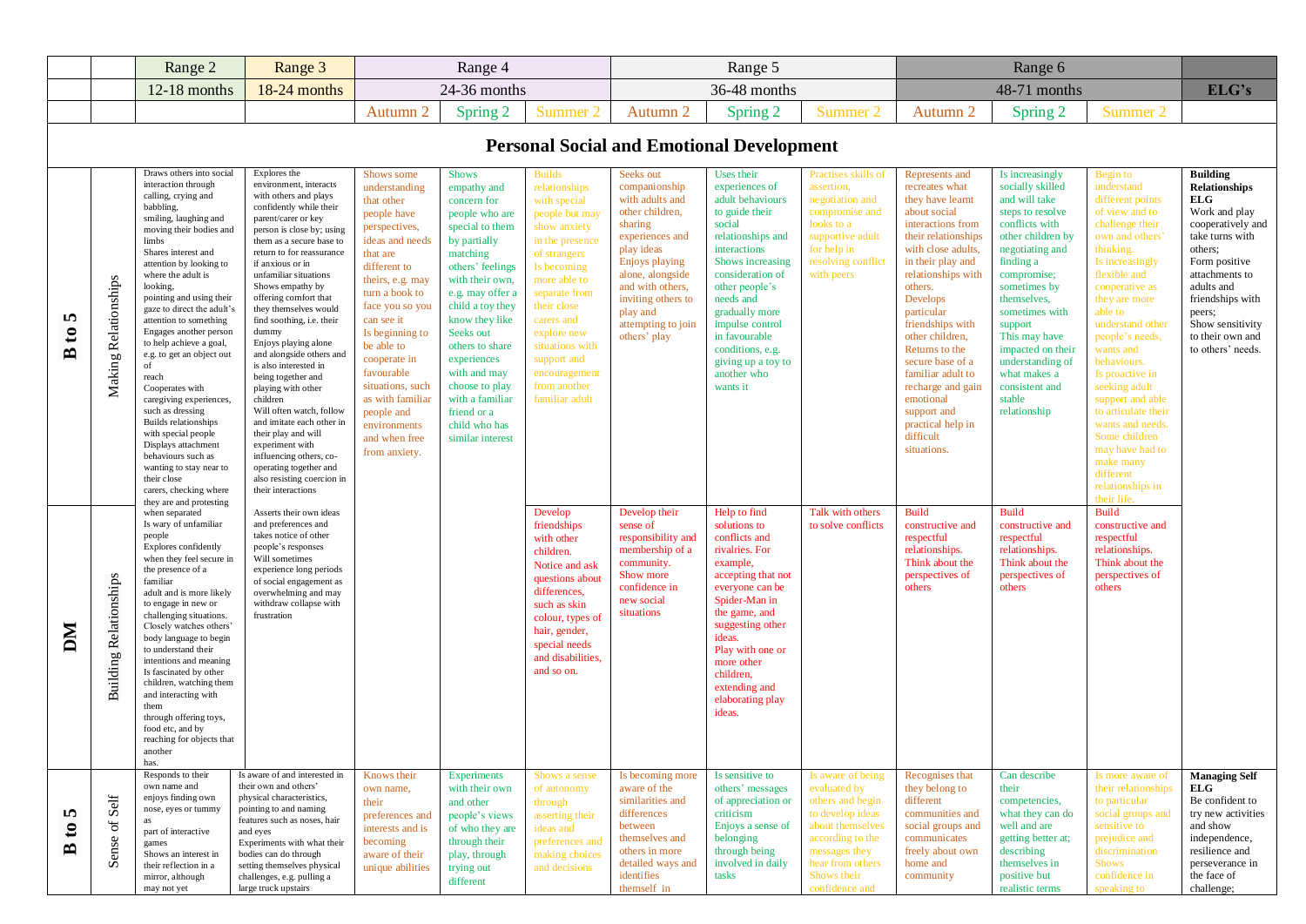|                                        |                               | Range 2                                                                                                                                                                                                                                                                                                                                                                                                                                                                                                                                                                                                                                                                                | Range 3                                                                                                                                                                                                                                                                                                                                                                                                                                                                                                                                                                                                                                                                                                           |                                                                                                                                                                                                                                                                                                                                                                        | Range 4                                                                                                                                                                                                                                                                                                                                                              |                                                                                                                                                                                                                                                                                                      |                                                                                                                                                                                                                                                       | Range 5                                                                                                                                                                                                                                                                                                             |                                                                                                                                                                                         |                                                                                                                                                                                                                                                                                                                                                                                                                            | Range 6                                                                                                                                                                                                                                                                                                                                          |                                                                                                                                                                                                                                                                                                                                                                                                                                                                        |                                                                                                                                                                                                                                                                 |
|----------------------------------------|-------------------------------|----------------------------------------------------------------------------------------------------------------------------------------------------------------------------------------------------------------------------------------------------------------------------------------------------------------------------------------------------------------------------------------------------------------------------------------------------------------------------------------------------------------------------------------------------------------------------------------------------------------------------------------------------------------------------------------|-------------------------------------------------------------------------------------------------------------------------------------------------------------------------------------------------------------------------------------------------------------------------------------------------------------------------------------------------------------------------------------------------------------------------------------------------------------------------------------------------------------------------------------------------------------------------------------------------------------------------------------------------------------------------------------------------------------------|------------------------------------------------------------------------------------------------------------------------------------------------------------------------------------------------------------------------------------------------------------------------------------------------------------------------------------------------------------------------|----------------------------------------------------------------------------------------------------------------------------------------------------------------------------------------------------------------------------------------------------------------------------------------------------------------------------------------------------------------------|------------------------------------------------------------------------------------------------------------------------------------------------------------------------------------------------------------------------------------------------------------------------------------------------------|-------------------------------------------------------------------------------------------------------------------------------------------------------------------------------------------------------------------------------------------------------|---------------------------------------------------------------------------------------------------------------------------------------------------------------------------------------------------------------------------------------------------------------------------------------------------------------------|-----------------------------------------------------------------------------------------------------------------------------------------------------------------------------------------|----------------------------------------------------------------------------------------------------------------------------------------------------------------------------------------------------------------------------------------------------------------------------------------------------------------------------------------------------------------------------------------------------------------------------|--------------------------------------------------------------------------------------------------------------------------------------------------------------------------------------------------------------------------------------------------------------------------------------------------------------------------------------------------|------------------------------------------------------------------------------------------------------------------------------------------------------------------------------------------------------------------------------------------------------------------------------------------------------------------------------------------------------------------------------------------------------------------------------------------------------------------------|-----------------------------------------------------------------------------------------------------------------------------------------------------------------------------------------------------------------------------------------------------------------|
|                                        |                               | $12-18$ months                                                                                                                                                                                                                                                                                                                                                                                                                                                                                                                                                                                                                                                                         | 18-24 months                                                                                                                                                                                                                                                                                                                                                                                                                                                                                                                                                                                                                                                                                                      |                                                                                                                                                                                                                                                                                                                                                                        | 24-36 months                                                                                                                                                                                                                                                                                                                                                         |                                                                                                                                                                                                                                                                                                      |                                                                                                                                                                                                                                                       | 36-48 months                                                                                                                                                                                                                                                                                                        |                                                                                                                                                                                         |                                                                                                                                                                                                                                                                                                                                                                                                                            | 48-71 months                                                                                                                                                                                                                                                                                                                                     |                                                                                                                                                                                                                                                                                                                                                                                                                                                                        | ELG's                                                                                                                                                                                                                                                           |
|                                        |                               |                                                                                                                                                                                                                                                                                                                                                                                                                                                                                                                                                                                                                                                                                        |                                                                                                                                                                                                                                                                                                                                                                                                                                                                                                                                                                                                                                                                                                                   | Autumn 2                                                                                                                                                                                                                                                                                                                                                               | Spring 2                                                                                                                                                                                                                                                                                                                                                             | Summer <sub>2</sub>                                                                                                                                                                                                                                                                                  | Autumn 2                                                                                                                                                                                                                                              | Spring 2                                                                                                                                                                                                                                                                                                            | Summer 2                                                                                                                                                                                | Autumn 2                                                                                                                                                                                                                                                                                                                                                                                                                   | Spring 2                                                                                                                                                                                                                                                                                                                                         | Summer 2                                                                                                                                                                                                                                                                                                                                                                                                                                                               |                                                                                                                                                                                                                                                                 |
|                                        |                               |                                                                                                                                                                                                                                                                                                                                                                                                                                                                                                                                                                                                                                                                                        |                                                                                                                                                                                                                                                                                                                                                                                                                                                                                                                                                                                                                                                                                                                   |                                                                                                                                                                                                                                                                                                                                                                        |                                                                                                                                                                                                                                                                                                                                                                      |                                                                                                                                                                                                                                                                                                      | <b>Personal Social and Emotional Development</b>                                                                                                                                                                                                      |                                                                                                                                                                                                                                                                                                                     |                                                                                                                                                                                         |                                                                                                                                                                                                                                                                                                                                                                                                                            |                                                                                                                                                                                                                                                                                                                                                  |                                                                                                                                                                                                                                                                                                                                                                                                                                                                        |                                                                                                                                                                                                                                                                 |
| S<br>$\mathbf{c}$<br>$\mathbf{\Omega}$ | Making Relationships          | Draws others into social<br>interaction through<br>calling, crying and<br>babbling,<br>smiling, laughing and<br>moving their bodies and<br>limbs<br>Shares interest and<br>attention by looking to<br>where the adult is<br>looking,<br>pointing and using their<br>gaze to direct the adult's<br>attention to something<br>Engages another person<br>to help achieve a goal,<br>e.g. to get an object out<br>of<br>reach<br>Cooperates with<br>caregiving experiences,<br>such as dressing<br>Builds relationships<br>with special people<br>Displays attachment<br>behaviours such as<br>wanting to stay near to<br>their close<br>carers, checking where<br>they are and protesting | Explores the<br>environment, interacts<br>with others and plays<br>confidently while their<br>parent/carer or key<br>person is close by; using<br>them as a secure base to<br>return to for reassurance<br>if anxious or in<br>unfamiliar situations<br>Shows empathy by<br>offering comfort that<br>they themselves would<br>find soothing, i.e. their<br>dummy<br>Enjoys playing alone<br>and alongside others and<br>is also interested in<br>being together and<br>playing with other<br>children<br>Will often watch, follow<br>and imitate each other in<br>their play and will<br>experiment with<br>influencing others, co-<br>operating together and<br>also resisting coercion in<br>their interactions | Shows some<br>understanding<br>that other<br>people have<br>perspectives,<br>ideas and needs<br>that are<br>different to<br>theirs, e.g. may<br>turn a book to<br>face you so you<br>can see it<br>Is beginning to<br>be able to<br>cooperate in<br>favourable<br>situations, such<br>as with familiar<br>people and<br>environments<br>and when free<br>from anxiety. | <b>Shows</b><br>empathy and<br>concern for<br>people who are<br>special to them<br>by partially<br>matching<br>others' feelings<br>with their own,<br>e.g. may offer a<br>child a toy they<br>know they like<br>Seeks out<br>others to share<br>experiences<br>with and may<br>choose to play<br>with a familiar<br>friend or a<br>child who has<br>similar interest | <b>Builds</b><br>relationships<br>with special<br>people but may<br>show anxiety<br>in the presence<br>of strangers<br>Is becoming<br>more able to<br>separate from<br>their close<br>carers and<br>explore new<br>situations with<br>support and<br>encouragement<br>from another<br>familiar adult | Seeks out<br>companionship<br>with adults and<br>other children,<br>sharing<br>experiences and<br>play ideas<br><b>Enjoys playing</b><br>alone, alongside<br>and with others,<br>inviting others to<br>play and<br>attempting to join<br>others' play | Uses their<br>experiences of<br>adult behaviours<br>to guide their<br>social<br>relationships and<br>interactions<br>Shows increasing<br>consideration of<br>other people's<br>needs and<br>gradually more<br>impulse control<br>in favourable<br>conditions, e.g.<br>giving up a toy to<br>another who<br>wants it | Practises skills of<br>assertion.<br>negotiation and<br>compromise and<br>looks to a<br>supportive adult<br>for help in<br>resolving conflict<br>with peers                             | Represents and<br>recreates what<br>they have learnt<br>about social<br>interactions from<br>their relationships<br>with close adults,<br>in their play and<br>relationships with<br>others.<br>Develops<br>particular<br>friendships with<br>other children,<br>Returns to the<br>secure base of a<br>familiar adult to<br>recharge and gain<br>emotional<br>support and<br>practical help in<br>difficult<br>situations. | Is increasingly<br>socially skilled<br>and will take<br>steps to resolve<br>conflicts with<br>other children by<br>negotiating and<br>finding a<br>compromise;<br>sometimes by<br>themselves,<br>sometimes with<br>support<br>This may have<br>impacted on their<br>understanding of<br>what makes a<br>consistent and<br>stable<br>relationship | Begin to<br>understand<br>different points<br>of view and to<br>challenge their<br>own and others'<br>thinking.<br>Is increasingly<br>flexible and<br>cooperative as<br>they are more<br>able to<br>understand other<br>people's needs,<br>wants and<br>behaviours.<br>Is proactive in<br>seeking adult<br>support and able<br>to articulate their<br>wants and needs.<br>Some children<br>may have had to<br>make many<br>different<br>relationships in<br>their life | <b>Building</b><br><b>Relationships</b><br>ELG-<br>Work and play<br>cooperatively and<br>take turns with<br>others:<br>Form positive<br>attachments to<br>adults and<br>friendships with<br>peers;<br>Show sensitivity<br>to their own and<br>to others' needs. |
| DМ                                     | <b>Building Relationships</b> | when separated<br>Is wary of unfamiliar<br>people<br>Explores confidently<br>when they feel secure in<br>the presence of a<br>familiar<br>adult and is more likely<br>to engage in new or<br>challenging situations.<br>Closely watches others'<br>body language to begin<br>to understand their<br>intentions and meaning<br>Is fascinated by other<br>children, watching them<br>and interacting with<br>them<br>through offering toys,<br>food etc, and by<br>reaching for objects that<br>anothe<br>has.                                                                                                                                                                           | Asserts their own ideas<br>and preferences and<br>takes notice of other<br>people's responses<br>Will sometimes<br>experience long periods<br>of social engagement as<br>overwhelming and may<br>withdraw collapse with<br>frustration                                                                                                                                                                                                                                                                                                                                                                                                                                                                            |                                                                                                                                                                                                                                                                                                                                                                        |                                                                                                                                                                                                                                                                                                                                                                      | Develop<br>friendships<br>with other<br>children.<br>Notice and ask<br>questions about<br>differences,<br>such as skin<br>colour, types of<br>hair, gender,<br>special needs<br>and disabilities,<br>and so on.                                                                                      | Develop their<br>sense of<br>responsibility and<br>membership of a<br>community.<br>Show more<br>confidence in<br>new social<br>situations                                                                                                            | Help to find<br>solutions to<br>conflicts and<br>rivalries. For<br>example,<br>accepting that not<br>everyone can be<br>Spider-Man in<br>the game, and<br>suggesting other<br>ideas.<br>Play with one or<br>more other<br>children,<br>extending and<br>elaborating play<br>ideas.                                  | Talk with others<br>to solve conflicts                                                                                                                                                  | <b>Build</b><br>constructive and<br>respectful<br>relationships.<br>Think about the<br>perspectives of<br>others                                                                                                                                                                                                                                                                                                           | <b>Build</b><br>constructive and<br>respectful<br>relationships.<br>Think about the<br>perspectives of<br>others                                                                                                                                                                                                                                 | <b>Build</b><br>constructive and<br>respectful<br>relationships.<br>Think about the<br>perspectives of<br>others                                                                                                                                                                                                                                                                                                                                                       |                                                                                                                                                                                                                                                                 |
| m<br>$\mathbf{c}$<br>≏                 | Sense of Self                 | Responds to their<br>own name and<br>enjoys finding own<br>nose, eyes or tummy<br>as<br>part of interactive<br>games<br>Shows an interest in<br>their reflection in a<br>mirror, although<br>may not yet                                                                                                                                                                                                                                                                                                                                                                                                                                                                               | Is aware of and interested in<br>their own and others'<br>physical characteristics,<br>pointing to and naming<br>features such as noses, hair<br>and eyes<br>Experiments with what their<br>bodies can do through<br>setting themselves physical<br>challenges, e.g. pulling a<br>large truck upstairs                                                                                                                                                                                                                                                                                                                                                                                                            | Knows their<br>own name,<br>their<br>preferences and<br>interests and is<br>becoming<br>aware of their<br>unique abilities                                                                                                                                                                                                                                             | <b>Experiments</b><br>with their own<br>and other<br>people's views<br>of who they are<br>through their<br>play, through<br>trying out<br>different                                                                                                                                                                                                                  | Shows a sense<br>of autonomy<br>through<br>asserting their<br>ideas and<br>preferences and<br>making choices<br>and decisions                                                                                                                                                                        | Is becoming more<br>aware of the<br>similarities and<br>differences<br>between<br>themselves and<br>others in more<br>detailed ways and<br>identifies<br>themself in                                                                                  | Is sensitive to<br>others' messages<br>of appreciation or<br>criticism<br>Enjoys a sense of<br>belonging<br>through being<br>involved in daily<br>tasks                                                                                                                                                             | Is aware of being<br>evaluated by<br>others and begin<br>to develop ideas<br>about themselves<br>according to the<br>messages they<br>hear from others<br>Shows their<br>confidence and | Recognises that<br>they belong to<br>different<br>communities and<br>social groups and<br>communicates<br>freely about own<br>home and<br>community                                                                                                                                                                                                                                                                        | Can describe<br>their<br>competencies,<br>what they can do<br>well and are<br>getting better at;<br>describing<br>themselves in<br>positive but<br>realistic terms                                                                                                                                                                               | Is more aware of<br>their relationships<br>to particular<br>social groups and<br>sensitive to<br>prejudice and<br>discrimination<br><b>Shows</b><br>confidence in<br>speaking to                                                                                                                                                                                                                                                                                       | <b>Managing Self</b><br>ELG<br>Be confident to<br>try new activities<br>and show<br>independence,<br>resilience and<br>perseverance in<br>the face of<br>challenge;                                                                                             |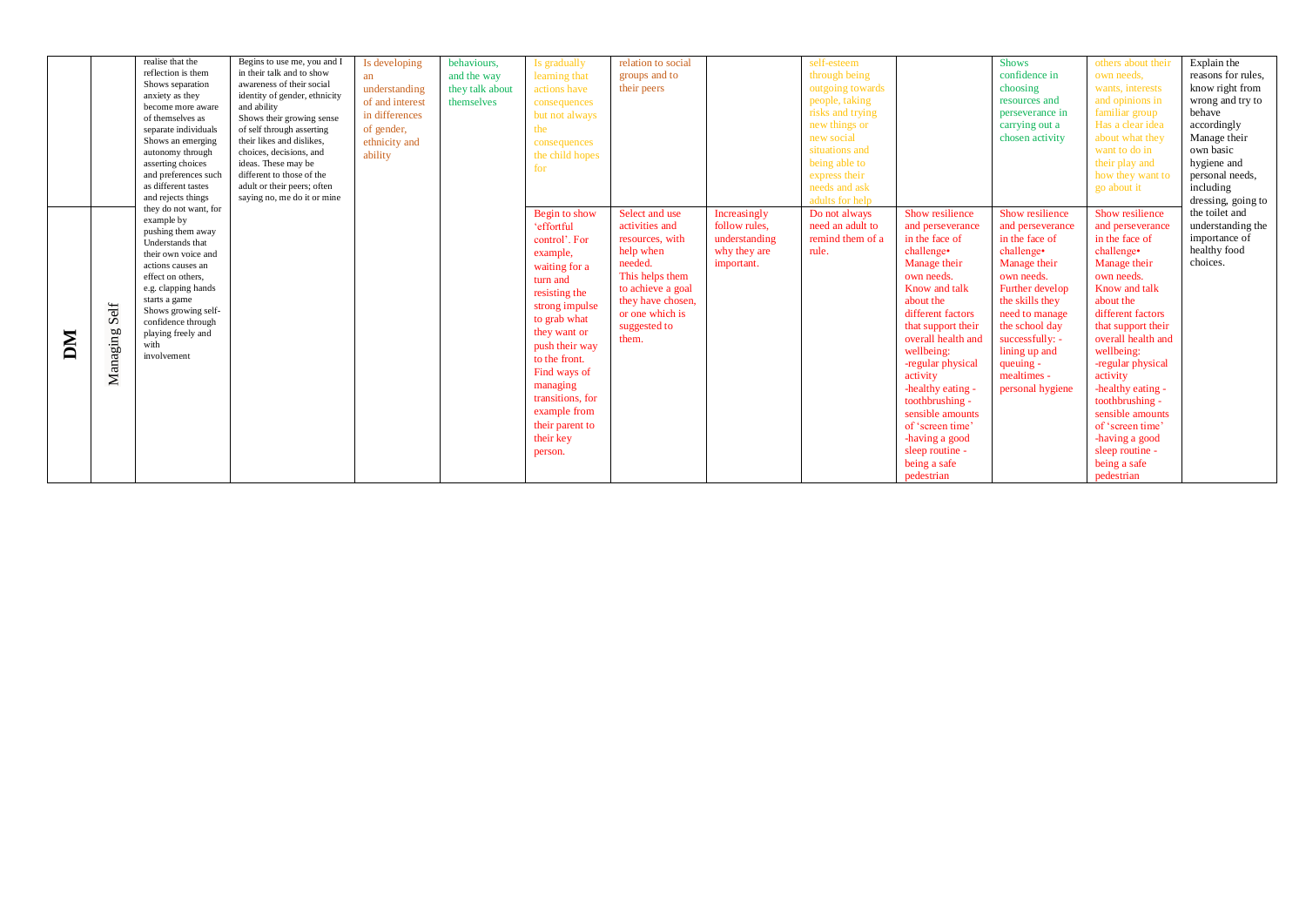|    |          | realise that the      | Begins to use me, you and I   | Is developing   | behaviours,     | Is gradually     | relation to social |               | self-esteem      |                    | <b>Shows</b>     | others about their | Explain the        |
|----|----------|-----------------------|-------------------------------|-----------------|-----------------|------------------|--------------------|---------------|------------------|--------------------|------------------|--------------------|--------------------|
|    |          | reflection is them    | in their talk and to show     |                 | and the way     | learning that    | groups and to      |               | through being    |                    | confidence in    | own needs,         | reasons for rules, |
|    |          | Shows separation      | awareness of their social     | an              |                 |                  |                    |               |                  |                    |                  |                    |                    |
|    |          | anxiety as they       | identity of gender, ethnicity | understanding   | they talk about | actions have     | their peers        |               | outgoing towards |                    | choosing         | wants, interests   | know right from    |
|    |          | become more aware     | and ability                   | of and interest | themselves      | consequences     |                    |               | people, taking   |                    | resources and    | and opinions in    | wrong and try to   |
|    |          | of themselves as      | Shows their growing sense     | in differences  |                 | but not always   |                    |               | risks and trying |                    | perseverance in  | familiar group     | hehave             |
|    |          | separate individuals  | of self through asserting     | of gender,      |                 | the              |                    |               | new things or    |                    | carrying out a   | Has a clear idea   | accordingly        |
|    |          | Shows an emerging     | their likes and dislikes.     | ethnicity and   |                 | consequences     |                    |               | new social       |                    | chosen activity  | about what they    | Manage their       |
|    |          | autonomy through      | choices, decisions, and       | ability         |                 | the child hopes  |                    |               | situations and   |                    |                  | want to do in      | own basic          |
|    |          | asserting choices     | ideas. These may be           |                 |                 | for              |                    |               | being able to    |                    |                  | their play and     | hygiene and        |
|    |          | and preferences such  | different to those of the     |                 |                 |                  |                    |               | express their    |                    |                  | how they want to   | personal needs,    |
|    |          | as different tastes   | adult or their peers; often   |                 |                 |                  |                    |               | needs and ask    |                    |                  | go about it        | including          |
|    |          | and rejects things    | saying no, me do it or mine   |                 |                 |                  |                    |               | adults for help  |                    |                  |                    | dressing, going to |
|    |          | they do not want, for |                               |                 |                 | Begin to show    | Select and use     | Increasingly  | Do not always    | Show resilience    | Show resilience  | Show resilience    | the toilet and     |
|    |          | example by            |                               |                 |                 | 'effortful       | activities and     | follow rules. | need an adult to | and perseverance   | and perseverance | and perseverance   | understanding the  |
|    |          | pushing them away     |                               |                 |                 |                  | resources, with    | understanding | remind them of a | in the face of     | in the face of   | in the face of     | importance of      |
|    |          | Understands that      |                               |                 |                 | control'. For    |                    |               | rule.            |                    | challenge•       |                    | healthy food       |
|    |          | their own voice and   |                               |                 |                 | example,         | help when          | why they are  |                  | challenge•         |                  | challenge•         |                    |
|    |          | actions causes an     |                               |                 |                 | waiting for a    | needed.            | important.    |                  | Manage their       | Manage their     | Manage their       | choices.           |
|    |          | effect on others.     |                               |                 |                 | turn and         | This helps them    |               |                  | own needs.         | own needs.       | own needs.         |                    |
|    |          | e.g. clapping hands   |                               |                 |                 | resisting the    | to achieve a goal  |               |                  | Know and talk      | Further develop  | Know and talk      |                    |
|    |          | starts a game         |                               |                 |                 | strong impulse   | they have chosen,  |               |                  | about the          | the skills they  | about the          |                    |
|    | Self     | Shows growing self-   |                               |                 |                 | to grab what     | or one which is    |               |                  | different factors  | need to manage   | different factors  |                    |
|    |          | confidence through    |                               |                 |                 |                  | suggested to       |               |                  | that support their | the school day   | that support their |                    |
|    |          | playing freely and    |                               |                 |                 | they want or     | them.              |               |                  | overall health and | successfully: -  | overall health and |                    |
| MO |          | with                  |                               |                 |                 | push their way   |                    |               |                  | wellbeing:         | lining up and    | wellbeing:         |                    |
|    |          | involvement           |                               |                 |                 | to the front.    |                    |               |                  | -regular physical  | queuing -        | -regular physical  |                    |
|    | Managing |                       |                               |                 |                 | Find ways of     |                    |               |                  |                    | mealtimes -      | activity           |                    |
|    |          |                       |                               |                 |                 | managing         |                    |               |                  | activity           |                  |                    |                    |
|    |          |                       |                               |                 |                 | transitions, for |                    |               |                  | -healthy eating -  | personal hygiene | -healthy eating -  |                    |
|    |          |                       |                               |                 |                 |                  |                    |               |                  | toothbrushing -    |                  | toothbrushing -    |                    |
|    |          |                       |                               |                 |                 | example from     |                    |               |                  | sensible amounts   |                  | sensible amounts   |                    |
|    |          |                       |                               |                 |                 | their parent to  |                    |               |                  | of 'screen time'   |                  | of 'screen time'   |                    |
|    |          |                       |                               |                 |                 | their key        |                    |               |                  | -having a good     |                  | -having a good     |                    |
|    |          |                       |                               |                 |                 | person.          |                    |               |                  | sleep routine -    |                  | sleep routine -    |                    |
|    |          |                       |                               |                 |                 |                  |                    |               |                  | being a safe       |                  | being a safe       |                    |
|    |          |                       |                               |                 |                 |                  |                    |               |                  | pedestrian         |                  | pedestrian         |                    |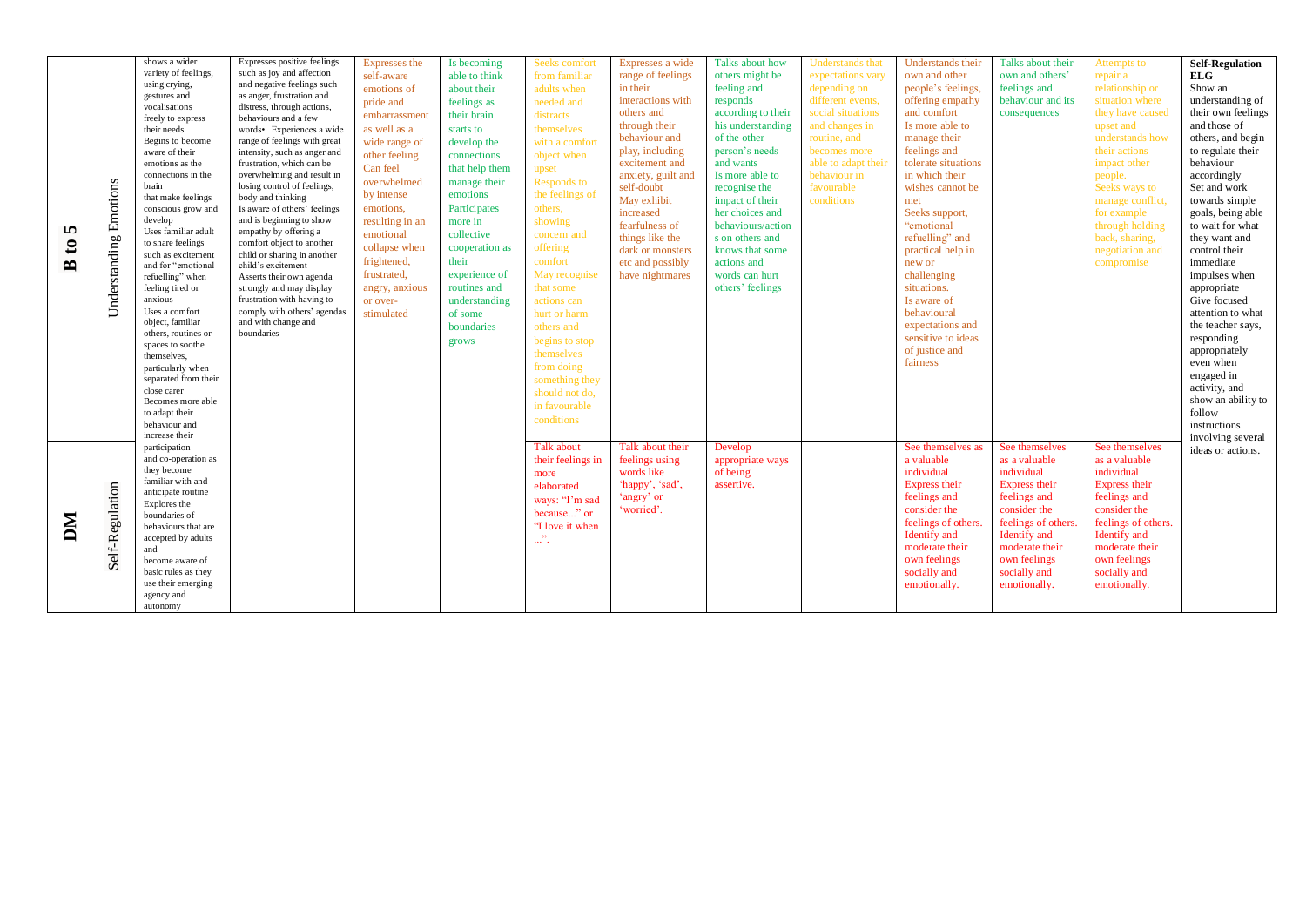| m<br>$\mathbf{c}$<br>$\mathbf{\Omega}$ | Emotions<br>Understanding | shows a wider<br>variety of feelings,<br>using crying,<br>gestures and<br>vocalisations<br>freely to express<br>their needs<br>Begins to become<br>aware of their<br>emotions as the<br>connections in the<br>brain<br>that make feelings<br>conscious grow and<br>develop<br>Uses familiar adult<br>to share feelings<br>such as excitement<br>and for "emotional<br>refuelling" when<br>feeling tired or<br>anxious<br>Uses a comfort<br>object, familiar<br>others, routines or<br>spaces to soothe<br>themselves.<br>particularly when<br>separated from their<br>close carer<br>Becomes more able<br>to adapt their<br>behaviour and<br>increase their | Expresses positive feelings<br>such as joy and affection<br>and negative feelings such<br>as anger, frustration and<br>distress, through actions,<br>behaviours and a few<br>words• Experiences a wide<br>range of feelings with great<br>intensity, such as anger and<br>frustration, which can be<br>overwhelming and result in<br>losing control of feelings,<br>body and thinking<br>Is aware of others' feelings<br>and is beginning to show<br>empathy by offering a<br>comfort object to another<br>child or sharing in another<br>child's excitement<br>Asserts their own agenda<br>strongly and may display<br>frustration with having to<br>comply with others' agendas<br>and with change and<br>boundaries | Expresses the<br>self-aware<br>emotions of<br>pride and<br>embarrassment<br>as well as a<br>wide range of<br>other feeling<br>Can feel<br>overwhelmed<br>by intense<br>emotions,<br>resulting in an<br>emotional<br>collapse when<br>frightened,<br>frustrated,<br>angry, anxious<br>or over-<br>stimulated | Is becoming<br>able to think<br>about their<br>feelings as<br>their brain<br>starts to<br>develop the<br>connections<br>that help them<br>manage their<br>emotions<br>Participates<br>more in<br>collective<br>cooperation as<br>their<br>experience of<br>routines and<br>understanding<br>of some<br>boundaries<br>grows | Seeks comfort<br>from familiar<br>adults when<br>needed and<br>distracts<br>themselves<br>with a comfort<br>object when<br>upset<br>Responds to<br>the feelings of<br>others,<br>showing<br>concern and<br>offering<br>comfort<br>May recognise<br>that some<br>actions can<br>hurt or harm<br>others and<br>begins to stop<br>themselves<br>from doing<br>something they<br>should not do.<br>in favourable<br>conditions | Expresses a wide<br>range of feelings<br>in their<br>interactions with<br>others and<br>through their<br>behaviour and<br>play, including<br>excitement and<br>anxiety, guilt and<br>self-doubt<br>May exhibit<br>increased<br>fearfulness of<br>things like the<br>dark or monsters<br>etc and possibly<br>have nightmares | Talks about how<br>others might be<br>feeling and<br>responds<br>according to their<br>his understanding<br>of the other<br>person's needs<br>and wants<br>Is more able to<br>recognise the<br>impact of their<br>her choices and<br>behaviours/action<br>s on others and<br>knows that some<br>actions and<br>words can hurt<br>others' feelings | <b>Understands</b> that<br>expectations vary<br>depending on<br>different events.<br>social situations<br>and changes in<br>routine, and<br>becomes more<br>able to adapt their<br>behaviour in<br>favourable<br>conditions | <b>Understands their</b><br>own and other<br>people's feelings,<br>offering empathy<br>and comfort<br>Is more able to<br>manage their<br>feelings and<br>tolerate situations<br>in which their<br>wishes cannot be<br>met<br>Seeks support,<br>"emotional<br>refuelling" and<br>practical help in<br>new or<br>challenging<br>situations.<br>Is aware of<br>behavioural<br>expectations and<br>sensitive to ideas<br>of justice and<br>fairness | Talks about their<br>own and others'<br>feelings and<br>behaviour and its<br>consequences                                                                                                               | Attempts to<br>repair a<br>relationship or<br>situation where<br>they have caused<br>upset and<br>understands how<br>their actions<br>impact other<br>people.<br>Seeks ways to<br>manage conflict,<br>for example<br>through holding<br>back, sharing,<br>negotiation and<br>compromise | <b>Self-Regulation</b><br>ELG<br>Show an<br>understanding of<br>their own feelings<br>and those of<br>others, and begin<br>to regulate their<br>behaviour<br>accordingly<br>Set and work<br>towards simple<br>goals, being able<br>to wait for what<br>they want and<br>control their<br>immediate<br>impulses when<br>appropriate<br>Give focused<br>attention to what<br>the teacher says,<br>responding<br>appropriately<br>even when<br>engaged in<br>activity, and<br>show an ability to<br>follow<br>instructions<br>involving several |
|----------------------------------------|---------------------------|-------------------------------------------------------------------------------------------------------------------------------------------------------------------------------------------------------------------------------------------------------------------------------------------------------------------------------------------------------------------------------------------------------------------------------------------------------------------------------------------------------------------------------------------------------------------------------------------------------------------------------------------------------------|------------------------------------------------------------------------------------------------------------------------------------------------------------------------------------------------------------------------------------------------------------------------------------------------------------------------------------------------------------------------------------------------------------------------------------------------------------------------------------------------------------------------------------------------------------------------------------------------------------------------------------------------------------------------------------------------------------------------|-------------------------------------------------------------------------------------------------------------------------------------------------------------------------------------------------------------------------------------------------------------------------------------------------------------|----------------------------------------------------------------------------------------------------------------------------------------------------------------------------------------------------------------------------------------------------------------------------------------------------------------------------|----------------------------------------------------------------------------------------------------------------------------------------------------------------------------------------------------------------------------------------------------------------------------------------------------------------------------------------------------------------------------------------------------------------------------|-----------------------------------------------------------------------------------------------------------------------------------------------------------------------------------------------------------------------------------------------------------------------------------------------------------------------------|---------------------------------------------------------------------------------------------------------------------------------------------------------------------------------------------------------------------------------------------------------------------------------------------------------------------------------------------------|-----------------------------------------------------------------------------------------------------------------------------------------------------------------------------------------------------------------------------|-------------------------------------------------------------------------------------------------------------------------------------------------------------------------------------------------------------------------------------------------------------------------------------------------------------------------------------------------------------------------------------------------------------------------------------------------|---------------------------------------------------------------------------------------------------------------------------------------------------------------------------------------------------------|-----------------------------------------------------------------------------------------------------------------------------------------------------------------------------------------------------------------------------------------------------------------------------------------|----------------------------------------------------------------------------------------------------------------------------------------------------------------------------------------------------------------------------------------------------------------------------------------------------------------------------------------------------------------------------------------------------------------------------------------------------------------------------------------------------------------------------------------------|
| DМ                                     | Self-Regulation           | participation<br>and co-operation as<br>they become<br>familiar with and<br>anticipate routine<br>Explores the<br>boundaries of<br>behaviours that are<br>accepted by adults<br>and<br>become aware of<br>basic rules as they<br>use their emerging<br>agency and<br>autonomy                                                                                                                                                                                                                                                                                                                                                                               |                                                                                                                                                                                                                                                                                                                                                                                                                                                                                                                                                                                                                                                                                                                        |                                                                                                                                                                                                                                                                                                             |                                                                                                                                                                                                                                                                                                                            | Talk about<br>their feelings in<br>more<br>elaborated<br>ways: "I'm sad<br>because" or<br>"I love it when<br>$\ldots$ ".                                                                                                                                                                                                                                                                                                   | Talk about their<br>feelings using<br>words like<br>'happy', 'sad',<br>'angry' or<br>'worried'.                                                                                                                                                                                                                             | Develop<br>appropriate ways<br>of being<br>assertive.                                                                                                                                                                                                                                                                                             |                                                                                                                                                                                                                             | See themselves as<br>a valuable<br>individual<br>Express their<br>feelings and<br>consider the<br>feelings of others.<br>Identify and<br>moderate their<br>own feelings<br>socially and<br>emotionally.                                                                                                                                                                                                                                         | See themselves<br>as a valuable<br>individual<br>Express their<br>feelings and<br>consider the<br>feelings of others.<br>Identify and<br>moderate their<br>own feelings<br>socially and<br>emotionally. | See themselves<br>as a valuable<br>individual<br>Express their<br>feelings and<br>consider the<br>feelings of others.<br>Identify and<br>moderate their<br>own feelings<br>socially and<br>emotionally.                                                                                 | ideas or actions.                                                                                                                                                                                                                                                                                                                                                                                                                                                                                                                            |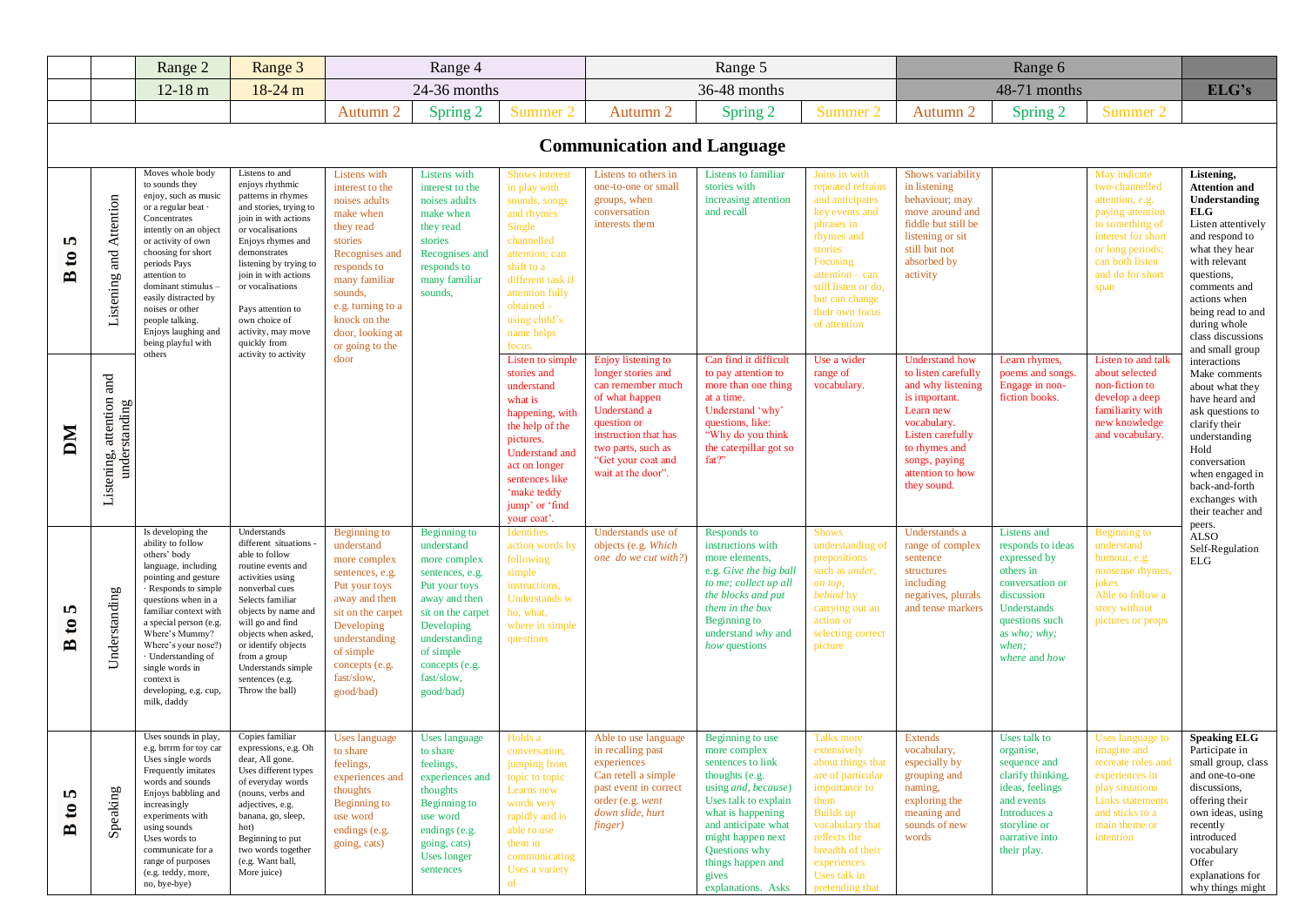|                                                    |                                           | Range 2                                                                                                                                                                                                                                                                                                                                       | Range 3                                                                                                                                                                                                                                                                                                              |                                                                                                                                                                                                                                | Range 4                                                                                                                                                                                                       |                                                                                                                                                                                                                     |                                                                                                                                                                                                          | Range 5                                                                                                                                                                                                                                                      |                                                                                                                                                                                                                           |                                                                                                                                                                                                         | Range 6                                                                                                                                                                   |                                                                                                                                                                                   |                                                                                                                                                                                                                                                                  |
|----------------------------------------------------|-------------------------------------------|-----------------------------------------------------------------------------------------------------------------------------------------------------------------------------------------------------------------------------------------------------------------------------------------------------------------------------------------------|----------------------------------------------------------------------------------------------------------------------------------------------------------------------------------------------------------------------------------------------------------------------------------------------------------------------|--------------------------------------------------------------------------------------------------------------------------------------------------------------------------------------------------------------------------------|---------------------------------------------------------------------------------------------------------------------------------------------------------------------------------------------------------------|---------------------------------------------------------------------------------------------------------------------------------------------------------------------------------------------------------------------|----------------------------------------------------------------------------------------------------------------------------------------------------------------------------------------------------------|--------------------------------------------------------------------------------------------------------------------------------------------------------------------------------------------------------------------------------------------------------------|---------------------------------------------------------------------------------------------------------------------------------------------------------------------------------------------------------------------------|---------------------------------------------------------------------------------------------------------------------------------------------------------------------------------------------------------|---------------------------------------------------------------------------------------------------------------------------------------------------------------------------|-----------------------------------------------------------------------------------------------------------------------------------------------------------------------------------|------------------------------------------------------------------------------------------------------------------------------------------------------------------------------------------------------------------------------------------------------------------|
|                                                    |                                           | $12-18$ m                                                                                                                                                                                                                                                                                                                                     | $18 - 24$ m                                                                                                                                                                                                                                                                                                          |                                                                                                                                                                                                                                | 24-36 months                                                                                                                                                                                                  |                                                                                                                                                                                                                     |                                                                                                                                                                                                          | 36-48 months                                                                                                                                                                                                                                                 |                                                                                                                                                                                                                           |                                                                                                                                                                                                         | 48-71 months                                                                                                                                                              |                                                                                                                                                                                   | ELG's                                                                                                                                                                                                                                                            |
|                                                    |                                           |                                                                                                                                                                                                                                                                                                                                               |                                                                                                                                                                                                                                                                                                                      | Autumn 2                                                                                                                                                                                                                       | Spring 2                                                                                                                                                                                                      | Summer 2                                                                                                                                                                                                            | Autumn 2                                                                                                                                                                                                 | Spring 2                                                                                                                                                                                                                                                     | Summer 2                                                                                                                                                                                                                  | Autumn 2                                                                                                                                                                                                | Spring 2                                                                                                                                                                  | Summer 2                                                                                                                                                                          |                                                                                                                                                                                                                                                                  |
|                                                    |                                           |                                                                                                                                                                                                                                                                                                                                               |                                                                                                                                                                                                                                                                                                                      |                                                                                                                                                                                                                                |                                                                                                                                                                                                               |                                                                                                                                                                                                                     | <b>Communication and Language</b>                                                                                                                                                                        |                                                                                                                                                                                                                                                              |                                                                                                                                                                                                                           |                                                                                                                                                                                                         |                                                                                                                                                                           |                                                                                                                                                                                   |                                                                                                                                                                                                                                                                  |
| m<br>$\mathfrak{g}$<br>$\mathbf{D}$                | Listening and Attention                   | Moves whole body<br>to sounds they<br>enjoy, such as music<br>or a regular beat<br>Concentrates<br>intently on an object<br>or activity of own<br>choosing for short<br>periods Pays<br>attention to<br>dominant stimulus -<br>easily distracted by<br>noises or other<br>people talking.<br>Enjoys laughing and<br>being playful with        | Listens to and<br>enjoys rhythmic<br>patterns in rhymes<br>and stories, trying to<br>join in with actions<br>or vocalisations<br>Enjoys rhymes and<br>demonstrates<br>listening by trying to<br>join in with actions<br>or vocalisations<br>Pays attention to<br>own choice of<br>activity, may move<br>quickly from | Listens with<br>interest to the<br>noises adults<br>make when<br>they read<br>stories<br>Recognises and<br>responds to<br>many familiar<br>sounds,<br>e.g. turning to a<br>knock on the<br>door, looking at<br>or going to the | Listens with<br>interest to the<br>noises adults<br>make when<br>they read<br>stories<br>Recognises and<br>responds to<br>many familiar<br>sounds,                                                            | Shows interest<br>in play with<br>sounds, songs<br>and rhymes<br>Single<br>channelled<br>attention; can<br>shift to a<br>different task if<br>attention fully<br>obtained-<br>using child's<br>name helps<br>focus. | Listens to others in<br>one-to-one or small<br>groups, when<br>conversation<br>interests them                                                                                                            | <b>Listens</b> to familiar<br>stories with<br>increasing attention<br>and recall                                                                                                                                                                             | Joins in with<br>repeated refrains<br>and anticipates<br>key events and<br>phrases in<br>rhymes and<br>stories<br>Focusing<br>attention - can<br>still listen or do,<br>but can change<br>their own focus<br>of attention | Shows variability<br>in listening<br>behaviour; may<br>move around and<br>fiddle but still be<br>listening or sit<br>still but not<br>absorbed by<br>activity                                           |                                                                                                                                                                           | May indicate<br>two-channelled<br>attention, e.g.<br>paying attention<br>to something of<br>interest for short<br>or long periods;<br>can both listen<br>and do for short<br>span | Listening,<br><b>Attention and</b><br>Understanding<br>ELG<br>Listen attentively<br>and respond to<br>what they hear<br>with relevant<br>questions,<br>comments and<br>actions when<br>being read to and<br>during whole<br>class discussions<br>and small group |
| DМ                                                 | Listening, attention and<br>understanding | others                                                                                                                                                                                                                                                                                                                                        | activity to activity                                                                                                                                                                                                                                                                                                 | door                                                                                                                                                                                                                           |                                                                                                                                                                                                               | Listen to simple<br>stories and<br>understand<br>what is<br>happening, with<br>the help of the<br>pictures.<br>Understand and<br>act on longer<br>sentences like<br>'make teddy<br>jump' or 'find<br>your coat'     | Enjoy listening to<br>longer stories and<br>can remember much<br>of what happen<br>Understand a<br>question or<br>instruction that has<br>two parts, such as<br>"Get your coat and<br>wait at the door". | Can find it difficult<br>to pay attention to<br>more than one thing<br>at a time.<br>Understand 'why'<br>questions, like:<br>"Why do you think<br>the caterpillar got so<br>fat?"                                                                            | Use a wider<br>range of<br>vocabulary.                                                                                                                                                                                    | <b>Understand how</b><br>to listen carefully<br>and why listening<br>is important.<br>Learn new<br>vocabulary.<br>Listen carefully<br>to rhymes and<br>songs, paying<br>attention to how<br>they sound. | Learn rhymes,<br>poems and songs.<br>Engage in non-<br>fiction books.                                                                                                     | Listen to and tall<br>about selected<br>non-fiction to<br>develop a deep<br>familiarity with<br>new knowledge<br>and vocabulary.                                                  | interactions<br>Make comments<br>about what they<br>have heard and<br>ask questions to<br>clarify their<br>understanding<br>Hold<br>conversation<br>when engaged in<br>back-and-forth<br>exchanges with<br>their teacher and                                     |
| S<br>$\mathbf{c}$<br>$\mathbf{D}$                  | Understanding                             | Is developing the<br>ability to follow<br>others' body<br>language, including<br>pointing and gesture<br>Responds to simple<br>questions when in a<br>familiar context with<br>a special person (e.g.<br>Where's Mummy?<br>Where's your nose?)<br>· Understanding of<br>single words in<br>context is<br>developing, e.g. cup,<br>milk, daddy | Understands<br>different situations -<br>able to follow<br>routine events and<br>activities using<br>nonverbal cues<br>Selects familiar<br>objects by name and<br>will go and find<br>objects when asked,<br>or identify objects<br>from a group<br>Understands simple<br>sentences (e.g.<br>Throw the ball)         | Beginning to<br>understand<br>more complex<br>sentences, e.g.<br>Put your toys<br>away and then<br>sit on the carpet<br>Developing<br>understanding<br>of simple<br>concepts (e.g.<br>fast/slow,<br>good/bad)                  | Beginning to<br>understand<br>more complex<br>sentences, e.g.<br>Put your toys<br>away and then<br>sit on the carpet<br>Developing<br>understanding<br>of simple<br>concepts (e.g.<br>fast/slow,<br>good/bad) | Identifies<br>action words by<br>following<br>simple<br>instructions,<br><b>Understands</b> w<br>ho, what,<br>where in simple<br>questions                                                                          | Understands use of<br>objects (e.g. Which<br>one do we cut with?)                                                                                                                                        | Responds to<br>instructions with<br>more elements,<br>e.g. Give the big ball<br>to me; collect up all<br>the blocks and put<br>them in the box<br>Beginning to<br>understand why and<br>how questions                                                        | <b>Shows</b><br>understanding of<br>prepositions<br>such as <i>under</i> ,<br>on top,<br>behind by<br>carrying out an<br>action or<br>selecting correct<br>picture                                                        | Understands a<br>range of complex<br>sentence<br>structures<br>including<br>negatives, plurals<br>and tense markers                                                                                     | Listens and<br>responds to ideas<br>expressed by<br>others in<br>conversation or<br>discussion<br>Understands<br>questions such<br>as who; why;<br>when;<br>where and how | Beginning to<br>understand<br>humour, e.g.<br>nonsense rhymes,<br>jokes<br>Able to follow a<br>story without<br>pictures or props                                                 | peers.<br><b>ALSO</b><br>Self-Regulation<br>ELG                                                                                                                                                                                                                  |
| m<br>$\boldsymbol{\mathfrak{e}}$<br>$\blacksquare$ | Speaking                                  | Uses sounds in play,<br>e.g. brrrm for toy car<br>Uses single words<br>Frequently imitates<br>words and sounds<br>Enjoys babbling and<br>increasingly<br>experiments with<br>using sounds<br>Uses words to<br>communicate for a<br>range of purposes<br>(e.g. teddy, more,<br>no, bye-bye)                                                    | Copies familiar<br>expressions, e.g. Oh<br>dear, All gone.<br>Uses different types<br>of everyday words<br>(nouns, verbs and<br>adjectives, e.g.<br>banana, go, sleep,<br>hot)<br>Beginning to put<br>two words together<br>(e.g. Want ball,<br>More juice)                                                          | Uses language<br>to share<br>feelings,<br>experiences and<br>thoughts<br>Beginning to<br>use word<br>endings (e.g.<br>going, cats)                                                                                             | Uses language<br>to share<br>feelings,<br>experiences and<br>thoughts<br>Beginning to<br>use word<br>endings (e.g.<br>going, cats)<br>Uses longer<br>sentences                                                | Holds a<br>conversation,<br>jumping from<br>topic to topic<br>Learns new<br>words very<br>rapidly and is<br>able to use<br>them in<br>communicating<br>Uses a variety<br>of                                         | Able to use language<br>in recalling past<br>experiences<br>Can retell a simple<br>past event in correct<br>order (e.g. went<br>down slide, hurt<br>finger)                                              | Beginning to use<br>more complex<br>sentences to link<br>thoughts (e.g.<br>using and, because)<br>Uses talk to explain<br>what is happening<br>and anticipate what<br>might happen next<br>Questions why<br>things happen and<br>gives<br>explanations. Asks | <b>Talks more</b><br>extensively<br>about things that<br>are of particular<br>importance to<br>them<br>Builds up<br>vocabulary that<br>reflects the<br>breadth of their<br>experiences<br>Uses talk in<br>pretending that | <b>Extends</b><br>vocabulary,<br>especially by<br>grouping and<br>naming,<br>exploring the<br>meaning and<br>sounds of new<br>words                                                                     | Uses talk to<br>organise,<br>sequence and<br>clarify thinking,<br>ideas, feelings<br>and events<br>Introduces a<br>storyline or<br>narrative into<br>their play.          | Uses language to<br>imagine and<br>recreate roles and<br>experiences in<br>play situations<br>Links statements<br>and sticks to a<br>main theme or<br>intention                   | <b>Speaking ELG</b><br>Participate in<br>small group, class<br>and one-to-one<br>discussions,<br>offering their<br>own ideas, using<br>recently<br>introduced<br>vocabulary<br>Offer<br>explanations for<br>why things might                                     |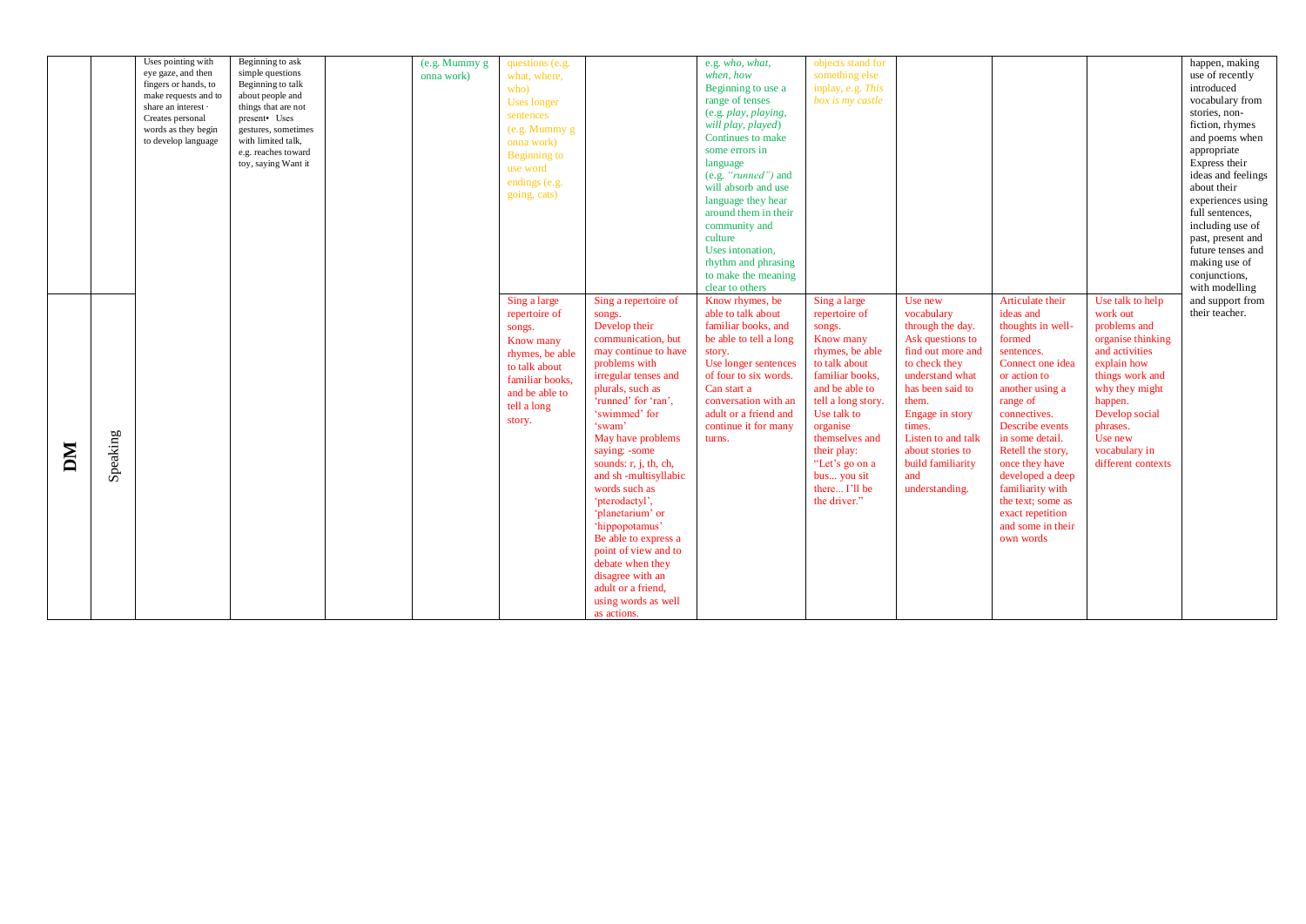|    |          | Uses pointing with   | Beginning to ask    | (e.g. Mummy g | questions (e.g. |                         | e.g. who, what,        | objects stand for  |                    |                   |                    | happen, making     |
|----|----------|----------------------|---------------------|---------------|-----------------|-------------------------|------------------------|--------------------|--------------------|-------------------|--------------------|--------------------|
|    |          | eye gaze, and then   | simple questions    | onna work)    | what, where,    |                         | when, how              | something else     |                    |                   |                    | use of recently    |
|    |          | fingers or hands, to | Beginning to talk   |               | who)            |                         | Beginning to use a     | inplay, e.g. This  |                    |                   |                    | introduced         |
|    |          | make requests and to | about people and    |               |                 |                         | range of tenses        | box is my castle   |                    |                   |                    | vocabulary from    |
|    |          | share an interest -  | things that are not |               | Uses longer     |                         |                        |                    |                    |                   |                    |                    |
|    |          | Creates personal     | present• Uses       |               | sentences       |                         | (e.g. play, playing,   |                    |                    |                   |                    | stories, non-      |
|    |          | words as they begin  | gestures, sometimes |               | (e.g. Mummy g)  |                         | will play, played)     |                    |                    |                   |                    | fiction, rhymes    |
|    |          | to develop language  | with limited talk,  |               | onna work)      |                         | Continues to make      |                    |                    |                   |                    | and poems when     |
|    |          |                      | e.g. reaches toward |               |                 |                         | some errors in         |                    |                    |                   |                    | appropriate        |
|    |          |                      | toy, saying Want it |               | Beginning to    |                         | language               |                    |                    |                   |                    | Express their      |
|    |          |                      |                     |               | use word        |                         | (e.g. "runned") and    |                    |                    |                   |                    | ideas and feelings |
|    |          |                      |                     |               | endings (e.g.   |                         |                        |                    |                    |                   |                    |                    |
|    |          |                      |                     |               | going, cats)    |                         | will absorb and use    |                    |                    |                   |                    | about their        |
|    |          |                      |                     |               |                 |                         | language they hear     |                    |                    |                   |                    | experiences using  |
|    |          |                      |                     |               |                 |                         | around them in their   |                    |                    |                   |                    | full sentences,    |
|    |          |                      |                     |               |                 |                         | community and          |                    |                    |                   |                    | including use of   |
|    |          |                      |                     |               |                 |                         | culture                |                    |                    |                   |                    | past, present and  |
|    |          |                      |                     |               |                 |                         |                        |                    |                    |                   |                    |                    |
|    |          |                      |                     |               |                 |                         | Uses intonation.       |                    |                    |                   |                    | future tenses and  |
|    |          |                      |                     |               |                 |                         | rhythm and phrasing    |                    |                    |                   |                    | making use of      |
|    |          |                      |                     |               |                 |                         | to make the meaning    |                    |                    |                   |                    | conjunctions,      |
|    |          |                      |                     |               |                 |                         | clear to others        |                    |                    |                   |                    | with modelling     |
|    |          |                      |                     |               | Sing a large    | Sing a repertoire of    | Know rhymes, be        | Sing a large       | Use new            | Articulate their  | Use talk to help   | and support from   |
|    |          |                      |                     |               |                 |                         | able to talk about     | repertoire of      | vocabulary         | ideas and         | work out           | their teacher.     |
|    |          |                      |                     |               | repertoire of   | songs.                  |                        |                    |                    |                   |                    |                    |
|    |          |                      |                     |               | songs.          | Develop their           | familiar books, and    | songs.             | through the day.   | thoughts in well- | problems and       |                    |
|    |          |                      |                     |               | Know many       | communication, but      | be able to tell a long | Know many          | Ask questions to   | formed            | organise thinking  |                    |
|    |          |                      |                     |               | rhymes, be able | may continue to have    | story.                 | rhymes, be able    | find out more and  | sentences.        | and activities     |                    |
|    |          |                      |                     |               | to talk about   | problems with           | Use longer sentences   | to talk about      | to check they      | Connect one idea  | explain how        |                    |
|    |          |                      |                     |               |                 | irregular tenses and    | of four to six words.  | familiar books,    | understand what    | or action to      | things work and    |                    |
|    |          |                      |                     |               | familiar books. | plurals, such as        | Can start a            | and be able to     | has been said to   |                   | why they might     |                    |
|    |          |                      |                     |               | and be able to  |                         |                        |                    |                    | another using a   |                    |                    |
|    |          |                      |                     |               | tell a long     | 'runned' for 'ran',     | conversation with an   | tell a long story. | them.              | range of          | happen.            |                    |
|    |          |                      |                     |               |                 | 'swimmed' for           | adult or a friend and  | Use talk to        | Engage in story    | connectives.      | Develop social     |                    |
|    |          |                      |                     |               | story.          | 'swam'                  | continue it for many   | organise           | times.             | Describe events   | phrases.           |                    |
|    |          |                      |                     |               |                 | May have problems       | turns.                 | themselves and     | Listen to and talk | in some detail.   | Use new            |                    |
|    |          |                      |                     |               |                 |                         |                        |                    | about stories to   | Retell the story, | vocabulary in      |                    |
|    |          |                      |                     |               |                 | saying: -some           |                        | their play:        |                    |                   |                    |                    |
| DМ | Speaking |                      |                     |               |                 | sounds: $r, j, th, ch,$ |                        | "Let's go on a     | build familiarity  | once they have    | different contexts |                    |
|    |          |                      |                     |               |                 | and sh-multisyllabic    |                        | bus you sit        | and                | developed a deep  |                    |                    |
|    |          |                      |                     |               |                 | words such as           |                        | there I'll be      | understanding.     | familiarity with  |                    |                    |
|    |          |                      |                     |               |                 | 'pterodactyl',          |                        | the driver."       |                    | the text: some as |                    |                    |
|    |          |                      |                     |               |                 | 'planetarium' or        |                        |                    |                    | exact repetition  |                    |                    |
|    |          |                      |                     |               |                 |                         |                        |                    |                    |                   |                    |                    |
|    |          |                      |                     |               |                 | 'hippopotamus'          |                        |                    |                    | and some in their |                    |                    |
|    |          |                      |                     |               |                 | Be able to express a    |                        |                    |                    | own words         |                    |                    |
|    |          |                      |                     |               |                 | point of view and to    |                        |                    |                    |                   |                    |                    |
|    |          |                      |                     |               |                 | debate when they        |                        |                    |                    |                   |                    |                    |
|    |          |                      |                     |               |                 | disagree with an        |                        |                    |                    |                   |                    |                    |
|    |          |                      |                     |               |                 | adult or a friend,      |                        |                    |                    |                   |                    |                    |
|    |          |                      |                     |               |                 |                         |                        |                    |                    |                   |                    |                    |
|    |          |                      |                     |               |                 | using words as well     |                        |                    |                    |                   |                    |                    |
|    |          |                      |                     |               |                 | as actions.             |                        |                    |                    |                   |                    |                    |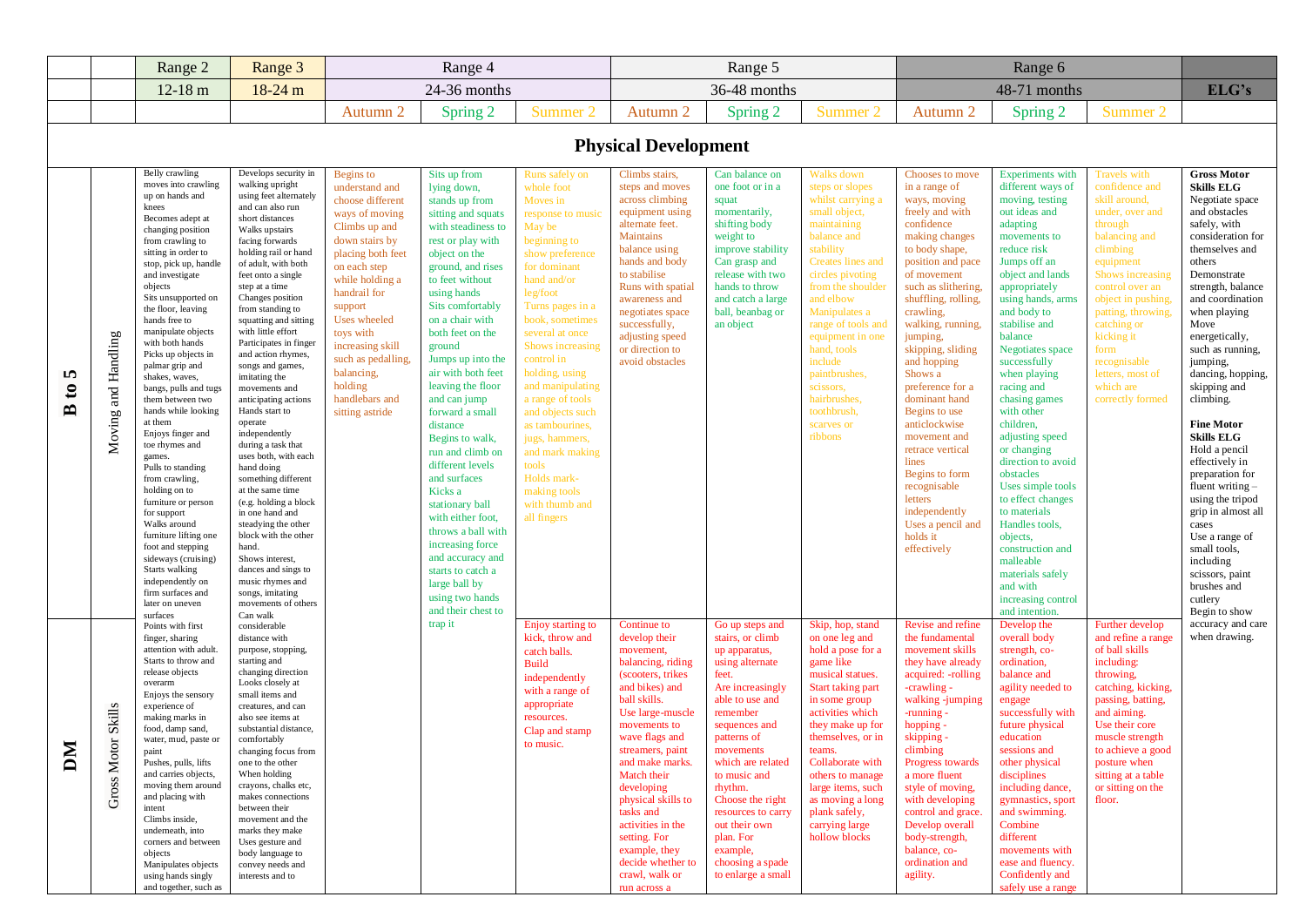|                                                  |                                                          | Range 2                                                                                                                                                                                                                                                                                                                                                                                                                                                                                                                                                                                                                                                                                                                                                                                      | Range 3                                                                                                                                                                                                                                                                                                                                                                                                                                                                                                                                                                                                                                                                                                                                                                                                                                 |                                                                                                                                                                                                                                                                                                                              | Range 4                                                                                                                                                                                                                                                                                                                                                                                                                                                                                                                                                                                                                                               |                                                                                                                                                                                                                                                                                                                                                                                                                                                                  |                                                                                                                                                                                                                                                                                                                                                                                                 | Range 5                                                                                                                                                                                                                                                                                                                                                        |                                                                                                                                                                                                                                                                                                                                                                      |                                                                                                                                                                                                                                                                                                                                                                                                                                                                                                                                        | Range 6                                                                                                                                                                                                                                                                                                                                                                                                                                                                                                                                                                                                                       |                                                                                                                                                                                                                                                                                                                            |                                                                                                                                                                                                                                                                                                                                                                                                                                                                                                                                                                                                                                           |
|--------------------------------------------------|----------------------------------------------------------|----------------------------------------------------------------------------------------------------------------------------------------------------------------------------------------------------------------------------------------------------------------------------------------------------------------------------------------------------------------------------------------------------------------------------------------------------------------------------------------------------------------------------------------------------------------------------------------------------------------------------------------------------------------------------------------------------------------------------------------------------------------------------------------------|-----------------------------------------------------------------------------------------------------------------------------------------------------------------------------------------------------------------------------------------------------------------------------------------------------------------------------------------------------------------------------------------------------------------------------------------------------------------------------------------------------------------------------------------------------------------------------------------------------------------------------------------------------------------------------------------------------------------------------------------------------------------------------------------------------------------------------------------|------------------------------------------------------------------------------------------------------------------------------------------------------------------------------------------------------------------------------------------------------------------------------------------------------------------------------|-------------------------------------------------------------------------------------------------------------------------------------------------------------------------------------------------------------------------------------------------------------------------------------------------------------------------------------------------------------------------------------------------------------------------------------------------------------------------------------------------------------------------------------------------------------------------------------------------------------------------------------------------------|------------------------------------------------------------------------------------------------------------------------------------------------------------------------------------------------------------------------------------------------------------------------------------------------------------------------------------------------------------------------------------------------------------------------------------------------------------------|-------------------------------------------------------------------------------------------------------------------------------------------------------------------------------------------------------------------------------------------------------------------------------------------------------------------------------------------------------------------------------------------------|----------------------------------------------------------------------------------------------------------------------------------------------------------------------------------------------------------------------------------------------------------------------------------------------------------------------------------------------------------------|----------------------------------------------------------------------------------------------------------------------------------------------------------------------------------------------------------------------------------------------------------------------------------------------------------------------------------------------------------------------|----------------------------------------------------------------------------------------------------------------------------------------------------------------------------------------------------------------------------------------------------------------------------------------------------------------------------------------------------------------------------------------------------------------------------------------------------------------------------------------------------------------------------------------|-------------------------------------------------------------------------------------------------------------------------------------------------------------------------------------------------------------------------------------------------------------------------------------------------------------------------------------------------------------------------------------------------------------------------------------------------------------------------------------------------------------------------------------------------------------------------------------------------------------------------------|----------------------------------------------------------------------------------------------------------------------------------------------------------------------------------------------------------------------------------------------------------------------------------------------------------------------------|-------------------------------------------------------------------------------------------------------------------------------------------------------------------------------------------------------------------------------------------------------------------------------------------------------------------------------------------------------------------------------------------------------------------------------------------------------------------------------------------------------------------------------------------------------------------------------------------------------------------------------------------|
|                                                  |                                                          | $12-18 \text{ m}$                                                                                                                                                                                                                                                                                                                                                                                                                                                                                                                                                                                                                                                                                                                                                                            | 18-24 m                                                                                                                                                                                                                                                                                                                                                                                                                                                                                                                                                                                                                                                                                                                                                                                                                                 |                                                                                                                                                                                                                                                                                                                              | 24-36 months                                                                                                                                                                                                                                                                                                                                                                                                                                                                                                                                                                                                                                          |                                                                                                                                                                                                                                                                                                                                                                                                                                                                  |                                                                                                                                                                                                                                                                                                                                                                                                 | 36-48 months                                                                                                                                                                                                                                                                                                                                                   |                                                                                                                                                                                                                                                                                                                                                                      |                                                                                                                                                                                                                                                                                                                                                                                                                                                                                                                                        | 48-71 months                                                                                                                                                                                                                                                                                                                                                                                                                                                                                                                                                                                                                  |                                                                                                                                                                                                                                                                                                                            | ELG's                                                                                                                                                                                                                                                                                                                                                                                                                                                                                                                                                                                                                                     |
|                                                  |                                                          |                                                                                                                                                                                                                                                                                                                                                                                                                                                                                                                                                                                                                                                                                                                                                                                              |                                                                                                                                                                                                                                                                                                                                                                                                                                                                                                                                                                                                                                                                                                                                                                                                                                         | Autumn 2                                                                                                                                                                                                                                                                                                                     | Spring 2                                                                                                                                                                                                                                                                                                                                                                                                                                                                                                                                                                                                                                              | Summer 2                                                                                                                                                                                                                                                                                                                                                                                                                                                         | Autumn 2                                                                                                                                                                                                                                                                                                                                                                                        | Spring 2                                                                                                                                                                                                                                                                                                                                                       | Summer 2                                                                                                                                                                                                                                                                                                                                                             | Autumn 2                                                                                                                                                                                                                                                                                                                                                                                                                                                                                                                               | Spring 2                                                                                                                                                                                                                                                                                                                                                                                                                                                                                                                                                                                                                      | Summer 2                                                                                                                                                                                                                                                                                                                   |                                                                                                                                                                                                                                                                                                                                                                                                                                                                                                                                                                                                                                           |
|                                                  |                                                          |                                                                                                                                                                                                                                                                                                                                                                                                                                                                                                                                                                                                                                                                                                                                                                                              |                                                                                                                                                                                                                                                                                                                                                                                                                                                                                                                                                                                                                                                                                                                                                                                                                                         |                                                                                                                                                                                                                                                                                                                              |                                                                                                                                                                                                                                                                                                                                                                                                                                                                                                                                                                                                                                                       |                                                                                                                                                                                                                                                                                                                                                                                                                                                                  | <b>Physical Development</b>                                                                                                                                                                                                                                                                                                                                                                     |                                                                                                                                                                                                                                                                                                                                                                |                                                                                                                                                                                                                                                                                                                                                                      |                                                                                                                                                                                                                                                                                                                                                                                                                                                                                                                                        |                                                                                                                                                                                                                                                                                                                                                                                                                                                                                                                                                                                                                               |                                                                                                                                                                                                                                                                                                                            |                                                                                                                                                                                                                                                                                                                                                                                                                                                                                                                                                                                                                                           |
| m<br>$\boldsymbol{\mathfrak{e}}$<br>$\mathbf{a}$ | Moving and Handling                                      | Belly crawling<br>moves into crawling<br>up on hands and<br>knees<br>Becomes adept at<br>changing position<br>from crawling to<br>sitting in order to<br>stop, pick up, handle<br>and investigate<br>objects<br>Sits unsupported on<br>the floor, leaving<br>hands free to<br>manipulate objects<br>with both hands<br>Picks up objects in<br>palmar grip and<br>shakes, waves,<br>bangs, pulls and tugs<br>them between two<br>hands while looking<br>at them<br>Enjoys finger and<br>toe rhymes and<br>games.<br>Pulls to standing<br>from crawling,<br>holding on to<br>furniture or person<br>for support<br>Walks around<br>furniture lifting one<br>foot and stepping<br>sideways (cruising)<br>Starts walking<br>independently on<br>firm surfaces and<br>later on uneven<br>surfaces | Develops security in<br>walking upright<br>using feet alternately<br>and can also run<br>short distances<br>Walks upstairs<br>facing forwards<br>holding rail or hand<br>of adult, with both<br>feet onto a single<br>step at a time<br>Changes position<br>from standing to<br>squatting and sitting<br>with little effort<br>Participates in finger<br>and action rhymes,<br>songs and games,<br>imitating the<br>movements and<br>anticipating actions<br>Hands start to<br>operate<br>independently<br>during a task that<br>uses both, with each<br>hand doing<br>something different<br>at the same time<br>(e.g. holding a block<br>in one hand and<br>steadying the other<br>block with the other<br>hand.<br>Shows interest,<br>dances and sings to<br>music rhymes and<br>songs, imitating<br>movements of others<br>Can walk | Begins to<br>understand and<br>choose different<br>ways of moving<br>Climbs up and<br>down stairs by<br>placing both feet<br>on each step<br>while holding a<br>handrail for<br>support<br>Uses wheeled<br>toys with<br>increasing skill<br>such as pedalling,<br>balancing,<br>holding<br>handlebars and<br>sitting astride | Sits up from<br>lying down,<br>stands up from<br>sitting and squats<br>with steadiness to<br>rest or play with<br>object on the<br>ground, and rises<br>to feet without<br>using hands<br>Sits comfortably<br>on a chair with<br>both feet on the<br>ground<br>Jumps up into the<br>air with both feet<br>leaving the floor<br>and can jump<br>forward a small<br>distance<br>Begins to walk,<br>run and climb on<br>different levels<br>and surfaces<br>Kicks a<br>stationary ball<br>with either foot,<br>throws a ball with<br>increasing force<br>and accuracy and<br>starts to catch a<br>large ball by<br>using two hands<br>and their chest to | Runs safely on<br>whole foot<br>Moves in<br>response to music<br>May be<br>beginning to<br>show preference<br>for dominant<br>hand and/or<br>leg/foot<br>Turns pages in a<br>book, sometimes<br>several at once<br>Shows increasing<br>control in<br>holding, using<br>and manipulating<br>a range of tools<br>and objects such<br>as tambourines,<br>jugs, hammers,<br>and mark making<br>tools<br>Holds mark-<br>making tools<br>with thumb and<br>all fingers | Climbs stairs,<br>steps and moves<br>across climbing<br>equipment using<br>alternate feet.<br><b>Maintains</b><br>balance using<br>hands and body<br>to stabilise<br>Runs with spatial<br>awareness and<br>negotiates space<br>successfully,<br>adjusting speed<br>or direction to<br>avoid obstacles                                                                                           | Can balance on<br>one foot or in a<br>squat<br>momentarily,<br>shifting body<br>weight to<br>improve stability<br>Can grasp and<br>release with two<br>hands to throw<br>and catch a large<br>ball, beanbag or<br>an object                                                                                                                                    | Walks down<br>steps or slopes<br>whilst carrying a<br>small object,<br>maintaining<br>balance and<br>stability<br>Creates lines and<br>circles pivoting<br>from the shoulder<br>and elbow<br>Manipulates a<br>range of tools and<br>equipment in one<br>hand, tools<br>include<br>paintbrushes,<br>scissors.<br>hairbrushes,<br>toothbrush,<br>scarves or<br>ribbons | Chooses to move<br>in a range of<br>ways, moving<br>freely and with<br>confidence<br>making changes<br>to body shape,<br>position and pace<br>of movement<br>such as slithering,<br>shuffling, rolling,<br>crawling,<br>walking, running,<br>jumping,<br>skipping, sliding<br>and hopping<br>Shows a<br>preference for a<br>dominant hand<br>Begins to use<br>anticlockwise<br>movement and<br>retrace vertical<br>lines<br>Begins to form<br>recognisable<br>letters<br>independently<br>Uses a pencil and<br>holds it<br>effectively | Experiments with<br>different ways of<br>moving, testing<br>out ideas and<br>adapting<br>movements to<br>reduce risk<br>Jumps off an<br>object and lands<br>appropriately<br>using hands, arms<br>and body to<br>stabilise and<br>balance<br>Negotiates space<br>successfully<br>when playing<br>racing and<br>chasing games<br>with other<br>children,<br>adjusting speed<br>or changing<br>direction to avoid<br>obstacles<br>Uses simple tools<br>to effect changes<br>to materials<br>Handles tools,<br>objects,<br>construction and<br>malleable<br>materials safely<br>and with<br>increasing control<br>and intention. | <b>Travels</b> with<br>confidence and<br>skill around,<br>under, over and<br>through<br>balancing and<br>climbing<br>equipment<br>Shows increasing<br>control over an<br>object in pushing<br>patting, throwing.<br>catching or<br>kicking it<br>form<br>recognisable<br>letters, most of<br>which are<br>correctly formed | <b>Gross Motor</b><br><b>Skills ELG</b><br>Negotiate space<br>and obstacles<br>safely, with<br>consideration for<br>themselves and<br>others<br>Demonstrate<br>strength, balance<br>and coordination<br>when playing<br>Move<br>energetically,<br>such as running,<br>jumping,<br>dancing, hopping,<br>skipping and<br>climbing.<br><b>Fine Motor</b><br><b>Skills ELG</b><br>Hold a pencil<br>effectively in<br>preparation for<br>fluent writing -<br>using the tripod<br>grip in almost all<br>cases<br>Use a range of<br>small tools,<br>including<br>scissors, paint<br>brushes and<br>cutlery<br>Begin to show<br>accuracy and care |
| 宝<br>á                                           | <b>Skills</b><br>$\overleftarrow{\text{o}}$<br>Gross Mot | Points with first<br>finger, sharing<br>attention with adult.<br>Starts to throw and<br>release objects<br>overarm<br>Enjoys the sensory<br>experience of<br>making marks in<br>food, damp sand,<br>water, mud, paste or<br>paint<br>Pushes, pulls, lifts<br>and carries objects,<br>moving them around<br>and placing with<br>intent<br>Climbs inside,<br>underneath, into<br>corners and between<br>objects<br>Manipulates objects<br>using hands singly<br>and together, such as                                                                                                                                                                                                                                                                                                          | considerable<br>distance with<br>purpose, stopping,<br>starting and<br>changing direction<br>Looks closely at<br>small items and<br>creatures, and can<br>also see items at<br>substantial distance,<br>comfortably<br>changing focus from<br>one to the other<br>When holding<br>crayons, chalks etc,<br>makes connections<br>between their<br>movement and the<br>marks they make<br>Uses gesture and<br>body language to<br>convey needs and<br>interests and to                                                                                                                                                                                                                                                                                                                                                                     |                                                                                                                                                                                                                                                                                                                              | trap it                                                                                                                                                                                                                                                                                                                                                                                                                                                                                                                                                                                                                                               | Enjoy starting to<br>kick, throw and<br>catch balls.<br><b>Build</b><br>independently<br>with a range of<br>appropriate<br>resources.<br>Clap and stamp<br>to music.                                                                                                                                                                                                                                                                                             | Continue to<br>develop their<br>movement,<br>balancing, riding<br>(scooters, trikes<br>and bikes) and<br>ball skills.<br>Use large-muscle<br>movements to<br>wave flags and<br>streamers, paint<br>and make marks.<br>Match their<br>developing<br>physical skills to<br>tasks and<br>activities in the<br>setting. For<br>example, they<br>decide whether to<br>crawl, walk or<br>run across a | Go up steps and<br>stairs, or climb<br>up apparatus,<br>using alternate<br>feet.<br>Are increasingly<br>able to use and<br>remember<br>sequences and<br>patterns of<br>movements<br>which are related<br>to music and<br>rhythm.<br>Choose the right<br>resources to carry<br>out their own<br>plan. For<br>example,<br>choosing a spade<br>to enlarge a small | Skip, hop, stand<br>on one leg and<br>hold a pose for a<br>game like<br>musical statues.<br>Start taking part<br>in some group<br>activities which<br>they make up for<br>themselves, or in<br>leailis.<br>Collaborate with<br>others to manage<br>large items, such<br>as moving a long<br>plank safely,<br>carrying large<br>hollow blocks                         | Revise and refine<br>the fundamental<br>movement skills<br>they have already<br>acquired: -rolling<br>-crawling -<br>walking -jumping<br>-running -<br>hopping -<br>skipping -<br>climbing<br>Progress towards<br>a more fluent<br>style of moving,<br>with developing<br>control and grace.<br>Develop overall<br>body-strength,<br>balance, co-<br>ordination and<br>agility.                                                                                                                                                        | Develop the<br>overall body<br>strength, co-<br>ordination,<br>balance and<br>agility needed to<br>engage<br>successfully with<br>future physical<br>education<br>sessions and<br>other physical<br>disciplines<br>including dance,<br>gymnastics, sport<br>and swimming.<br>Combine<br>different<br>movements with<br>ease and fluency.<br>Confidently and<br>safely use a range                                                                                                                                                                                                                                             | Further develop<br>and refine a range<br>of ball skills<br>including:<br>throwing,<br>catching, kicking,<br>passing, batting,<br>and aiming.<br>Use their core<br>muscle strength<br>to achieve a good<br>posture when<br>sitting at a table<br>or sitting on the<br>floor.                                                | when drawing.                                                                                                                                                                                                                                                                                                                                                                                                                                                                                                                                                                                                                             |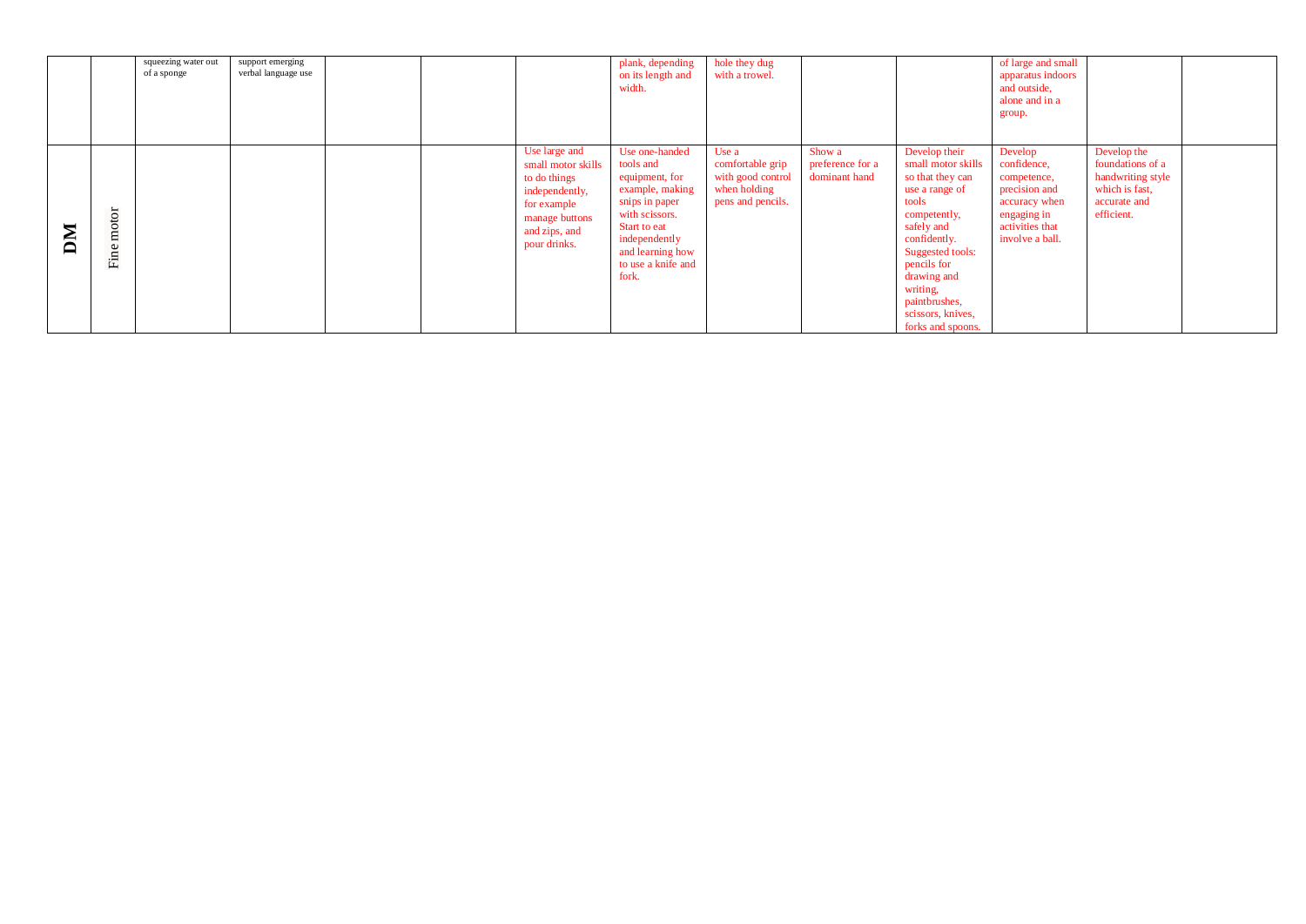|   |               | squeezing water out<br>of a sponge | support emerging<br>verbal language use |  |                                                                                                                                         | plank, depending<br>on its length and<br>width.                                                                                                                                          | hole they dug<br>with a trowel.                                                     |                                             |                                                                                                                                                                                                                                                           | of large and small<br>apparatus indoors<br>and outside,<br>alone and in a<br>group.                                          |                                                                                                      |  |
|---|---------------|------------------------------------|-----------------------------------------|--|-----------------------------------------------------------------------------------------------------------------------------------------|------------------------------------------------------------------------------------------------------------------------------------------------------------------------------------------|-------------------------------------------------------------------------------------|---------------------------------------------|-----------------------------------------------------------------------------------------------------------------------------------------------------------------------------------------------------------------------------------------------------------|------------------------------------------------------------------------------------------------------------------------------|------------------------------------------------------------------------------------------------------|--|
| M | motor<br>Fine |                                    |                                         |  | Use large and<br>small motor skills<br>to do things<br>independently,<br>for example<br>manage buttons<br>and zips, and<br>pour drinks. | Use one-handed<br>tools and<br>equipment, for<br>example, making<br>snips in paper<br>with scissors.<br>Start to eat<br>independently<br>and learning how<br>to use a knife and<br>fork. | Use a<br>comfortable grip<br>with good control<br>when holding<br>pens and pencils. | Show a<br>preference for a<br>dominant hand | Develop their<br>small motor skills<br>so that they can<br>use a range of<br>tools<br>competently,<br>safely and<br>confidently.<br>Suggested tools:<br>pencils for<br>drawing and<br>writing,<br>paintbrushes,<br>scissors, knives,<br>forks and spoons. | Develop<br>confidence,<br>competence,<br>precision and<br>accuracy when<br>engaging in<br>activities that<br>involve a ball. | Develop the<br>foundations of a<br>handwriting style<br>which is fast,<br>accurate and<br>efficient. |  |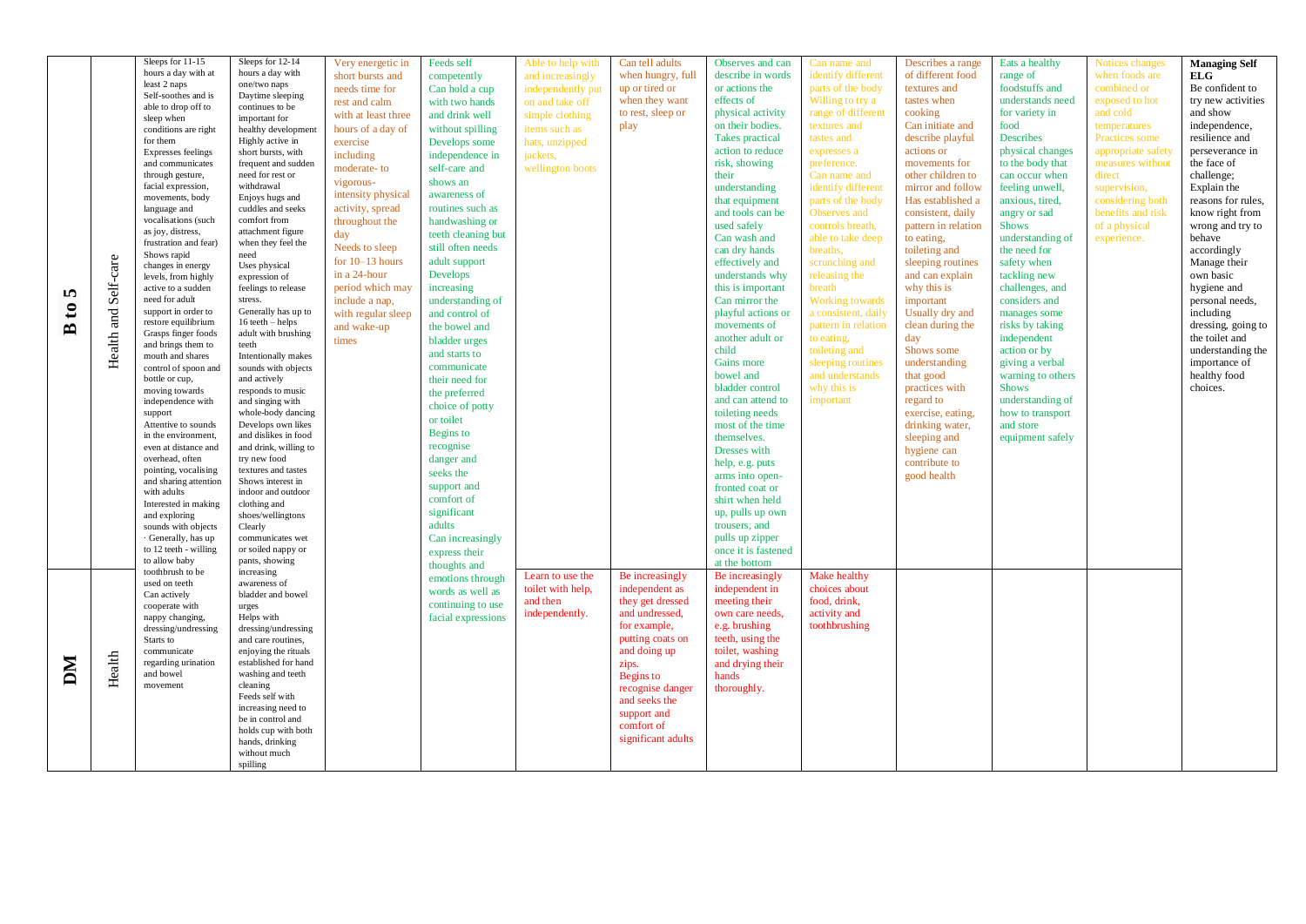| 5<br>$\boldsymbol{\mathfrak{g}}$<br>$\mathbf{B}$ | and Self-care<br>Health | Sleeps for 11-15<br>hours a day with at<br>least 2 naps<br>Self-soothes and is<br>able to drop off to<br>sleep when<br>conditions are right<br>for them<br><b>Expresses feelings</b><br>and communicates<br>through gesture,<br>facial expression,<br>movements, body<br>language and<br>vocalisations (such<br>as joy, distress,<br>frustration and fear)<br>Shows rapid<br>changes in energy<br>levels, from highly<br>active to a sudden<br>need for adult<br>support in order to<br>restore equilibrium<br>Grasps finger foods<br>and brings them to<br>mouth and shares<br>control of spoon and<br>bottle or cup,<br>moving towards<br>independence with<br>support<br>Attentive to sounds | Sleeps for 12-14<br>hours a day with<br>one/two naps<br>Daytime sleeping<br>continues to be<br>important for<br>healthy development<br>Highly active in<br>short bursts, with<br>frequent and sudden<br>need for rest or<br>withdrawal<br>Enjoys hugs and<br>cuddles and seeks<br>comfort from<br>attachment figure<br>when they feel the<br>need<br>Uses physical<br>expression of<br>feelings to release<br>stress.<br>Generally has up to<br>16 teeth - helps<br>adult with brushing<br>teeth<br>Intentionally makes<br>sounds with objects<br>and actively<br>responds to music<br>and singing with<br>whole-body dancing<br>Develops own likes | Very energetic in<br>short bursts and<br>needs time for<br>rest and calm<br>with at least three<br>hours of a day of<br>exercise<br>including<br>moderate-to<br>vigorous-<br>intensity physical<br>activity, spread<br>throughout the<br>day<br>Needs to sleep<br>for $10-13$ hours<br>in a 24-hour<br>period which may<br>include a nap,<br>with regular sleep<br>and wake-up<br>times | Feeds self<br>competently<br>Can hold a cup<br>with two hands<br>and drink well<br>without spilling<br>Develops some<br>independence in<br>self-care and<br>shows an<br>awareness of<br>routines such as<br>handwashing or<br>teeth cleaning but<br>still often needs<br>adult support<br>Develops<br>increasing<br>understanding of<br>and control of<br>the bowel and<br>bladder urges<br>and starts to<br>communicate<br>their need for<br>the preferred<br>choice of potty<br>or toilet | Able to help with<br>and increasingly<br>independently put<br>on and take off<br>simple clothing<br>items such as<br>hats, unzipped<br>jackets,<br>wellington boots | Can tell adults<br>when hungry, full<br>up or tired or<br>when they want<br>to rest, sleep or<br>play                                                                                                                                     | Observes and can<br>describe in words<br>or actions the<br>effects of<br>physical activity<br>on their bodies.<br>Takes practical<br>action to reduce<br>risk, showing<br>their<br>understanding<br>that equipment<br>and tools can be<br>used safely<br>Can wash and<br>can dry hands<br>effectively and<br>understands why<br>this is important<br>Can mirror the<br>playful actions or<br>movements of<br>another adult or<br>child<br>Gains more<br>bowel and<br>bladder control<br>and can attend to<br>toileting needs<br>most of the time | Can name and<br>identify different<br>parts of the body<br>Willing to try a<br>range of different<br>textures and<br>tastes and<br>expresses a<br>preference.<br>Can name and<br>identify different<br>parts of the body<br>Observes and<br>controls breath,<br>able to take deep<br>breaths,<br>scrunching and<br>releasing the<br>breath<br><b>Working towards</b><br>a consistent, daily<br>pattern in relation<br>to eating,<br>toileting and<br>sleeping routines<br>and understands<br>why this is<br>important | Describes a range<br>of different food<br>textures and<br>tastes when<br>cooking<br>Can initiate and<br>describe playful<br>actions or<br>movements for<br>other children to<br>mirror and follow<br>Has established a<br>consistent, daily<br>pattern in relation<br>to eating,<br>toileting and<br>sleeping routines<br>and can explain<br>why this is<br>important<br>Usually dry and<br>clean during the<br>day<br>Shows some<br>understanding<br>that good<br>practices with<br>regard to<br>exercise, eating,<br>drinking water, | Eats a healthy<br>range of<br>foodstuffs and<br>understands need<br>for variety in<br>food<br>Describes<br>physical changes<br>to the body that<br>can occur when<br>feeling unwell,<br>anxious, tired,<br>angry or sad<br><b>Shows</b><br>understanding of<br>the need for<br>safety when<br>tackling new<br>challenges, and<br>considers and<br>manages some<br>risks by taking<br>independent<br>action or by<br>giving a verbal<br>warning to others<br><b>Shows</b><br>understanding of<br>how to transport<br>and store | Notices changes<br>when foods are<br>combined or<br>exposed to hot<br>and cold<br>temperatures<br>Practices some<br>appropriate safety<br>measures without<br>direct<br>supervision,<br>considering both<br>benefits and risk<br>of a physical<br>experience. | <b>Managing Self</b><br>ELG<br>Be confident to<br>try new activities<br>and show<br>independence,<br>resilience and<br>perseverance in<br>the face of<br>challenge;<br>Explain the<br>reasons for rules,<br>know right from<br>wrong and try to<br>behave<br>accordingly<br>Manage their<br>own basic<br>hygiene and<br>personal needs,<br>including<br>dressing, going to<br>the toilet and<br>understanding the<br>importance of<br>healthy food<br>choices. |
|--------------------------------------------------|-------------------------|-------------------------------------------------------------------------------------------------------------------------------------------------------------------------------------------------------------------------------------------------------------------------------------------------------------------------------------------------------------------------------------------------------------------------------------------------------------------------------------------------------------------------------------------------------------------------------------------------------------------------------------------------------------------------------------------------|-----------------------------------------------------------------------------------------------------------------------------------------------------------------------------------------------------------------------------------------------------------------------------------------------------------------------------------------------------------------------------------------------------------------------------------------------------------------------------------------------------------------------------------------------------------------------------------------------------------------------------------------------------|-----------------------------------------------------------------------------------------------------------------------------------------------------------------------------------------------------------------------------------------------------------------------------------------------------------------------------------------------------------------------------------------|---------------------------------------------------------------------------------------------------------------------------------------------------------------------------------------------------------------------------------------------------------------------------------------------------------------------------------------------------------------------------------------------------------------------------------------------------------------------------------------------|---------------------------------------------------------------------------------------------------------------------------------------------------------------------|-------------------------------------------------------------------------------------------------------------------------------------------------------------------------------------------------------------------------------------------|--------------------------------------------------------------------------------------------------------------------------------------------------------------------------------------------------------------------------------------------------------------------------------------------------------------------------------------------------------------------------------------------------------------------------------------------------------------------------------------------------------------------------------------------------|-----------------------------------------------------------------------------------------------------------------------------------------------------------------------------------------------------------------------------------------------------------------------------------------------------------------------------------------------------------------------------------------------------------------------------------------------------------------------------------------------------------------------|----------------------------------------------------------------------------------------------------------------------------------------------------------------------------------------------------------------------------------------------------------------------------------------------------------------------------------------------------------------------------------------------------------------------------------------------------------------------------------------------------------------------------------------|-------------------------------------------------------------------------------------------------------------------------------------------------------------------------------------------------------------------------------------------------------------------------------------------------------------------------------------------------------------------------------------------------------------------------------------------------------------------------------------------------------------------------------|---------------------------------------------------------------------------------------------------------------------------------------------------------------------------------------------------------------------------------------------------------------|----------------------------------------------------------------------------------------------------------------------------------------------------------------------------------------------------------------------------------------------------------------------------------------------------------------------------------------------------------------------------------------------------------------------------------------------------------------|
| DМ                                               | Health                  | with adults<br>Interested in making<br>and exploring<br>sounds with objects<br>· Generally, has up<br>to 12 teeth - willing<br>to allow baby<br>toothbrush to be<br>used on teeth<br>Can actively<br>cooperate with<br>nappy changing,<br>dressing/undressing<br>Starts to<br>communicate<br>regarding urination<br>and bowel<br>movement                                                                                                                                                                                                                                                                                                                                                       | indoor and outdoor<br>clothing and<br>shoes/wellingtons<br>Clearly<br>communicates wet<br>or soiled nappy or<br>pants, showing<br>increasing<br>awareness of<br>bladder and bowel<br>urges<br>Helps with<br>dressing/undressing<br>and care routines,<br>enjoying the rituals<br>established for hand<br>washing and teeth<br>cleaning<br>Feeds self with<br>increasing need to<br>be in control and<br>holds cup with both<br>hands, drinking<br>without much<br>spilling                                                                                                                                                                          |                                                                                                                                                                                                                                                                                                                                                                                         | comfort of<br>significant<br>adults<br>Can increasingly<br>express their<br>thoughts and<br>emotions through<br>words as well as<br>continuing to use<br>facial expressions                                                                                                                                                                                                                                                                                                                 | Learn to use the<br>toilet with help,<br>and then<br>independently.                                                                                                 | Be increasingly<br>independent as<br>they get dressed<br>and undressed,<br>for example,<br>putting coats on<br>and doing up<br>zips.<br>Begins to<br>recognise danger<br>and seeks the<br>support and<br>comfort of<br>significant adults | shirt when held<br>up, pulls up own<br>trousers, and<br>pulls up zipper<br>once it is fastened<br>at the bottom<br>Be increasingly<br>independent in<br>meeting their<br>own care needs,<br>e.g. brushing<br>teeth, using the<br>toilet, washing<br>and drying their<br>hands<br>thoroughly.                                                                                                                                                                                                                                                     | Make healthy<br>choices about<br>food, drink,<br>activity and<br>toothbrushing                                                                                                                                                                                                                                                                                                                                                                                                                                        |                                                                                                                                                                                                                                                                                                                                                                                                                                                                                                                                        |                                                                                                                                                                                                                                                                                                                                                                                                                                                                                                                               |                                                                                                                                                                                                                                                               |                                                                                                                                                                                                                                                                                                                                                                                                                                                                |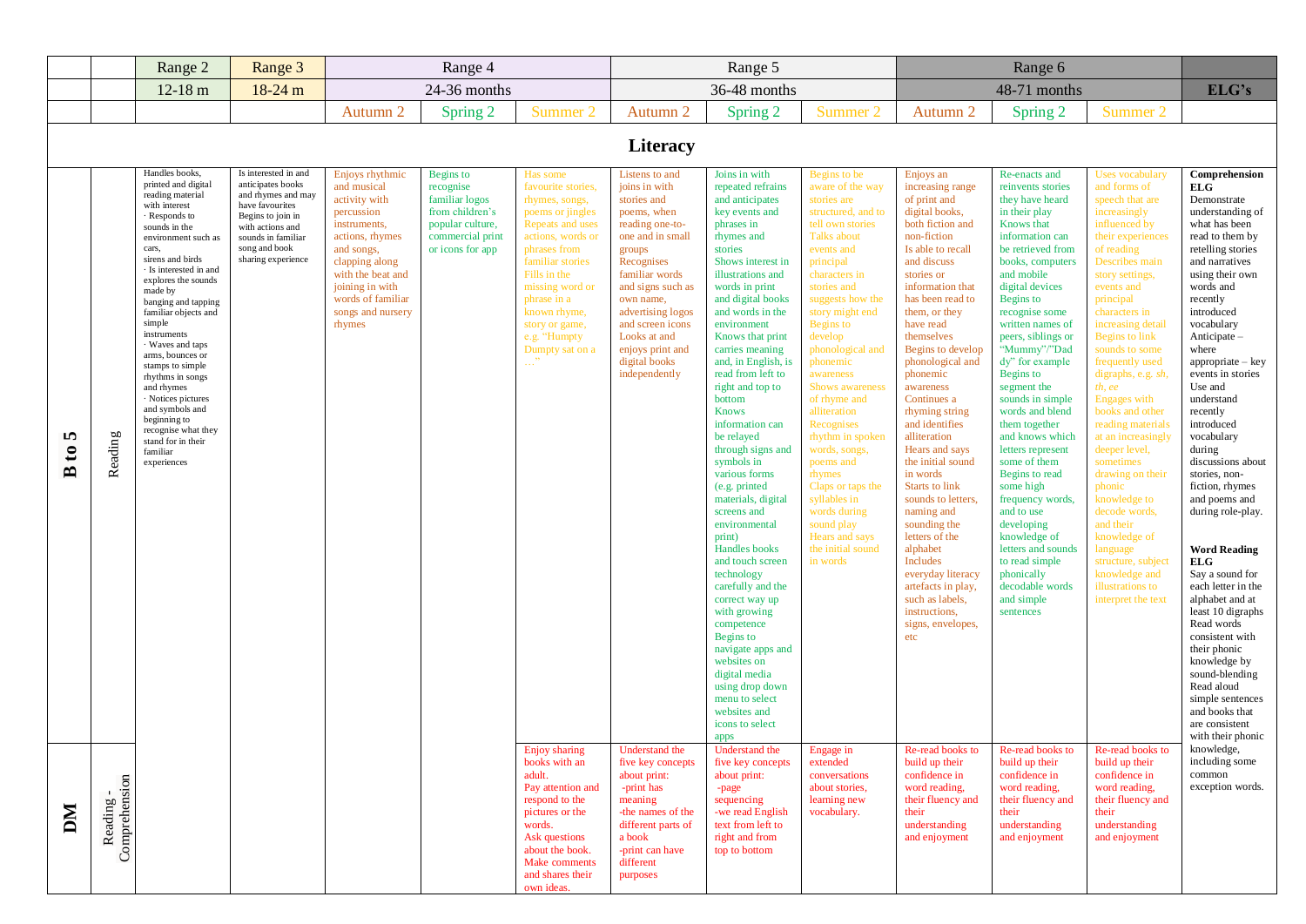| 36-48 months<br>$12-18$ m<br>18-24 m<br>24-36 months<br>48-71 months<br>Autumn 2<br>Autumn 2<br>Spring 2<br>Summer 2<br>Summer 2<br>Spring 2<br>Summer 2<br>Autumn 2<br>Spring 2<br><b>Literacy</b><br>Handles books,<br>Is interested in and<br>Enjoys rhythmic<br>Joins in with<br>Begins to be<br>Re-enacts and<br><b>Uses</b> vocabulary<br>Begins to<br>Has some<br>Listens to and<br>Enjoys an<br>printed and digital<br>anticipates books<br>and musical<br>favourite stories,<br>joins in with<br>and forms of<br>recognise<br>repeated refrains<br>aware of the way<br>increasing range<br>reinvents stories<br>ELG<br>reading material<br>and rhymes and may<br>activity with<br>familiar logos<br>and anticipates<br>rhymes, songs,<br>stories and<br>stories are<br>of print and<br>they have heard<br>speech that are<br>with interest<br>have favourites<br>digital books,<br>percussion<br>from children's<br>poems or jingles<br>poems, when<br>key events and<br>structured, and to<br>in their play<br>increasingly<br>· Responds to<br>Begins to join in<br>Repeats and uses<br>phrases in<br>tell own stories<br>both fiction and<br>Knows that<br>influenced by<br>instruments,<br>popular culture,<br>reading one-to-<br>sounds in the<br>with actions and<br>rhymes and<br><b>Talks about</b><br>non-fiction<br>actions, rhymes<br>commercial print<br>actions, words or<br>one and in small<br>information can<br>their experiences<br>sounds in familiar<br>environment such as<br>song and book<br>cars,<br>phrases from<br>events and<br>Is able to recall<br>and songs,<br>or icons for app<br>stories<br>be retrieved from<br>of reading<br>groups<br>sirens and birds<br>sharing experience<br>familiar stories<br>clapping along<br>Recognises<br>Shows interest in<br>principal<br>and discuss<br>Describes main<br>books, computers<br>· Is interested in and<br>with the beat and<br>Fills in the<br>and mobile<br>familiar words<br>illustrations and<br>characters in<br>stories or<br>story settings,<br>explores the sounds<br>missing word or<br>and signs such as<br>words in print<br>digital devices<br>words and<br>joining in with<br>stories and<br>information that<br>events and<br>made by<br>words of familiar<br>phrase in a<br>and digital books<br>Begins to<br>principal<br>own name,<br>suggests how the<br>has been read to<br>recently<br>banging and tapping<br>advertising logos<br>and words in the<br>familiar objects and<br>songs and nursery<br>known rhyme,<br>story might end<br>them, or they<br>recognise some<br>characters in<br>introduced<br>simple<br><b>Begins</b> to<br>written names of<br>vocabulary<br>rhymes<br>story or game,<br>and screen icons<br>environment<br>have read<br>increasing detail<br>instruments<br>Looks at and<br>Knows that print<br>develop<br>themselves<br>peers, siblings or<br>Anticipate-<br>e.g. "Humpty<br>Begins to link<br>· Waves and taps<br>phonological and<br>"Mummy"/"Dad<br>Dumpty sat on a<br>enjoys print and<br>carries meaning<br>Begins to develop<br>sounds to some<br>where<br>arms, bounces or<br>$\ldots$ "<br>digital books<br>and, in English, is<br>dy" for example<br>phonemic<br>phonological and<br>frequently used<br>stamps to simple<br>independently<br>read from left to<br>awareness<br>Begins to<br>phonemic<br>digraphs, e.g. sh<br>rhythms in songs<br>right and top to<br><b>Shows awareness</b><br>Use and<br>awareness<br>segment the<br>th, ee<br>and rhymes<br>bottom<br>of rhyme and<br>understand<br>· Notices pictures<br>Continues a<br>sounds in simple<br><b>Engages</b> with<br>and symbols and<br><b>Knows</b><br>alliteration<br>words and blend<br>books and other<br>recently<br>rhyming string<br>beginning to<br>Recognises<br>and identifies<br>introduced<br>information can<br>them together<br>reading materials<br>recognise what they<br>Reading<br>m<br>be relayed<br>and knows which<br>vocabulary<br>rhythm in spoken<br>alliteration<br>at an increasingly<br>stand for in their<br>through signs and<br>during<br>words, songs,<br>Hears and says<br>letters represent<br>deeper level,<br>$\mathbf{c}$<br>familiar<br>symbols in<br>the initial sound<br>some of them<br>poems and<br>sometimes<br>experiences<br>Begins to read<br>various forms<br>rhymes<br>in words<br>drawing on their<br>stories, non-<br>Claps or taps the<br>Starts to link<br>some high<br>(e.g. printed)<br>phonic<br>syllables in<br>materials, digital<br>sounds to letters,<br>frequency words,<br>knowledge to<br>decode words,<br>screens and<br>words during<br>naming and<br>and to use<br>developing<br>and their<br>environmental<br>sound play<br>sounding the<br>Hears and says<br>knowledge of<br>knowledge of<br>print)<br>letters of the<br>Handles books<br>the initial sound<br>alphabet<br>language<br>letters and sounds<br><b>ELG</b><br>Includes<br>to read simple<br>structure, subject<br>and touch screen<br>in words<br>phonically<br>knowledge and<br>technology<br>everyday literacy<br>carefully and the<br>decodable words<br>artefacts in play,<br>illustrations to<br>such as labels,<br>and simple<br>correct way up<br>interpret the text<br>instructions,<br>with growing<br>sentences<br>Read words<br>competence<br>signs, envelopes,<br>Begins to<br>etc<br>navigate apps and<br>their phonic<br>websites on<br>digital media<br>using drop down<br>Read aloud<br>menu to select<br>websites and<br>icons to select<br>apps<br>Engage in<br>Re-read books to<br>knowledge,<br><b>Enjoy</b> sharing<br>Understand the<br>Understand the<br>Re-read books to<br>Re-read books to<br>books with an<br>five key concepts<br>five key concepts<br>extended<br>build up their<br>build up their<br>build up their<br>confidence in<br>confidence in<br>confidence in<br>common<br>adult.<br>about print:<br>about print:<br>conversations<br>Pay attention and<br>word reading,<br>-print has<br>about stories,<br>word reading,<br>word reading,<br>-page<br>learning new<br>their fluency and<br>respond to the<br>meaning<br>their fluency and<br>their fluency and<br>sequencing<br>DМ<br>-the names of the<br>their<br>pictures or the<br>-we read English<br>vocabulary.<br>their<br>their<br>text from left to<br>words.<br>different parts of<br>understanding<br>understanding<br>understanding<br>right and from<br>and enjoyment<br>Ask questions<br>a book<br>and enjoyment<br>and enjoyment<br>about the book.<br>top to bottom<br>-print can have |                            | Range 2 | Range 3 | Range 4 |               |           | Range 5 |  | Range 6 |                                                                                                                                                                                                                                                                                                                                                                                                                                                                                                                    |
|---------------------------------------------------------------------------------------------------------------------------------------------------------------------------------------------------------------------------------------------------------------------------------------------------------------------------------------------------------------------------------------------------------------------------------------------------------------------------------------------------------------------------------------------------------------------------------------------------------------------------------------------------------------------------------------------------------------------------------------------------------------------------------------------------------------------------------------------------------------------------------------------------------------------------------------------------------------------------------------------------------------------------------------------------------------------------------------------------------------------------------------------------------------------------------------------------------------------------------------------------------------------------------------------------------------------------------------------------------------------------------------------------------------------------------------------------------------------------------------------------------------------------------------------------------------------------------------------------------------------------------------------------------------------------------------------------------------------------------------------------------------------------------------------------------------------------------------------------------------------------------------------------------------------------------------------------------------------------------------------------------------------------------------------------------------------------------------------------------------------------------------------------------------------------------------------------------------------------------------------------------------------------------------------------------------------------------------------------------------------------------------------------------------------------------------------------------------------------------------------------------------------------------------------------------------------------------------------------------------------------------------------------------------------------------------------------------------------------------------------------------------------------------------------------------------------------------------------------------------------------------------------------------------------------------------------------------------------------------------------------------------------------------------------------------------------------------------------------------------------------------------------------------------------------------------------------------------------------------------------------------------------------------------------------------------------------------------------------------------------------------------------------------------------------------------------------------------------------------------------------------------------------------------------------------------------------------------------------------------------------------------------------------------------------------------------------------------------------------------------------------------------------------------------------------------------------------------------------------------------------------------------------------------------------------------------------------------------------------------------------------------------------------------------------------------------------------------------------------------------------------------------------------------------------------------------------------------------------------------------------------------------------------------------------------------------------------------------------------------------------------------------------------------------------------------------------------------------------------------------------------------------------------------------------------------------------------------------------------------------------------------------------------------------------------------------------------------------------------------------------------------------------------------------------------------------------------------------------------------------------------------------------------------------------------------------------------------------------------------------------------------------------------------------------------------------------------------------------------------------------------------------------------------------------------------------------------------------------------------------------------------------------------------------------------------------------------------------------------------------------------------------------------------------------------------------------------------------------------------------------------------------------------------------------------------------------------------------------------------------------------------------------------------------------------------------------------------------------------------------------------------------------------------------------------------------------------------------------------------------------------------------------------------------------------------------------------------------------------------------------------------------------------------------------------------------------------------------------------------------------------------------------------------------------------------------------------------------------------------------------------------------------------------------------------------------------------------------------------------------------------------------------------------------------------------------------------------------------------------------------------------------------------------------------|----------------------------|---------|---------|---------|---------------|-----------|---------|--|---------|--------------------------------------------------------------------------------------------------------------------------------------------------------------------------------------------------------------------------------------------------------------------------------------------------------------------------------------------------------------------------------------------------------------------------------------------------------------------------------------------------------------------|
|                                                                                                                                                                                                                                                                                                                                                                                                                                                                                                                                                                                                                                                                                                                                                                                                                                                                                                                                                                                                                                                                                                                                                                                                                                                                                                                                                                                                                                                                                                                                                                                                                                                                                                                                                                                                                                                                                                                                                                                                                                                                                                                                                                                                                                                                                                                                                                                                                                                                                                                                                                                                                                                                                                                                                                                                                                                                                                                                                                                                                                                                                                                                                                                                                                                                                                                                                                                                                                                                                                                                                                                                                                                                                                                                                                                                                                                                                                                                                                                                                                                                                                                                                                                                                                                                                                                                                                                                                                                                                                                                                                                                                                                                                                                                                                                                                                                                                                                                                                                                                                                                                                                                                                                                                                                                                                                                                                                                                                                                                                                                                                                                                                                                                                                                                                                                                                                                                                                                                                                                                                                                                                                                                                                                                                                                                                                                                                                                                                                                                                                                                   |                            |         |         |         |               |           |         |  |         | ELG's                                                                                                                                                                                                                                                                                                                                                                                                                                                                                                              |
|                                                                                                                                                                                                                                                                                                                                                                                                                                                                                                                                                                                                                                                                                                                                                                                                                                                                                                                                                                                                                                                                                                                                                                                                                                                                                                                                                                                                                                                                                                                                                                                                                                                                                                                                                                                                                                                                                                                                                                                                                                                                                                                                                                                                                                                                                                                                                                                                                                                                                                                                                                                                                                                                                                                                                                                                                                                                                                                                                                                                                                                                                                                                                                                                                                                                                                                                                                                                                                                                                                                                                                                                                                                                                                                                                                                                                                                                                                                                                                                                                                                                                                                                                                                                                                                                                                                                                                                                                                                                                                                                                                                                                                                                                                                                                                                                                                                                                                                                                                                                                                                                                                                                                                                                                                                                                                                                                                                                                                                                                                                                                                                                                                                                                                                                                                                                                                                                                                                                                                                                                                                                                                                                                                                                                                                                                                                                                                                                                                                                                                                                                   |                            |         |         |         |               |           |         |  |         |                                                                                                                                                                                                                                                                                                                                                                                                                                                                                                                    |
|                                                                                                                                                                                                                                                                                                                                                                                                                                                                                                                                                                                                                                                                                                                                                                                                                                                                                                                                                                                                                                                                                                                                                                                                                                                                                                                                                                                                                                                                                                                                                                                                                                                                                                                                                                                                                                                                                                                                                                                                                                                                                                                                                                                                                                                                                                                                                                                                                                                                                                                                                                                                                                                                                                                                                                                                                                                                                                                                                                                                                                                                                                                                                                                                                                                                                                                                                                                                                                                                                                                                                                                                                                                                                                                                                                                                                                                                                                                                                                                                                                                                                                                                                                                                                                                                                                                                                                                                                                                                                                                                                                                                                                                                                                                                                                                                                                                                                                                                                                                                                                                                                                                                                                                                                                                                                                                                                                                                                                                                                                                                                                                                                                                                                                                                                                                                                                                                                                                                                                                                                                                                                                                                                                                                                                                                                                                                                                                                                                                                                                                                                   |                            |         |         |         |               |           |         |  |         |                                                                                                                                                                                                                                                                                                                                                                                                                                                                                                                    |
|                                                                                                                                                                                                                                                                                                                                                                                                                                                                                                                                                                                                                                                                                                                                                                                                                                                                                                                                                                                                                                                                                                                                                                                                                                                                                                                                                                                                                                                                                                                                                                                                                                                                                                                                                                                                                                                                                                                                                                                                                                                                                                                                                                                                                                                                                                                                                                                                                                                                                                                                                                                                                                                                                                                                                                                                                                                                                                                                                                                                                                                                                                                                                                                                                                                                                                                                                                                                                                                                                                                                                                                                                                                                                                                                                                                                                                                                                                                                                                                                                                                                                                                                                                                                                                                                                                                                                                                                                                                                                                                                                                                                                                                                                                                                                                                                                                                                                                                                                                                                                                                                                                                                                                                                                                                                                                                                                                                                                                                                                                                                                                                                                                                                                                                                                                                                                                                                                                                                                                                                                                                                                                                                                                                                                                                                                                                                                                                                                                                                                                                                                   |                            |         |         |         |               |           |         |  |         | Comprehension<br>Demonstrate<br>understanding of<br>what has been<br>read to them by<br>retelling stories<br>and narratives<br>using their own<br>$appropriate - key$<br>events in stories<br>discussions about<br>fiction, rhymes<br>and poems and<br>during role-play.<br><b>Word Reading</b><br>Say a sound for<br>each letter in the<br>alphabet and at<br>least 10 digraphs<br>consistent with<br>knowledge by<br>sound-blending<br>simple sentences<br>and books that<br>are consistent<br>with their phonic |
|                                                                                                                                                                                                                                                                                                                                                                                                                                                                                                                                                                                                                                                                                                                                                                                                                                                                                                                                                                                                                                                                                                                                                                                                                                                                                                                                                                                                                                                                                                                                                                                                                                                                                                                                                                                                                                                                                                                                                                                                                                                                                                                                                                                                                                                                                                                                                                                                                                                                                                                                                                                                                                                                                                                                                                                                                                                                                                                                                                                                                                                                                                                                                                                                                                                                                                                                                                                                                                                                                                                                                                                                                                                                                                                                                                                                                                                                                                                                                                                                                                                                                                                                                                                                                                                                                                                                                                                                                                                                                                                                                                                                                                                                                                                                                                                                                                                                                                                                                                                                                                                                                                                                                                                                                                                                                                                                                                                                                                                                                                                                                                                                                                                                                                                                                                                                                                                                                                                                                                                                                                                                                                                                                                                                                                                                                                                                                                                                                                                                                                                                                   | Reading -<br>Comprehension |         |         |         | Make comments | different |         |  |         | including some<br>exception words.                                                                                                                                                                                                                                                                                                                                                                                                                                                                                 |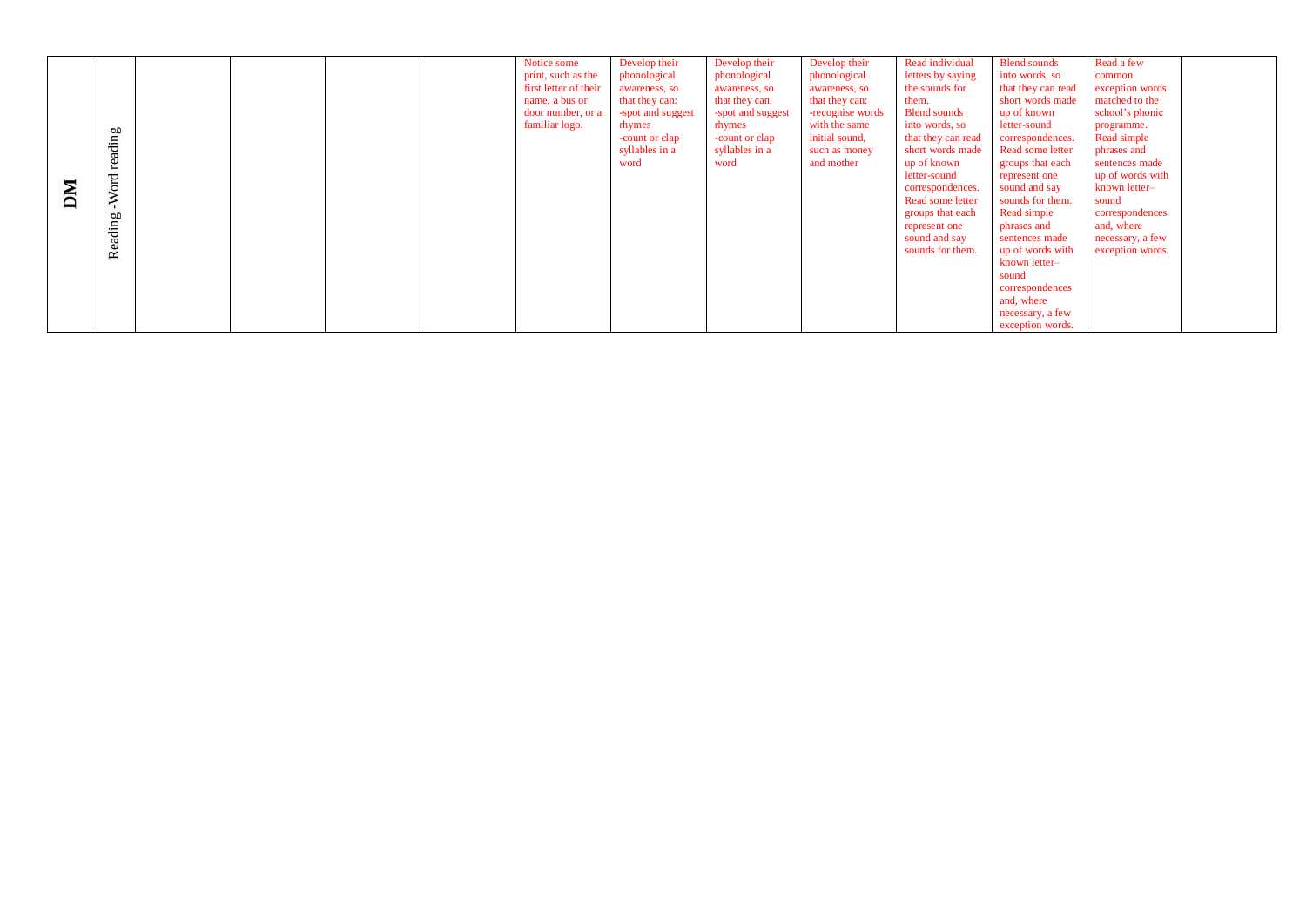| DМ | reading<br>Word<br>Reading |  |  |  |  | Notice some<br>print, such as the<br>first letter of their<br>name, a bus or<br>door number, or a<br>familiar logo. | Develop their<br>phonological<br>awareness, so<br>that they can:<br>-spot and suggest<br>rhymes<br>-count or clap<br>syllables in a<br>word | Develop their<br>phonological<br>awareness, so<br>that they can:<br>-spot and suggest<br>rhymes<br>-count or clap<br>syllables in a<br>word | Develop their<br>phonological<br>awareness, so<br>that they can:<br>-recognise words<br>with the same<br>initial sound,<br>such as money<br>and mother | Read individual<br>letters by saying<br>the sounds for<br>them.<br><b>Blend sounds</b><br>into words, so<br>that they can read<br>short words made<br>up of known<br>letter-sound<br>correspondences.<br>Read some letter<br>groups that each<br>represent one<br>sound and say<br>sounds for them. | <b>Blend sounds</b><br>into words, so<br>that they can read<br>short words made<br>up of known<br>letter-sound<br>correspondences.<br>Read some letter<br>groups that each<br>represent one<br>sound and say<br>sounds for them.<br>Read simple<br>phrases and<br>sentences made<br>up of words with<br>known letter-<br>sound<br>correspondences<br>and, where<br>necessary, a few<br>exception words. | Read a few<br>common<br>exception words<br>matched to the<br>school's phonic<br>programme.<br>Read simple<br>phrases and<br>sentences made<br>up of words with<br>known letter-<br>sound<br>correspondences<br>and, where<br>necessary, a few<br>exception words. |  |
|----|----------------------------|--|--|--|--|---------------------------------------------------------------------------------------------------------------------|---------------------------------------------------------------------------------------------------------------------------------------------|---------------------------------------------------------------------------------------------------------------------------------------------|--------------------------------------------------------------------------------------------------------------------------------------------------------|-----------------------------------------------------------------------------------------------------------------------------------------------------------------------------------------------------------------------------------------------------------------------------------------------------|---------------------------------------------------------------------------------------------------------------------------------------------------------------------------------------------------------------------------------------------------------------------------------------------------------------------------------------------------------------------------------------------------------|-------------------------------------------------------------------------------------------------------------------------------------------------------------------------------------------------------------------------------------------------------------------|--|
|----|----------------------------|--|--|--|--|---------------------------------------------------------------------------------------------------------------------|---------------------------------------------------------------------------------------------------------------------------------------------|---------------------------------------------------------------------------------------------------------------------------------------------|--------------------------------------------------------------------------------------------------------------------------------------------------------|-----------------------------------------------------------------------------------------------------------------------------------------------------------------------------------------------------------------------------------------------------------------------------------------------------|---------------------------------------------------------------------------------------------------------------------------------------------------------------------------------------------------------------------------------------------------------------------------------------------------------------------------------------------------------------------------------------------------------|-------------------------------------------------------------------------------------------------------------------------------------------------------------------------------------------------------------------------------------------------------------------|--|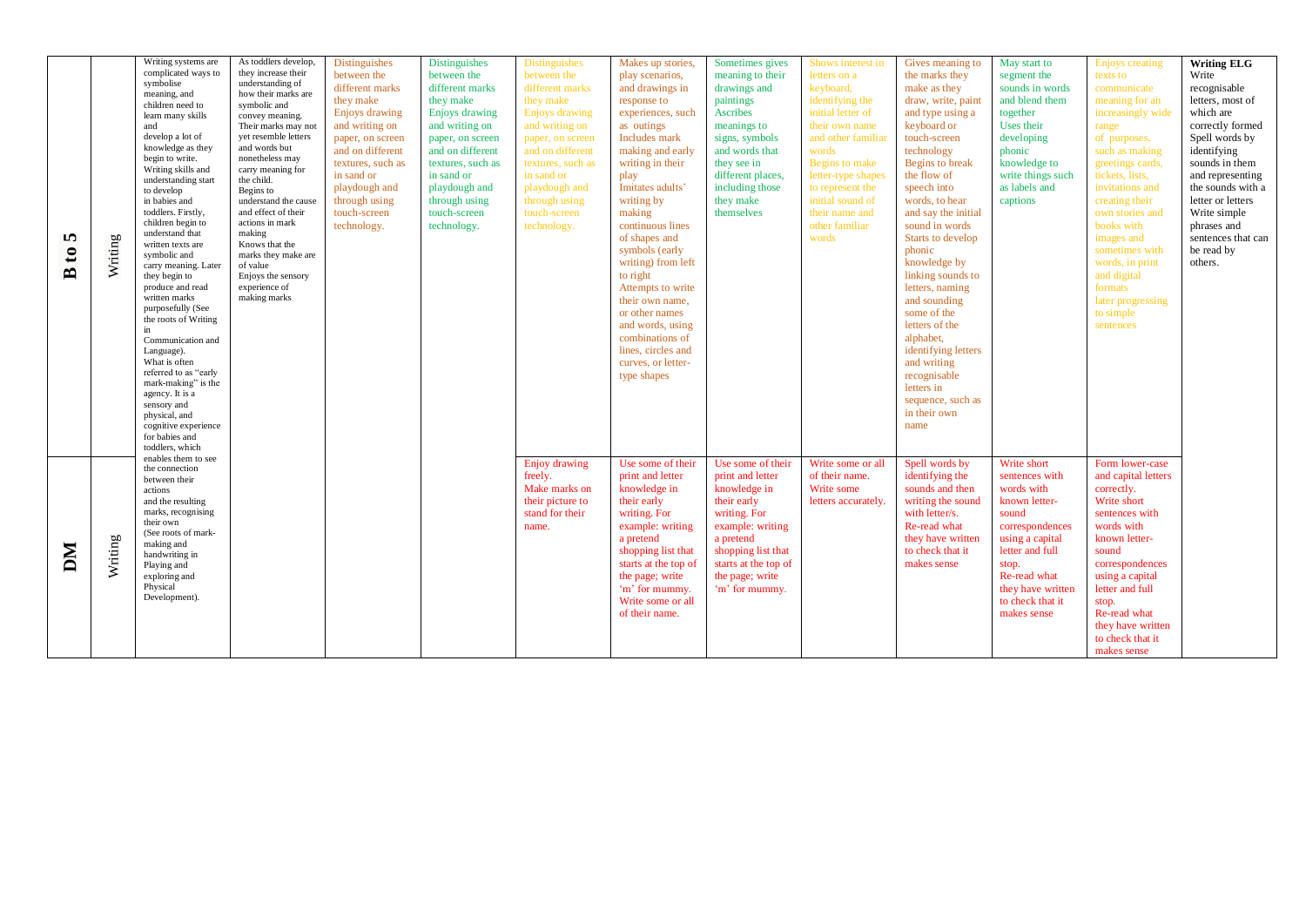|                   |         | Writing systems are   | As toddlers develop, | <b>Distinguishes</b> | Distinguishes     | <b>Distinguishes</b>  | Makes up stories,    | Sometimes gives      | Shows interest in  | Gives meaning to    |                             |                                    | <b>Writing ELG</b> |
|-------------------|---------|-----------------------|----------------------|----------------------|-------------------|-----------------------|----------------------|----------------------|--------------------|---------------------|-----------------------------|------------------------------------|--------------------|
|                   |         | complicated ways to   | they increase their  | between the          | between the       | between the           | play scenarios,      | meaning to their     | letters on a       | the marks they      | May start to<br>segment the | <b>Enjoys</b> creating<br>texts to | Write              |
|                   |         | symbolise             | understanding of     | different marks      | different marks   | different marks       | and drawings in      | drawings and         | keyboard,          | make as they        | sounds in words             | communicate                        | recognisable       |
|                   |         | meaning, and          | how their marks are  | they make            | they make         | they make             | response to          | paintings            | identifying the    | draw, write, paint  | and blend them              | meaning for an                     | letters, most of   |
|                   |         | children need to      | symbolic and         |                      |                   |                       |                      |                      |                    |                     |                             |                                    |                    |
|                   |         | learn many skills     | convey meaning.      | Enjoys drawing       | Enjoys drawing    | <b>Enjoys drawing</b> | experiences, such    | Ascribes             | initial letter of  | and type using a    | together                    | increasingly wide                  | which are          |
|                   |         | and                   | Their marks may not  | and writing on       | and writing on    | and writing on        | as outings           | meanings to          | their own name     | keyboard or         | Uses their                  | range                              | correctly formed   |
|                   |         | develop a lot of      | yet resemble letters | paper, on screen     | paper, on screen  | paper, on screen      | Includes mark        | signs, symbols       | and other familia  | touch-screen        | developing                  | of purposes,                       | Spell words by     |
|                   |         | knowledge as they     | and words but        | and on different     | and on different  | and on different      | making and early     | and words that       | words              | technology          | phonic                      | such as making                     | identifying        |
|                   |         | begin to write.       | nonetheless may      | textures, such as    | textures, such as | textures, such as     | writing in their     | they see in          | Begins to make     | Begins to break     | knowledge to                | greetings cards,                   | sounds in them     |
|                   |         | Writing skills and    | carry meaning for    |                      |                   |                       |                      |                      |                    |                     |                             |                                    |                    |
|                   |         | understanding start   | the child.           | in sand or           | in sand or        | in sand or            | play                 | different places,    | letter-type shapes | the flow of         | write things such           | tickets, lists,                    | and representing   |
|                   |         | to develop            | Begins to            | playdough and        | playdough and     | playdough and         | Imitates adults'     | including those      | to represent the   | speech into         | as labels and               | invitations and                    | the sounds with a  |
|                   |         | in babies and         | understand the cause | through using        | through using     | through using         | writing by           | they make            | initial sound of   | words, to hear      | captions                    | creating their                     | letter or letters  |
|                   |         | toddlers. Firstly,    | and effect of their  | touch-screen         | touch-screen      | touch-screen          | making               | themselves           | their name and     | and say the initial |                             | own stories and                    | Write simple       |
|                   |         | children begin to     | actions in mark      | technology.          | technology.       | technology.           | continuous lines     |                      | other familiar     | sound in words      |                             | books with                         | phrases and        |
|                   |         | understand that       | making               |                      |                   |                       | of shapes and        |                      | words              |                     |                             |                                    |                    |
| <b>I</b>          |         | written texts are     | Knows that the       |                      |                   |                       |                      |                      |                    | Starts to develop   |                             | images and                         | sentences that can |
| $\mathbf{c}$      | Writing | symbolic and          | marks they make are  |                      |                   |                       | symbols (early       |                      |                    | phonic              |                             | sometimes with                     | be read by         |
|                   |         | carry meaning. Later  | of value             |                      |                   |                       | writing) from left   |                      |                    | knowledge by        |                             | words, in print                    | others.            |
| $\mathbf{\Omega}$ |         | they begin to         | Enjoys the sensory   |                      |                   |                       | to right             |                      |                    | linking sounds to   |                             | and digital                        |                    |
|                   |         | produce and read      | experience of        |                      |                   |                       | Attempts to write    |                      |                    | letters, naming     |                             | formats                            |                    |
|                   |         | written marks         | making marks         |                      |                   |                       |                      |                      |                    |                     |                             |                                    |                    |
|                   |         | purposefully (See     |                      |                      |                   |                       | their own name.      |                      |                    | and sounding        |                             | later progressing                  |                    |
|                   |         | the roots of Writing  |                      |                      |                   |                       | or other names       |                      |                    | some of the         |                             | to simple                          |                    |
|                   |         | in                    |                      |                      |                   |                       | and words, using     |                      |                    | letters of the      |                             | sentences                          |                    |
|                   |         | Communication and     |                      |                      |                   |                       | combinations of      |                      |                    | alphabet,           |                             |                                    |                    |
|                   |         | Language).            |                      |                      |                   |                       | lines, circles and   |                      |                    | identifying letters |                             |                                    |                    |
|                   |         | What is often         |                      |                      |                   |                       | curves, or letter-   |                      |                    | and writing         |                             |                                    |                    |
|                   |         | referred to as "early |                      |                      |                   |                       |                      |                      |                    | recognisable        |                             |                                    |                    |
|                   |         | mark-making" is the   |                      |                      |                   |                       | type shapes          |                      |                    |                     |                             |                                    |                    |
|                   |         | agency. It is a       |                      |                      |                   |                       |                      |                      |                    | letters in          |                             |                                    |                    |
|                   |         | sensory and           |                      |                      |                   |                       |                      |                      |                    | sequence, such as   |                             |                                    |                    |
|                   |         | physical, and         |                      |                      |                   |                       |                      |                      |                    | in their own        |                             |                                    |                    |
|                   |         | cognitive experience  |                      |                      |                   |                       |                      |                      |                    | name                |                             |                                    |                    |
|                   |         | for babies and        |                      |                      |                   |                       |                      |                      |                    |                     |                             |                                    |                    |
|                   |         | toddlers, which       |                      |                      |                   |                       |                      |                      |                    |                     |                             |                                    |                    |
|                   |         | enables them to see   |                      |                      |                   |                       |                      |                      |                    |                     |                             |                                    |                    |
|                   |         | the connection        |                      |                      |                   | Enjoy drawing         | Use some of their    | Use some of their    | Write some or all  | Spell words by      | Write short                 | Form lower-case                    |                    |
|                   |         | between their         |                      |                      |                   | freely.               | print and letter     | print and letter     | of their name.     | identifying the     | sentences with              | and capital letters                |                    |
|                   |         | actions               |                      |                      |                   | Make marks on         | knowledge in         | knowledge in         | Write some         | sounds and then     | words with                  | correctly.                         |                    |
|                   |         | and the resulting     |                      |                      |                   | their picture to      | their early          | their early          | letters accurately | writing the sound   | known letter-               | Write short                        |                    |
|                   |         | marks, recognising    |                      |                      |                   |                       |                      |                      |                    |                     |                             |                                    |                    |
|                   |         | their own             |                      |                      |                   | stand for their       | writing. For         | writing. For         |                    | with letter/s.      | sound                       | sentences with                     |                    |
|                   |         | (See roots of mark-   |                      |                      |                   | name.                 | example: writing     | example: writing     |                    | Re-read what        | correspondences             | words with                         |                    |
|                   |         | making and            |                      |                      |                   |                       | a pretend            | a pretend            |                    | they have written   | using a capital             | known letter-                      |                    |
|                   |         | handwriting in        |                      |                      |                   |                       | shopping list that   | shopping list that   |                    | to check that it    | letter and full             | sound                              |                    |
| DМ                |         |                       |                      |                      |                   |                       | starts at the top of | starts at the top of |                    | makes sense         | stop.                       | correspondences                    |                    |
|                   | Writing | Playing and           |                      |                      |                   |                       |                      |                      |                    |                     |                             |                                    |                    |
|                   |         | exploring and         |                      |                      |                   |                       | the page; write      | the page; write      |                    |                     | Re-read what                | using a capital                    |                    |
|                   |         | Physical              |                      |                      |                   |                       | 'm' for mummy.       | 'm' for mummy.       |                    |                     | they have written           | letter and full                    |                    |
|                   |         | Development).         |                      |                      |                   |                       | Write some or all    |                      |                    |                     | to check that it            | stop.                              |                    |
|                   |         |                       |                      |                      |                   |                       | of their name.       |                      |                    |                     | makes sense                 | Re-read what                       |                    |
|                   |         |                       |                      |                      |                   |                       |                      |                      |                    |                     |                             | they have written                  |                    |
|                   |         |                       |                      |                      |                   |                       |                      |                      |                    |                     |                             |                                    |                    |
|                   |         |                       |                      |                      |                   |                       |                      |                      |                    |                     |                             | to check that it                   |                    |
|                   |         |                       |                      |                      |                   |                       |                      |                      |                    |                     |                             | makes sense                        |                    |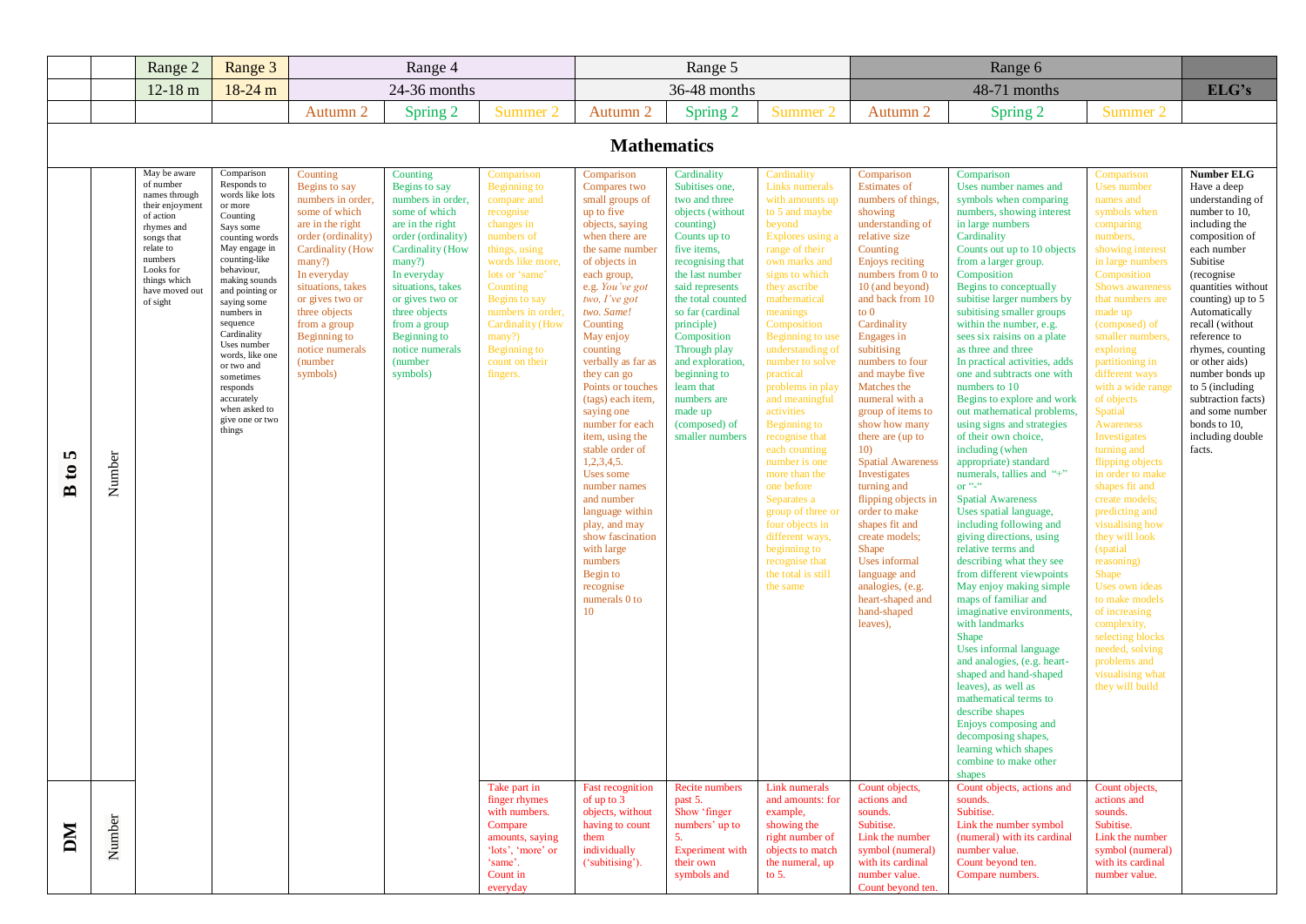|                                        |        | Range 2                                                                                                                                                                                   | Range 3                                                                                                                                                                                                                                                                                                                                                                             |                                                                                                                                                                                                                                                                                                   | Range 4                                                                                                                                                                                                                                                                                    |                                                                                                                                                                                                                                                                                       |                                                                                                                                                                                                                                                                                                                                                                                                                                                                                                                                                                                               | Range 5                                                                                                                                                                                                                                                                                                                                                                        |                                                                                                                                                                                                                                                                                                                                                                                                                                                                                                                                                                                               |                                                                                                                                                                                                                                                                                                                                                                                                                                                                                                                                                                                                                                                                              | Range 6                                                                                                                                                                                                                                                                                                                                                                                                                                                                                                                                                                                                                                                                                                                                                                                                                                                                                                                                                                                                                                                                                                                                                                                                                                   |                                                                                                                                                                                                                                                                                                                                                                                                                                                                                                                                                                                                                                                                                                                                                |                                                                                                                                                                                                                                                                                                                                                                                                                        |
|----------------------------------------|--------|-------------------------------------------------------------------------------------------------------------------------------------------------------------------------------------------|-------------------------------------------------------------------------------------------------------------------------------------------------------------------------------------------------------------------------------------------------------------------------------------------------------------------------------------------------------------------------------------|---------------------------------------------------------------------------------------------------------------------------------------------------------------------------------------------------------------------------------------------------------------------------------------------------|--------------------------------------------------------------------------------------------------------------------------------------------------------------------------------------------------------------------------------------------------------------------------------------------|---------------------------------------------------------------------------------------------------------------------------------------------------------------------------------------------------------------------------------------------------------------------------------------|-----------------------------------------------------------------------------------------------------------------------------------------------------------------------------------------------------------------------------------------------------------------------------------------------------------------------------------------------------------------------------------------------------------------------------------------------------------------------------------------------------------------------------------------------------------------------------------------------|--------------------------------------------------------------------------------------------------------------------------------------------------------------------------------------------------------------------------------------------------------------------------------------------------------------------------------------------------------------------------------|-----------------------------------------------------------------------------------------------------------------------------------------------------------------------------------------------------------------------------------------------------------------------------------------------------------------------------------------------------------------------------------------------------------------------------------------------------------------------------------------------------------------------------------------------------------------------------------------------|------------------------------------------------------------------------------------------------------------------------------------------------------------------------------------------------------------------------------------------------------------------------------------------------------------------------------------------------------------------------------------------------------------------------------------------------------------------------------------------------------------------------------------------------------------------------------------------------------------------------------------------------------------------------------|-------------------------------------------------------------------------------------------------------------------------------------------------------------------------------------------------------------------------------------------------------------------------------------------------------------------------------------------------------------------------------------------------------------------------------------------------------------------------------------------------------------------------------------------------------------------------------------------------------------------------------------------------------------------------------------------------------------------------------------------------------------------------------------------------------------------------------------------------------------------------------------------------------------------------------------------------------------------------------------------------------------------------------------------------------------------------------------------------------------------------------------------------------------------------------------------------------------------------------------------|------------------------------------------------------------------------------------------------------------------------------------------------------------------------------------------------------------------------------------------------------------------------------------------------------------------------------------------------------------------------------------------------------------------------------------------------------------------------------------------------------------------------------------------------------------------------------------------------------------------------------------------------------------------------------------------------------------------------------------------------|------------------------------------------------------------------------------------------------------------------------------------------------------------------------------------------------------------------------------------------------------------------------------------------------------------------------------------------------------------------------------------------------------------------------|
|                                        |        | $12-18$ m                                                                                                                                                                                 | $18-24$ m                                                                                                                                                                                                                                                                                                                                                                           |                                                                                                                                                                                                                                                                                                   | 24-36 months                                                                                                                                                                                                                                                                               |                                                                                                                                                                                                                                                                                       |                                                                                                                                                                                                                                                                                                                                                                                                                                                                                                                                                                                               | 36-48 months                                                                                                                                                                                                                                                                                                                                                                   |                                                                                                                                                                                                                                                                                                                                                                                                                                                                                                                                                                                               |                                                                                                                                                                                                                                                                                                                                                                                                                                                                                                                                                                                                                                                                              | 48-71 months                                                                                                                                                                                                                                                                                                                                                                                                                                                                                                                                                                                                                                                                                                                                                                                                                                                                                                                                                                                                                                                                                                                                                                                                                              |                                                                                                                                                                                                                                                                                                                                                                                                                                                                                                                                                                                                                                                                                                                                                | ELG's                                                                                                                                                                                                                                                                                                                                                                                                                  |
|                                        |        |                                                                                                                                                                                           |                                                                                                                                                                                                                                                                                                                                                                                     | Autumn 2                                                                                                                                                                                                                                                                                          | Spring 2                                                                                                                                                                                                                                                                                   | Summer 2                                                                                                                                                                                                                                                                              | Autumn 2                                                                                                                                                                                                                                                                                                                                                                                                                                                                                                                                                                                      | Spring 2                                                                                                                                                                                                                                                                                                                                                                       | Summer 2                                                                                                                                                                                                                                                                                                                                                                                                                                                                                                                                                                                      | Autumn 2                                                                                                                                                                                                                                                                                                                                                                                                                                                                                                                                                                                                                                                                     | Spring 2                                                                                                                                                                                                                                                                                                                                                                                                                                                                                                                                                                                                                                                                                                                                                                                                                                                                                                                                                                                                                                                                                                                                                                                                                                  | Summer 2                                                                                                                                                                                                                                                                                                                                                                                                                                                                                                                                                                                                                                                                                                                                       |                                                                                                                                                                                                                                                                                                                                                                                                                        |
|                                        |        |                                                                                                                                                                                           |                                                                                                                                                                                                                                                                                                                                                                                     |                                                                                                                                                                                                                                                                                                   |                                                                                                                                                                                                                                                                                            |                                                                                                                                                                                                                                                                                       | <b>Mathematics</b>                                                                                                                                                                                                                                                                                                                                                                                                                                                                                                                                                                            |                                                                                                                                                                                                                                                                                                                                                                                |                                                                                                                                                                                                                                                                                                                                                                                                                                                                                                                                                                                               |                                                                                                                                                                                                                                                                                                                                                                                                                                                                                                                                                                                                                                                                              |                                                                                                                                                                                                                                                                                                                                                                                                                                                                                                                                                                                                                                                                                                                                                                                                                                                                                                                                                                                                                                                                                                                                                                                                                                           |                                                                                                                                                                                                                                                                                                                                                                                                                                                                                                                                                                                                                                                                                                                                                |                                                                                                                                                                                                                                                                                                                                                                                                                        |
| n<br>$\mathbf{c}$<br>$\mathbf{\Omega}$ | Number | May be aware<br>of number<br>names through<br>their enjoyment<br>of action<br>rhymes and<br>songs that<br>relate to<br>numbers<br>Looks for<br>things which<br>have moved out<br>of sight | Comparison<br>Responds to<br>words like lots<br>or more<br>Counting<br>Says some<br>counting words<br>May engage in<br>counting-like<br>behaviour,<br>making sounds<br>and pointing or<br>saying some<br>numbers in<br>sequence<br>Cardinality<br>Uses number<br>words, like one<br>or two and<br>sometimes<br>responds<br>accurately<br>when asked to<br>give one or two<br>things | Counting<br>Begins to say<br>numbers in order,<br>some of which<br>are in the right<br>order (ordinality)<br><b>Cardinality</b> (How<br>many?)<br>In everyday<br>situations, takes<br>or gives two or<br>three objects<br>from a group<br>Beginning to<br>notice numerals<br>(number)<br>symbols) | Counting<br>Begins to say<br>numbers in order,<br>some of which<br>are in the right<br>order (ordinality)<br>Cardinality (How<br>many?)<br>In everyday<br>situations, takes<br>or gives two or<br>three objects<br>from a group<br>Beginning to<br>notice numerals<br>(number)<br>symbols) | Comparison<br>Beginning to<br>compare and<br>recognise<br>changes in<br>numbers of<br>things, using<br>words like more,<br>lots or 'same'<br>Counting<br>Begins to say<br>numbers in order,<br><b>Cardinality</b> (How<br>many?)<br><b>Beginning to</b><br>count on their<br>fingers. | Comparison<br>Compares two<br>small groups of<br>up to five<br>objects, saying<br>when there are<br>the same number<br>of objects in<br>each group,<br>e.g. You've got<br>two, $I'$ ve got<br>two. Same!<br>Counting<br>May enjoy<br>counting<br>verbally as far as<br>they can go<br>Points or touches<br>(tags) each item,<br>saying one<br>number for each<br>item, using the<br>stable order of<br>1,2,3,4,5.<br>Uses some<br>number names<br>and number<br>language within<br>play, and may<br>show fascination<br>with large<br>numbers<br>Begin to<br>recognise<br>numerals 0 to<br>10 | Cardinality<br>Subitises one,<br>two and three<br>objects (without<br>counting)<br>Counts up to<br>five items,<br>recognising that<br>the last number<br>said represents<br>the total counted<br>so far (cardinal<br>principle)<br>Composition<br>Through play<br>and exploration,<br>beginning to<br>learn that<br>numbers are<br>made up<br>(composed) of<br>smaller numbers | Cardinality<br>Links numerals<br>with amounts up<br>to 5 and maybe<br>beyond<br>Explores using a<br>range of their<br>own marks and<br>signs to which<br>they ascribe<br>mathematical<br>meanings<br>Composition<br>Beginning to use<br>understanding of<br>number to solve<br>practical<br>problems in play<br>and meaningful<br>activities<br>Beginning to<br>recognise that<br>each counting<br>number is one<br>more than the<br>one before<br>Separates a<br>group of three or<br>four objects in<br>different ways,<br>beginning to<br>recognise that<br>the total is still<br>the same | Comparison<br><b>Estimates</b> of<br>numbers of things,<br>showing<br>understanding of<br>relative size<br>Counting<br>Enjoys reciting<br>numbers from 0 to<br>10 (and beyond)<br>and back from 10<br>to $0$<br>Cardinality<br>Engages in<br>subitising<br>numbers to four<br>and maybe five<br>Matches the<br>numeral with a<br>group of items to<br>show how many<br>there are (up to<br>10 <sub>0</sub><br><b>Spatial Awareness</b><br><b>Investigates</b><br>turning and<br>flipping objects in<br>order to make<br>shapes fit and<br>create models;<br><b>Shape</b><br>Uses informal<br>language and<br>analogies, (e.g.<br>heart-shaped and<br>hand-shaped<br>leaves), | Comparison<br>Uses number names and<br>symbols when comparing<br>numbers, showing interest<br>in large numbers<br>Cardinality<br>Counts out up to 10 objects<br>from a larger group.<br>Composition<br>Begins to conceptually<br>subitise larger numbers by<br>subitising smaller groups<br>within the number, e.g.<br>sees six raisins on a plate<br>as three and three<br>In practical activities, adds<br>one and subtracts one with<br>numbers to 10<br>Begins to explore and work<br>out mathematical problems,<br>using signs and strategies<br>of their own choice,<br>including (when<br>appropriate) standard<br>numerals, tallies and "+"<br>or $``-``$<br><b>Spatial Awareness</b><br>Uses spatial language,<br>including following and<br>giving directions, using<br>relative terms and<br>describing what they see<br>from different viewpoints<br>May enjoy making simple<br>maps of familiar and<br>imaginative environments,<br>with landmarks<br>Shape<br>Uses informal language<br>and analogies, (e.g. heart-<br>shaped and hand-shaped<br>leaves), as well as<br>mathematical terms to<br>describe shapes<br>Enjoys composing and<br>decomposing shapes,<br>learning which shapes<br>combine to make other<br>shapes | Comparison<br>Uses number<br>names and<br>symbols when<br>comparing<br>numbers,<br>showing interest<br>in large numbers<br>Composition<br>Shows awareness<br>that numbers are<br>made up<br>(composed) of<br>smaller numbers,<br>exploring<br>partitioning in<br>different ways<br>with a wide range<br>of objects<br><b>Spatial</b><br><b>Awareness</b><br><b>Investigates</b><br>turning and<br>flipping objects<br>in order to make<br>shapes fit and<br>create models;<br>predicting and<br>visualising how<br>they will look<br>(spatial)<br>reasoning)<br><b>Shape</b><br>Uses own ideas<br>to make models<br>of increasing<br>complexity,<br>selecting blocks<br>needed, solving<br>problems and<br>visualising what<br>they will build | <b>Number ELG</b><br>Have a deep<br>understanding of<br>number to 10,<br>including the<br>composition of<br>each number<br>Subitise<br>(recognise)<br>quantities without<br>counting) up to $5$<br>Automatically<br>recall (without<br>reference to<br>rhymes, counting<br>or other aids)<br>number bonds up<br>to 5 (including<br>subtraction facts)<br>and some number<br>bonds to 10,<br>including double<br>facts. |
| DМ                                     | Number |                                                                                                                                                                                           |                                                                                                                                                                                                                                                                                                                                                                                     |                                                                                                                                                                                                                                                                                                   |                                                                                                                                                                                                                                                                                            | Take part in<br>finger rhymes<br>with numbers.<br>Compare<br>amounts, saying<br>'lots', 'more' or<br>'same'.<br>Count in<br>everyday                                                                                                                                                  | <b>Fast recognition</b><br>of up to $3$<br>objects, without<br>having to count<br>them<br>individually<br>('subitising').                                                                                                                                                                                                                                                                                                                                                                                                                                                                     | Recite numbers<br>past 5.<br>Show 'finger<br>numbers' up to<br>5.<br><b>Experiment</b> with<br>their own<br>symbols and                                                                                                                                                                                                                                                        | Link numerals<br>and amounts: for<br>example,<br>showing the<br>right number of<br>objects to match<br>the numeral, up<br>to $5.$                                                                                                                                                                                                                                                                                                                                                                                                                                                             | Count objects,<br>actions and<br>sounds.<br>Subitise.<br>Link the number<br>symbol (numeral)<br>with its cardinal<br>number value.<br>Count beyond ten.                                                                                                                                                                                                                                                                                                                                                                                                                                                                                                                      | Count objects, actions and<br>sounds.<br>Subitise.<br>Link the number symbol<br>(numeral) with its cardinal<br>number value.<br>Count beyond ten.<br>Compare numbers.                                                                                                                                                                                                                                                                                                                                                                                                                                                                                                                                                                                                                                                                                                                                                                                                                                                                                                                                                                                                                                                                     | Count objects,<br>actions and<br>sounds.<br>Subitise.<br>Link the number<br>symbol (numeral)<br>with its cardinal<br>number value.                                                                                                                                                                                                                                                                                                                                                                                                                                                                                                                                                                                                             |                                                                                                                                                                                                                                                                                                                                                                                                                        |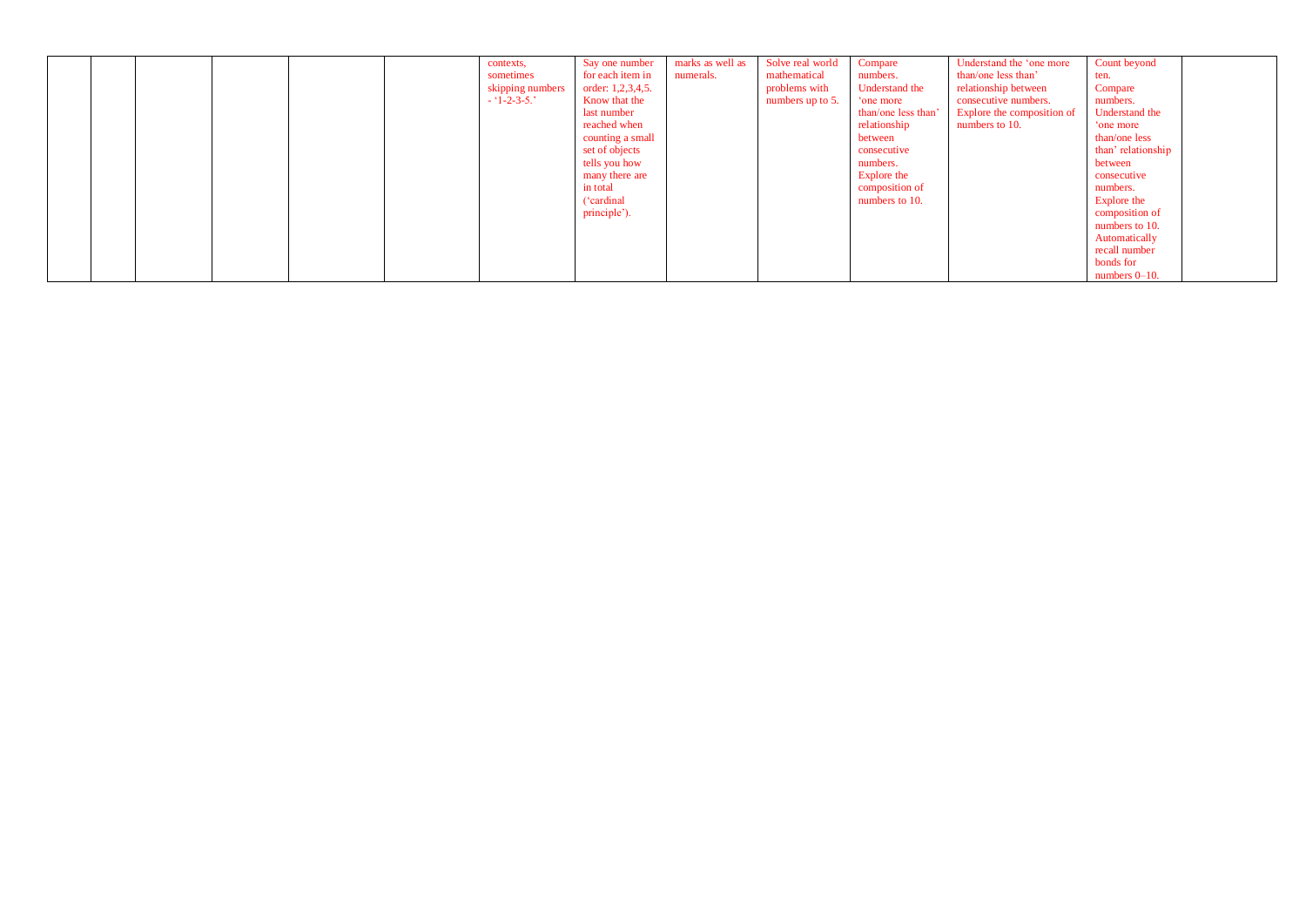| ('cardinal<br>numbers to 10.<br>Explore the<br>principle').<br>composition of<br>numbers to 10.<br>Automatically<br>recall number<br>bonds for<br>numbers $0-10$ . |  |  |  |  |  |  |  | contexts,<br>sometimes<br>skipping numbers<br>$-1-2-3-5.$ | Say one number<br>for each item in<br>order: 1,2,3,4,5.<br>Know that the<br>last number<br>reached when<br>counting a small<br>set of objects<br>tells you how<br>many there are<br>in total | marks as well as<br>numerals. | Solve real world<br>mathematical<br>problems with<br>numbers up to 5. | Compare<br>numbers.<br>Understand the<br>one more<br>than/one less than<br>relationship<br>between<br>consecutive<br>numbers.<br>Explore the<br>composition of | Understand the 'one more<br>than/one less than'<br>relationship between<br>consecutive numbers.<br><b>Explore the composition of</b><br>numbers to 10. | Count beyond<br>ten.<br>Compare<br>numbers.<br>Understand the<br>one more<br>than/one less<br>than' relationship<br>between<br>consecutive<br>numbers. |  |
|--------------------------------------------------------------------------------------------------------------------------------------------------------------------|--|--|--|--|--|--|--|-----------------------------------------------------------|----------------------------------------------------------------------------------------------------------------------------------------------------------------------------------------------|-------------------------------|-----------------------------------------------------------------------|----------------------------------------------------------------------------------------------------------------------------------------------------------------|--------------------------------------------------------------------------------------------------------------------------------------------------------|--------------------------------------------------------------------------------------------------------------------------------------------------------|--|
|--------------------------------------------------------------------------------------------------------------------------------------------------------------------|--|--|--|--|--|--|--|-----------------------------------------------------------|----------------------------------------------------------------------------------------------------------------------------------------------------------------------------------------------|-------------------------------|-----------------------------------------------------------------------|----------------------------------------------------------------------------------------------------------------------------------------------------------------|--------------------------------------------------------------------------------------------------------------------------------------------------------|--------------------------------------------------------------------------------------------------------------------------------------------------------|--|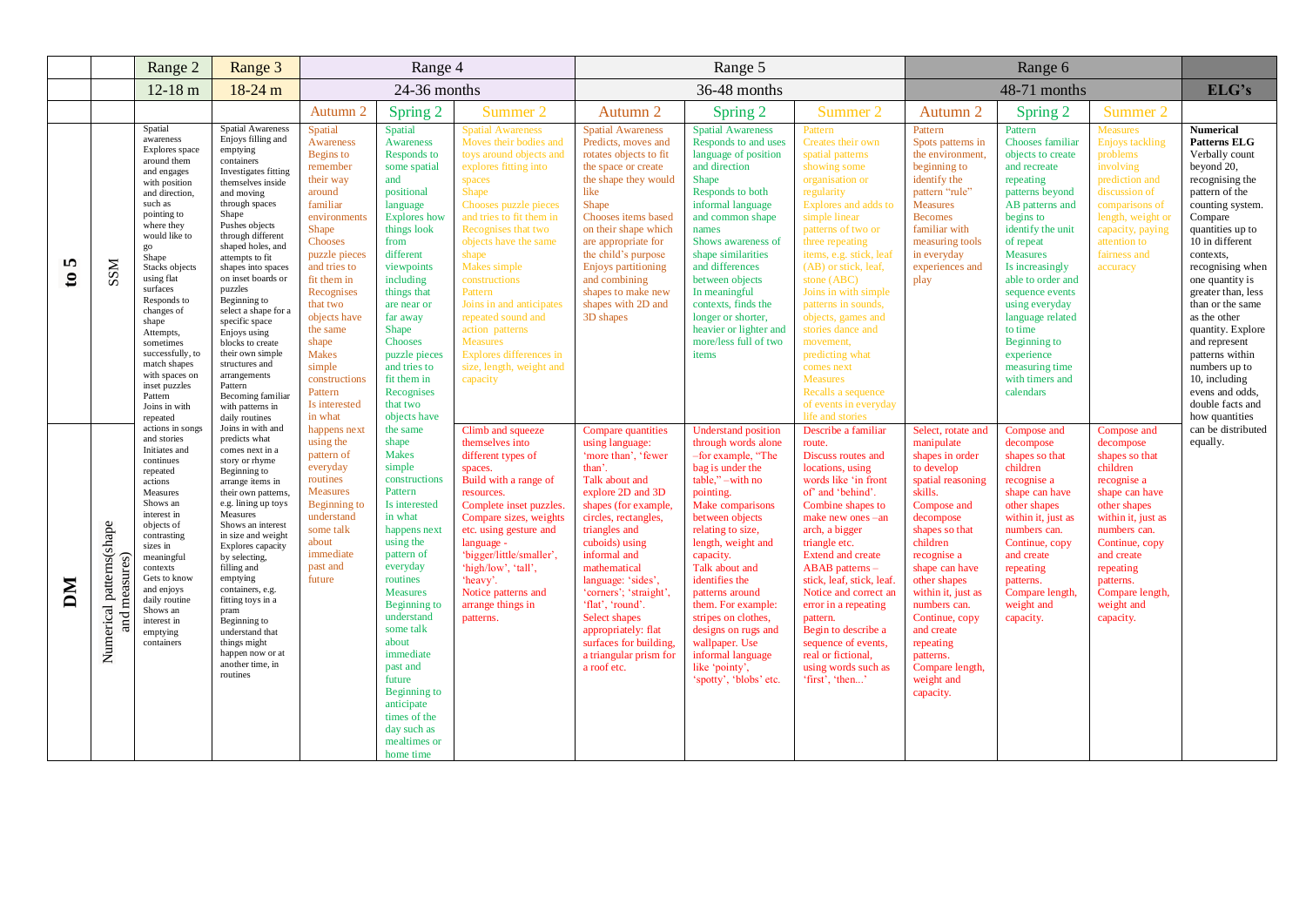|                   |                                           | Range 2                                                                                                                                                                                                                                                                                                                                                                                        | Range 3                                                                                                                                                                                                                                                                                                                                                                                                                                                                                                      | Range 4                                                                                                                                                                                                                                                                                                                      |                                                                                                                                                                                                                                                                                                                                                                            |                                                                                                                                                                                                                                                                                                                                                                                                                                                |                                                                                                                                                                                                                                                                                                                                                                                                                 | Range 5                                                                                                                                                                                                                                                                                                                                                                                                                                   |                                                                                                                                                                                                                                                                                                                                                                                                                                                                                    |                                                                                                                                                                                                                                                                                                                                                            |                                                                                                                                                                                                                                                                                                                                                                                   |                                                                                                                                                                                                                                                       |                                                                                                                                                                                                                                                                                                                                                                                                                                                      |
|-------------------|-------------------------------------------|------------------------------------------------------------------------------------------------------------------------------------------------------------------------------------------------------------------------------------------------------------------------------------------------------------------------------------------------------------------------------------------------|--------------------------------------------------------------------------------------------------------------------------------------------------------------------------------------------------------------------------------------------------------------------------------------------------------------------------------------------------------------------------------------------------------------------------------------------------------------------------------------------------------------|------------------------------------------------------------------------------------------------------------------------------------------------------------------------------------------------------------------------------------------------------------------------------------------------------------------------------|----------------------------------------------------------------------------------------------------------------------------------------------------------------------------------------------------------------------------------------------------------------------------------------------------------------------------------------------------------------------------|------------------------------------------------------------------------------------------------------------------------------------------------------------------------------------------------------------------------------------------------------------------------------------------------------------------------------------------------------------------------------------------------------------------------------------------------|-----------------------------------------------------------------------------------------------------------------------------------------------------------------------------------------------------------------------------------------------------------------------------------------------------------------------------------------------------------------------------------------------------------------|-------------------------------------------------------------------------------------------------------------------------------------------------------------------------------------------------------------------------------------------------------------------------------------------------------------------------------------------------------------------------------------------------------------------------------------------|------------------------------------------------------------------------------------------------------------------------------------------------------------------------------------------------------------------------------------------------------------------------------------------------------------------------------------------------------------------------------------------------------------------------------------------------------------------------------------|------------------------------------------------------------------------------------------------------------------------------------------------------------------------------------------------------------------------------------------------------------------------------------------------------------------------------------------------------------|-----------------------------------------------------------------------------------------------------------------------------------------------------------------------------------------------------------------------------------------------------------------------------------------------------------------------------------------------------------------------------------|-------------------------------------------------------------------------------------------------------------------------------------------------------------------------------------------------------------------------------------------------------|------------------------------------------------------------------------------------------------------------------------------------------------------------------------------------------------------------------------------------------------------------------------------------------------------------------------------------------------------------------------------------------------------------------------------------------------------|
|                   |                                           | $12-18$ m                                                                                                                                                                                                                                                                                                                                                                                      | $18-24$ m                                                                                                                                                                                                                                                                                                                                                                                                                                                                                                    |                                                                                                                                                                                                                                                                                                                              | 24-36 months                                                                                                                                                                                                                                                                                                                                                               |                                                                                                                                                                                                                                                                                                                                                                                                                                                |                                                                                                                                                                                                                                                                                                                                                                                                                 | 36-48 months                                                                                                                                                                                                                                                                                                                                                                                                                              |                                                                                                                                                                                                                                                                                                                                                                                                                                                                                    |                                                                                                                                                                                                                                                                                                                                                            | 48-71 months                                                                                                                                                                                                                                                                                                                                                                      |                                                                                                                                                                                                                                                       | ELG's                                                                                                                                                                                                                                                                                                                                                                                                                                                |
|                   |                                           |                                                                                                                                                                                                                                                                                                                                                                                                |                                                                                                                                                                                                                                                                                                                                                                                                                                                                                                              | Autumn 2                                                                                                                                                                                                                                                                                                                     | Spring 2                                                                                                                                                                                                                                                                                                                                                                   | Summer 2                                                                                                                                                                                                                                                                                                                                                                                                                                       | Autumn 2                                                                                                                                                                                                                                                                                                                                                                                                        | Spring 2                                                                                                                                                                                                                                                                                                                                                                                                                                  | Summer 2                                                                                                                                                                                                                                                                                                                                                                                                                                                                           | Autumn 2                                                                                                                                                                                                                                                                                                                                                   | Spring 2                                                                                                                                                                                                                                                                                                                                                                          | Summer 2                                                                                                                                                                                                                                              |                                                                                                                                                                                                                                                                                                                                                                                                                                                      |
| m<br>$\mathbf{c}$ | SSM                                       | Spatial<br>awareness<br>Explores space<br>around them<br>and engages<br>with position<br>and direction.<br>such as<br>pointing to<br>where they<br>would like to<br>go<br>Shape<br>Stacks objects<br>using flat<br>surfaces<br>Responds to<br>changes of<br>shape<br>Attempts,<br>sometimes<br>successfully, to<br>match shapes<br>with spaces on<br>inset puzzles<br>Pattern<br>Joins in with | <b>Spatial Awareness</b><br>Enjoys filling and<br>emptying<br>containers<br>Investigates fitting<br>themselves inside<br>and moving<br>through spaces<br>Shape<br>Pushes objects<br>through different<br>shaped holes, and<br>attempts to fit<br>shapes into spaces<br>on inset boards or<br>puzzles<br>Beginning to<br>select a shape for a<br>specific space<br>Enjoys using<br>blocks to create<br>their own simple<br>structures and<br>arrangements<br>Pattern<br>Becoming familiar<br>with patterns in | Spatial<br>Awareness<br>Begins to<br>remember<br>their way<br>around<br>familiar<br>environments<br><b>Shape</b><br>Chooses<br>puzzle pieces<br>and tries to<br>fit them in<br>Recognises<br>that two<br>objects have<br>the same<br>shape<br><b>Makes</b><br>simple<br>constructions<br>Pattern<br>Is interested<br>in what | Spatial<br>Awareness<br>Responds to<br>some spatial<br>and<br>positional<br>language<br><b>Explores</b> how<br>things look<br>from<br>different<br>viewpoints<br>including<br>things that<br>are near or<br>far away<br>Shape<br><b>Chooses</b><br>puzzle pieces<br>and tries to<br>fit them in<br>Recognises<br>that two<br>objects have                                  | <b>Spatial Awareness</b><br>Moves their bodies and<br>toys around objects and<br>explores fitting into<br>spaces<br>Shape<br>Chooses puzzle pieces<br>and tries to fit them in<br>Recognises that two<br>objects have the same<br>shape<br>Makes simple<br>constructions<br>Pattern<br>Joins in and anticipates<br>repeated sound and<br>action patterns<br><b>Measures</b><br>Explores differences in<br>size, length, weight and<br>capacity | <b>Spatial Awareness</b><br>Predicts, moves and<br>rotates objects to fit<br>the space or create<br>the shape they would<br>like<br>Shape<br>Chooses items based<br>on their shape which<br>are appropriate for<br>the child's purpose<br><b>Enjoys partitioning</b><br>and combining<br>shapes to make new<br>shapes with 2D and<br>3D shapes                                                                  | <b>Spatial Awareness</b><br>Responds to and uses<br>language of position<br>and direction<br>Shape<br>Responds to both<br>informal language<br>and common shape<br>names<br>Shows awareness of<br>shape similarities<br>and differences<br>between objects<br>In meaningful<br>contexts, finds the<br>longer or shorter,<br>heavier or lighter and<br>more/less full of two<br>items                                                      | Pattern<br>Creates their own<br>spatial patterns<br>showing some<br>organisation or<br>regularity<br>Explores and adds to<br>simple linear<br>patterns of two or<br>three repeating<br>items, e.g. stick, leaf<br>(AB) or stick, leaf,<br>stone (ABC)<br>Joins in with simple<br>patterns in sounds,<br>objects, games and<br>stories dance and<br>movement,<br>predicting what<br>comes next<br><b>Measures</b><br>Recalls a sequence<br>of events in everyday<br>life and storie | Pattern<br>Spots patterns in<br>the environment.<br>beginning to<br>identify the<br>pattern "rule"<br><b>Measures</b><br><b>Becomes</b><br>familiar with<br>measuring tools<br>in everyday<br>experiences and<br>play                                                                                                                                      | Pattern<br>Chooses familiar<br>objects to create<br>and recreate<br>repeating<br>patterns beyond<br>AB patterns and<br>begins to<br>identify the unit<br>of repeat<br><b>Measures</b><br>Is increasingly<br>able to order and<br>sequence events<br>using everyday<br>language related<br>to time<br>Beginning to<br>experience<br>measuring time<br>with timers and<br>calendars | Measures<br><b>Enjoys tackling</b><br>problems<br>involving<br>prediction and<br>discussion of<br>comparisons of<br>length, weight or<br>capacity, paying<br>attention to<br>fairness and<br>accuracy                                                 | <b>Numerical</b><br><b>Patterns ELG</b><br>Verbally count<br>beyond 20,<br>recognising the<br>pattern of the<br>counting system.<br>Compare<br>quantities up to<br>10 in different<br>contexts.<br>recognising when<br>one quantity is<br>greater than, less<br>than or the same<br>as the other<br>quantity. Explore<br>and represent<br>patterns within<br>numbers up to<br>10, including<br>evens and odds,<br>double facts and<br>how quantities |
| DМ                | Numerical patterns(shape<br>and measures) | repeated<br>actions in songs<br>and stories<br>Initiates and<br>continues<br>repeated<br>actions<br>Measures<br>Shows an<br>interest in<br>objects of<br>contrasting<br>sizes in<br>meaningful<br>contexts<br>Gets to know<br>and enjoys<br>daily routine<br>Shows an<br>interest in<br>emptying<br>containers                                                                                 | daily routines<br>Joins in with and<br>predicts what<br>comes next in a<br>story or rhyme<br>Beginning to<br>arrange items in<br>their own patterns.<br>e.g. lining up toys<br>Measures<br>Shows an interest<br>in size and weight<br>Explores capacity<br>by selecting,<br>filling and<br>emptying<br>containers, e.g.<br>fitting toys in a<br>pram<br>Beginning to<br>understand that<br>things might<br>happen now or at<br>another time, in<br>routines                                                  | happens next<br>using the<br>pattern of<br>everyday<br>routines<br><b>Measures</b><br>Beginning to<br>understand<br>some talk<br>about<br>immediate<br>past and<br>future                                                                                                                                                    | the same<br>shape<br><b>Makes</b><br>simple<br>constructions<br>Pattern<br>Is interested<br>in what<br>happens next<br>using the<br>pattern of<br>everyday<br>routines<br><b>Measures</b><br>Beginning to<br>understand<br>some talk<br>about<br>immediate<br>past and<br>future<br>Beginning to<br>anticipate<br>times of the<br>day such as<br>mealtimes or<br>home time | Climb and squeeze<br>themselves into<br>different types of<br>spaces.<br>Build with a range of<br>resources.<br>Complete inset puzzles.<br>Compare sizes, weights<br>etc. using gesture and<br>language -<br>'bigger/little/smaller',<br>'high/low', 'tall',<br>'heavy'.<br>Notice patterns and<br>arrange things in<br>patterns.                                                                                                              | Compare quantities<br>using language:<br>'more than', 'fewer<br>than'.<br>Talk about and<br>explore 2D and 3D<br>shapes (for example,<br>circles, rectangles,<br>triangles and<br>cuboids) using<br>informal and<br>mathematical<br>language: 'sides',<br>'corners'; 'straight',<br>'flat', 'round'.<br>Select shapes<br>appropriately: flat<br>surfaces for building,<br>a triangular prism for<br>a roof etc. | <b>Understand position</b><br>through words alone<br>-for example, "The<br>bag is under the<br>table," -with no<br>pointing.<br>Make comparisons<br>between objects<br>relating to size,<br>length, weight and<br>capacity.<br>Talk about and<br>identifies the<br>patterns around<br>them. For example:<br>stripes on clothes,<br>designs on rugs and<br>wallpaper. Use<br>informal language<br>like 'pointy',<br>'spotty', 'blobs' etc. | Describe a familiar<br>route.<br>Discuss routes and<br>locations, using<br>words like 'in front<br>of' and 'behind'.<br>Combine shapes to<br>make new ones-an<br>arch, a bigger<br>triangle etc.<br><b>Extend and create</b><br>ABAB patterns-<br>stick, leaf, stick, leaf.<br>Notice and correct an<br>error in a repeating<br>pattern.<br>Begin to describe a<br>sequence of events,<br>real or fictional,<br>using words such as<br>'first', 'then'                             | Select, rotate and<br>manipulate<br>shapes in order<br>to develop<br>spatial reasoning<br>skills.<br>Compose and<br>decompose<br>shapes so that<br>children<br>recognise a<br>shape can have<br>other shapes<br>within it, just as<br>numbers can.<br>Continue, copy<br>and create<br>repeating<br>patterns.<br>Compare length,<br>weight and<br>capacity. | Compose and<br>decompose<br>shapes so that<br>children<br>recognise a<br>shape can have<br>other shapes<br>within it, just as<br>numbers can.<br>Continue, copy<br>and create<br>repeating<br>patterns.<br>Compare length,<br>weight and<br>capacity.                                                                                                                             | Compose and<br>decompose<br>shapes so that<br>children<br>recognise a<br>shape can have<br>other shapes<br>within it, just as<br>numbers can.<br>Continue, copy<br>and create<br>repeating<br>patterns.<br>Compare length,<br>weight and<br>capacity. | can be distributed<br>equally.                                                                                                                                                                                                                                                                                                                                                                                                                       |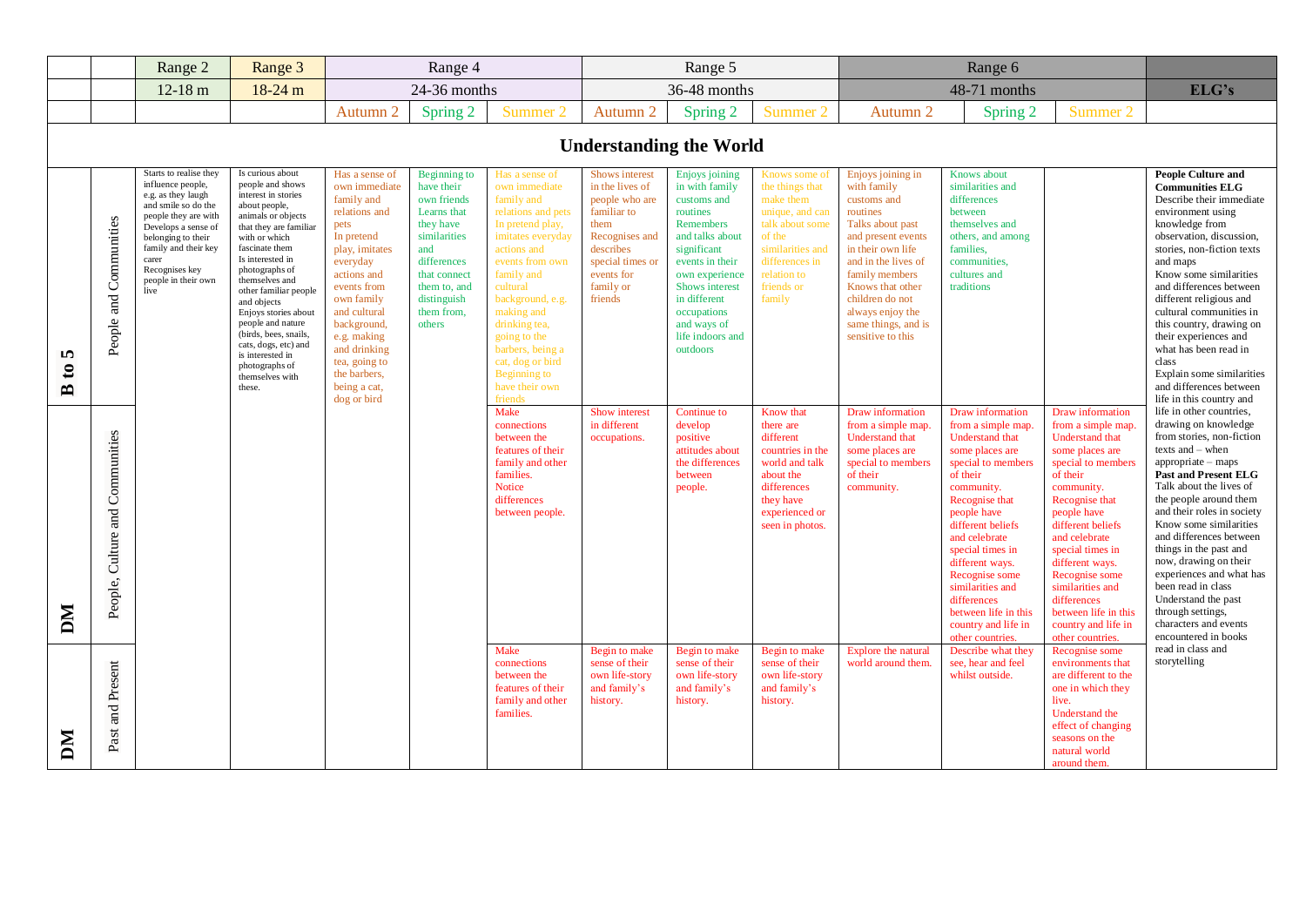|                                   |                                 | Range 2                                                                                                                                                                                                                                         | Range 3                                                                                                                                                                                                                                                                                                                                                                                                                          | Range 4                                                                                                                                                                                                                                                                                      |                                                                                                                                                                                    |                                                                                                                                                                                                                                                                                                                                  | Range 5                                                                                                                                                             |                                                                                                                                                                                                                                                 |                                                                                                                                                                            |                                                                                                                                                                                                                                                                            |                                                                                                                                                                                                                                                                                                                                                                           |                                                                                                                                                                                                                                                                                                                                                                    |                                                                                                                                                                                                                                                                                                                                                                                                                                                                                                    |
|-----------------------------------|---------------------------------|-------------------------------------------------------------------------------------------------------------------------------------------------------------------------------------------------------------------------------------------------|----------------------------------------------------------------------------------------------------------------------------------------------------------------------------------------------------------------------------------------------------------------------------------------------------------------------------------------------------------------------------------------------------------------------------------|----------------------------------------------------------------------------------------------------------------------------------------------------------------------------------------------------------------------------------------------------------------------------------------------|------------------------------------------------------------------------------------------------------------------------------------------------------------------------------------|----------------------------------------------------------------------------------------------------------------------------------------------------------------------------------------------------------------------------------------------------------------------------------------------------------------------------------|---------------------------------------------------------------------------------------------------------------------------------------------------------------------|-------------------------------------------------------------------------------------------------------------------------------------------------------------------------------------------------------------------------------------------------|----------------------------------------------------------------------------------------------------------------------------------------------------------------------------|----------------------------------------------------------------------------------------------------------------------------------------------------------------------------------------------------------------------------------------------------------------------------|---------------------------------------------------------------------------------------------------------------------------------------------------------------------------------------------------------------------------------------------------------------------------------------------------------------------------------------------------------------------------|--------------------------------------------------------------------------------------------------------------------------------------------------------------------------------------------------------------------------------------------------------------------------------------------------------------------------------------------------------------------|----------------------------------------------------------------------------------------------------------------------------------------------------------------------------------------------------------------------------------------------------------------------------------------------------------------------------------------------------------------------------------------------------------------------------------------------------------------------------------------------------|
|                                   |                                 | $12-18$ m                                                                                                                                                                                                                                       | $18-24$ m                                                                                                                                                                                                                                                                                                                                                                                                                        |                                                                                                                                                                                                                                                                                              | 24-36 months                                                                                                                                                                       |                                                                                                                                                                                                                                                                                                                                  |                                                                                                                                                                     | 36-48 months                                                                                                                                                                                                                                    |                                                                                                                                                                            |                                                                                                                                                                                                                                                                            | 48-71 months                                                                                                                                                                                                                                                                                                                                                              |                                                                                                                                                                                                                                                                                                                                                                    | ELG's                                                                                                                                                                                                                                                                                                                                                                                                                                                                                              |
|                                   |                                 |                                                                                                                                                                                                                                                 |                                                                                                                                                                                                                                                                                                                                                                                                                                  | Autumn 2                                                                                                                                                                                                                                                                                     | Spring 2                                                                                                                                                                           | Summer 2                                                                                                                                                                                                                                                                                                                         | Autumn 2                                                                                                                                                            | Spring 2                                                                                                                                                                                                                                        | Summer 2                                                                                                                                                                   | Autumn 2                                                                                                                                                                                                                                                                   | Spring 2                                                                                                                                                                                                                                                                                                                                                                  | Summer 2                                                                                                                                                                                                                                                                                                                                                           |                                                                                                                                                                                                                                                                                                                                                                                                                                                                                                    |
| <b>Understanding the World</b>    |                                 |                                                                                                                                                                                                                                                 |                                                                                                                                                                                                                                                                                                                                                                                                                                  |                                                                                                                                                                                                                                                                                              |                                                                                                                                                                                    |                                                                                                                                                                                                                                                                                                                                  |                                                                                                                                                                     |                                                                                                                                                                                                                                                 |                                                                                                                                                                            |                                                                                                                                                                                                                                                                            |                                                                                                                                                                                                                                                                                                                                                                           |                                                                                                                                                                                                                                                                                                                                                                    |                                                                                                                                                                                                                                                                                                                                                                                                                                                                                                    |
| 5<br>$\mathbf{c}$<br>$\mathbf{r}$ | People and Communities          | Starts to realise they<br>influence people,<br>e.g. as they laugh<br>and smile so do the<br>people they are with<br>Develops a sense of<br>belonging to their<br>family and their key<br>carer<br>Recognises key<br>people in their own<br>live | Is curious about<br>people and shows<br>interest in stories<br>about people,<br>animals or objects<br>that they are familiar<br>with or which<br>fascinate them<br>Is interested in<br>photographs of<br>themselves and<br>other familiar people<br>and objects<br>Enjoys stories about<br>people and nature<br>(birds, bees, snails,<br>cats, dogs, etc) and<br>is interested in<br>photographs of<br>themselves with<br>these. | Has a sense of<br>own immediate<br>family and<br>relations and<br>pets<br>In pretend<br>play, imitates<br>everyday<br>actions and<br>events from<br>own family<br>and cultural<br>background,<br>e.g. making<br>and drinking<br>tea, going to<br>the barbers,<br>being a cat,<br>dog or bird | Beginning to<br>have their<br>own friends<br>Learns that<br>they have<br>similarities<br>and<br>differences<br>that connect<br>them to, and<br>distinguish<br>them from.<br>others | Has a sense of<br>own immediate<br>family and<br>relations and pets<br>In pretend play,<br>imitates everyday<br>actions and<br>events from own<br>family and<br>cultural<br>background, e.g.<br>making and<br>drinking tea,<br>going to the<br>barbers, being a<br>cat, dog or bird<br>Beginning to<br>have their own<br>friends | Shows interest<br>in the lives of<br>people who are<br>familiar to<br>them<br>Recognises and<br>describes<br>special times or<br>events for<br>family or<br>friends | Enjoys joining<br>in with family<br>customs and<br>routines<br>Remembers<br>and talks about<br>significant<br>events in their<br>own experience<br>Shows interest<br>in different<br>occupations<br>and ways of<br>life indoors and<br>outdoors | Knows some of<br>the things that<br>make them<br>unique, and can<br>talk about some<br>of the<br>similarities and<br>differences in<br>relation to<br>friends or<br>family | Enjoys joining in<br>with family<br>customs and<br>routines<br>Talks about past<br>and present events<br>in their own life<br>and in the lives of<br>family members<br>Knows that other<br>children do not<br>always enjoy the<br>same things, and is<br>sensitive to this | Knows about<br>similarities and<br>differences<br>between<br>themselves and<br>others, and among<br>families,<br>communities,<br>cultures and<br>traditions                                                                                                                                                                                                               |                                                                                                                                                                                                                                                                                                                                                                    | <b>People Culture and</b><br><b>Communities ELG</b><br>Describe their immediate<br>environment using<br>knowledge from<br>observation, discussion,<br>stories, non-fiction texts<br>and maps<br>Know some similarities<br>and differences between<br>different religious and<br>cultural communities in<br>this country, drawing on<br>their experiences and<br>what has been read in<br>class<br>Explain some similarities<br>and differences between<br>life in this country and                 |
| DМ                                | People, Culture and Communities |                                                                                                                                                                                                                                                 |                                                                                                                                                                                                                                                                                                                                                                                                                                  |                                                                                                                                                                                                                                                                                              |                                                                                                                                                                                    | Make<br>connections<br>between the<br>features of their<br>family and other<br>families.<br>Notice<br>differences<br>between people.                                                                                                                                                                                             | Show interest<br>in different<br>occupations.                                                                                                                       | Continue to<br>develop<br>positive<br>attitudes about<br>the differences<br>between<br>people.                                                                                                                                                  | Know that<br>there are<br>different<br>countries in the<br>world and talk<br>about the<br>differences<br>they have<br>experienced or<br>seen in photos.                    | Draw information<br>from a simple map.<br><b>Understand that</b><br>some places are<br>special to members<br>of their<br>community.                                                                                                                                        | Draw information<br>from a simple map.<br><b>Understand that</b><br>some places are<br>special to members<br>of their<br>community.<br>Recognise that<br>people have<br>different beliefs<br>and celebrate<br>special times in<br>different ways.<br>Recognise some<br>similarities and<br>differences<br>between life in this<br>country and life in<br>other countries. | Draw information<br>from a simple map.<br>Understand that<br>some places are<br>special to members<br>of their<br>community.<br>Recognise that<br>people have<br>different beliefs<br>and celebrate<br>special times in<br>different ways.<br>Recognise some<br>similarities and<br>differences<br>between life in this<br>country and life in<br>other countries. | life in other countries,<br>drawing on knowledge<br>from stories, non-fiction<br>texts and - when<br>$appropriate - maps$<br><b>Past and Present ELG</b><br>Talk about the lives of<br>the people around them<br>and their roles in society<br>Know some similarities<br>and differences between<br>things in the past and<br>now, drawing on their<br>experiences and what has<br>been read in class<br>Understand the past<br>through settings,<br>characters and events<br>encountered in books |
| NД                                | Past and Present                |                                                                                                                                                                                                                                                 |                                                                                                                                                                                                                                                                                                                                                                                                                                  |                                                                                                                                                                                                                                                                                              |                                                                                                                                                                                    | Make<br>connections<br>between the<br>features of their<br>family and other<br>families.                                                                                                                                                                                                                                         | Begin to make<br>sense of their<br>own life-story<br>and family's<br>history.                                                                                       | Begin to make<br>sense of their<br>own life-story<br>and family's<br>history.                                                                                                                                                                   | Begin to make<br>sense of their<br>own life-story<br>and family's<br>history.                                                                                              | Explore the natural<br>world around them.                                                                                                                                                                                                                                  | Describe what they<br>see, hear and feel<br>whilst outside.                                                                                                                                                                                                                                                                                                               | Recognise some<br>environments that<br>are different to the<br>one in which they<br>live.<br>Understand the<br>effect of changing<br>seasons on the<br>natural world<br>around them.                                                                                                                                                                               | read in class and<br>storytelling                                                                                                                                                                                                                                                                                                                                                                                                                                                                  |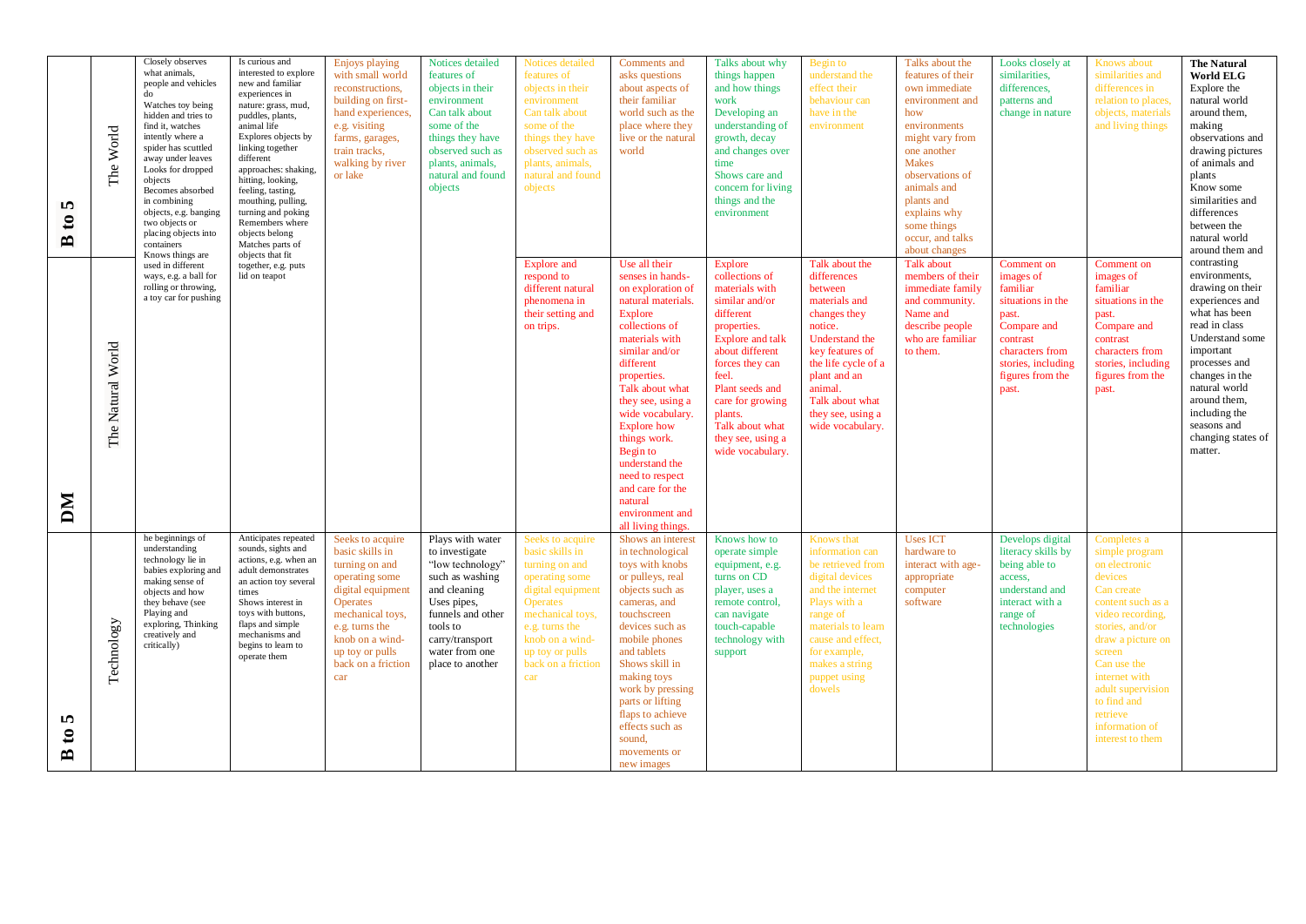| n,<br>$\mathbf{c}$<br>$\mathbf{r}$ | The World             | Closely observes<br>what animals,<br>people and vehicles<br>do<br>Watches toy being<br>hidden and tries to<br>find it, watches<br>intently where a<br>spider has scuttled<br>away under leaves<br>Looks for dropped<br>objects<br>Becomes absorbed<br>in combining<br>objects, e.g. banging<br>two objects or<br>placing objects into<br>containers<br>Knows things are | Is curious and<br>interested to explore<br>new and familiar<br>experiences in<br>nature: grass, mud,<br>puddles, plants,<br>animal life<br>Explores objects by<br>linking together<br>different<br>approaches: shaking,<br>hitting, looking,<br>feeling, tasting,<br>mouthing, pulling,<br>turning and poking<br>Remembers where<br>objects belong<br>Matches parts of<br>objects that fit | Enjoys playing<br>with small world<br>reconstructions,<br>building on first-<br>hand experiences,<br>e.g. visiting<br>farms, garages,<br>train tracks,<br>walking by river<br>or lake                                    | Notices detailed<br>features of<br>objects in their<br>environment<br>Can talk about<br>some of the<br>things they have<br>observed such as<br>plants, animals,<br>natural and found<br>objects    | Notices detailed<br>features of<br>objects in their<br>environment<br>Can talk about<br>some of the<br>things they have<br>observed such as<br>plants, animals,<br>natural and found<br>objects                          | Comments and<br>asks questions<br>about aspects of<br>their familiar<br>world such as the<br>place where they<br>live or the natural<br>world                                                                                                                                                                                                                                                               | Talks about why<br>things happen<br>and how things<br>work<br>Developing an<br>understanding of<br>growth, decay<br>and changes over<br>time<br>Shows care and<br>concern for living<br>things and the<br>environment                                                      | Begin to<br>understand the<br>effect their<br>behaviour can<br>have in the<br>environment                                                                                                                                               | Talks about the<br>features of their<br>own immediate<br>environment and<br>how<br>environments<br>might vary from<br>one another<br><b>Makes</b><br>observations of<br>animals and<br>plants and<br>explains why<br>some things<br>occur, and talks<br>about changes | Looks closely at<br>similarities.<br>differences,<br>patterns and<br>change in nature                                                                              | Knows about<br>similarities and<br>differences in<br>relation to places,<br>objects, materials<br>and living things                                                                                                                                                                      | <b>The Natural</b><br><b>World ELG</b><br>Explore the<br>natural world<br>around them,<br>making<br>observations and<br>drawing pictures<br>of animals and<br>plants<br>Know some<br>similarities and<br>differences<br>between the<br>natural world<br>around them and    |
|------------------------------------|-----------------------|-------------------------------------------------------------------------------------------------------------------------------------------------------------------------------------------------------------------------------------------------------------------------------------------------------------------------------------------------------------------------|--------------------------------------------------------------------------------------------------------------------------------------------------------------------------------------------------------------------------------------------------------------------------------------------------------------------------------------------------------------------------------------------|--------------------------------------------------------------------------------------------------------------------------------------------------------------------------------------------------------------------------|----------------------------------------------------------------------------------------------------------------------------------------------------------------------------------------------------|--------------------------------------------------------------------------------------------------------------------------------------------------------------------------------------------------------------------------|-------------------------------------------------------------------------------------------------------------------------------------------------------------------------------------------------------------------------------------------------------------------------------------------------------------------------------------------------------------------------------------------------------------|----------------------------------------------------------------------------------------------------------------------------------------------------------------------------------------------------------------------------------------------------------------------------|-----------------------------------------------------------------------------------------------------------------------------------------------------------------------------------------------------------------------------------------|-----------------------------------------------------------------------------------------------------------------------------------------------------------------------------------------------------------------------------------------------------------------------|--------------------------------------------------------------------------------------------------------------------------------------------------------------------|------------------------------------------------------------------------------------------------------------------------------------------------------------------------------------------------------------------------------------------------------------------------------------------|----------------------------------------------------------------------------------------------------------------------------------------------------------------------------------------------------------------------------------------------------------------------------|
| NQ                                 | Natural World<br>The: | used in different<br>ways, e.g. a ball for<br>rolling or throwing,<br>a toy car for pushing                                                                                                                                                                                                                                                                             | together, e.g. puts<br>lid on teapot                                                                                                                                                                                                                                                                                                                                                       |                                                                                                                                                                                                                          | respond to<br>on trips.                                                                                                                                                                            | Explore and<br>different natural<br>phenomena in<br>their setting and                                                                                                                                                    | Use all their<br>senses in hands-<br>on exploration of<br>natural materials.<br><b>Explore</b><br>collections of<br>materials with<br>similar and/or<br>different<br>properties.<br>Talk about what<br>they see, using a<br>wide vocabulary.<br><b>Explore</b> how<br>things work.<br>Begin to<br>understand the<br>need to respect<br>and care for the<br>natural<br>environment and<br>all living things. | Explore<br>collections of<br>materials with<br>similar and/or<br>different<br>properties.<br>Explore and talk<br>about different<br>forces they can<br>feel.<br>Plant seeds and<br>care for growing<br>plants.<br>Talk about what<br>they see, using a<br>wide vocabulary. | Talk about the<br>differences<br>between<br>materials and<br>changes they<br>notice.<br>Understand the<br>key features of<br>the life cycle of a<br>plant and an<br>animal.<br>Talk about what<br>they see, using a<br>wide vocabulary. | Talk about<br>members of their<br>immediate family<br>and community.<br>Name and<br>describe people<br>who are familiar<br>to them.                                                                                                                                   | Comment on<br>images of<br>familiar<br>situations in the<br>past.<br>Compare and<br>contrast<br>characters from<br>stories, including<br>figures from the<br>past. | Comment on<br>images of<br>familiar<br>situations in the<br>past.<br>Compare and<br>contrast<br>characters from<br>stories, including<br>figures from the<br>past.                                                                                                                       | contrasting<br>environments,<br>drawing on their<br>experiences and<br>what has been<br>read in class<br>Understand some<br>important<br>processes and<br>changes in the<br>natural world<br>around them,<br>including the<br>seasons and<br>changing states of<br>matter. |
| n,<br>$\mathbf{c}$<br>$\mathbf{r}$ | Technology            | he beginnings of<br>understanding<br>technology lie in<br>babies exploring and<br>making sense of<br>objects and how<br>they behave (see<br>Playing and<br>exploring, Thinking<br>creatively and<br>critically)                                                                                                                                                         | Anticipates repeated<br>sounds, sights and<br>actions, e.g. when an<br>adult demonstrates<br>an action toy several<br>times<br>Shows interest in<br>toys with buttons,<br>flaps and simple<br>mechanisms and<br>begins to learn to<br>operate them                                                                                                                                         | Seeks to acquire<br>basic skills in<br>turning on and<br>operating some<br>digital equipment<br><b>Operates</b><br>mechanical toys,<br>e.g. turns the<br>knob on a wind-<br>up toy or pulls<br>back on a friction<br>car | Plays with water<br>to investigate<br>"low technology"<br>such as washing<br>and cleaning<br>Uses pipes,<br>funnels and other<br>tools to<br>carry/transport<br>water from one<br>place to another | Seeks to acquire<br>basic skills in<br>turning on and<br>operating some<br>digital equipment<br><b>Operates</b><br>mechanical toys,<br>e.g. turns the<br>knob on a wind-<br>up toy or pulls<br>back on a friction<br>car | Shows an interest<br>in technological<br>toys with knobs<br>or pulleys, real<br>objects such as<br>cameras, and<br>touchscreen<br>devices such as<br>mobile phones<br>and tablets<br>Shows skill in<br>making toys<br>work by pressing<br>parts or lifting<br>flaps to achieve<br>effects such as<br>sound.<br>movements or<br>new images                                                                   | Knows how to<br>operate simple<br>equipment, e.g.<br>turns on CD<br>player, uses a<br>remote control,<br>can navigate<br>touch-capable<br>technology with<br>support                                                                                                       | <b>Knows</b> that<br>information can<br>be retrieved from<br>digital devices<br>and the internet<br>Plays with a<br>range of<br>materials to learn<br>cause and effect,<br>for example,<br>makes a string<br>puppet using<br>dowels     | <b>Uses ICT</b><br>hardware to<br>interact with age-<br>appropriate<br>computer<br>software                                                                                                                                                                           | Develops digital<br>literacy skills by<br>being able to<br>access,<br>understand and<br>interact with a<br>range of<br>technologies                                | Completes a<br>simple program<br>on electronic<br>devices<br>Can create<br>content such as a<br>video recording.<br>stories, and/or<br>draw a picture on<br>screen<br>Can use the<br>internet with<br>adult supervision<br>to find and<br>retrieve<br>information of<br>interest to them |                                                                                                                                                                                                                                                                            |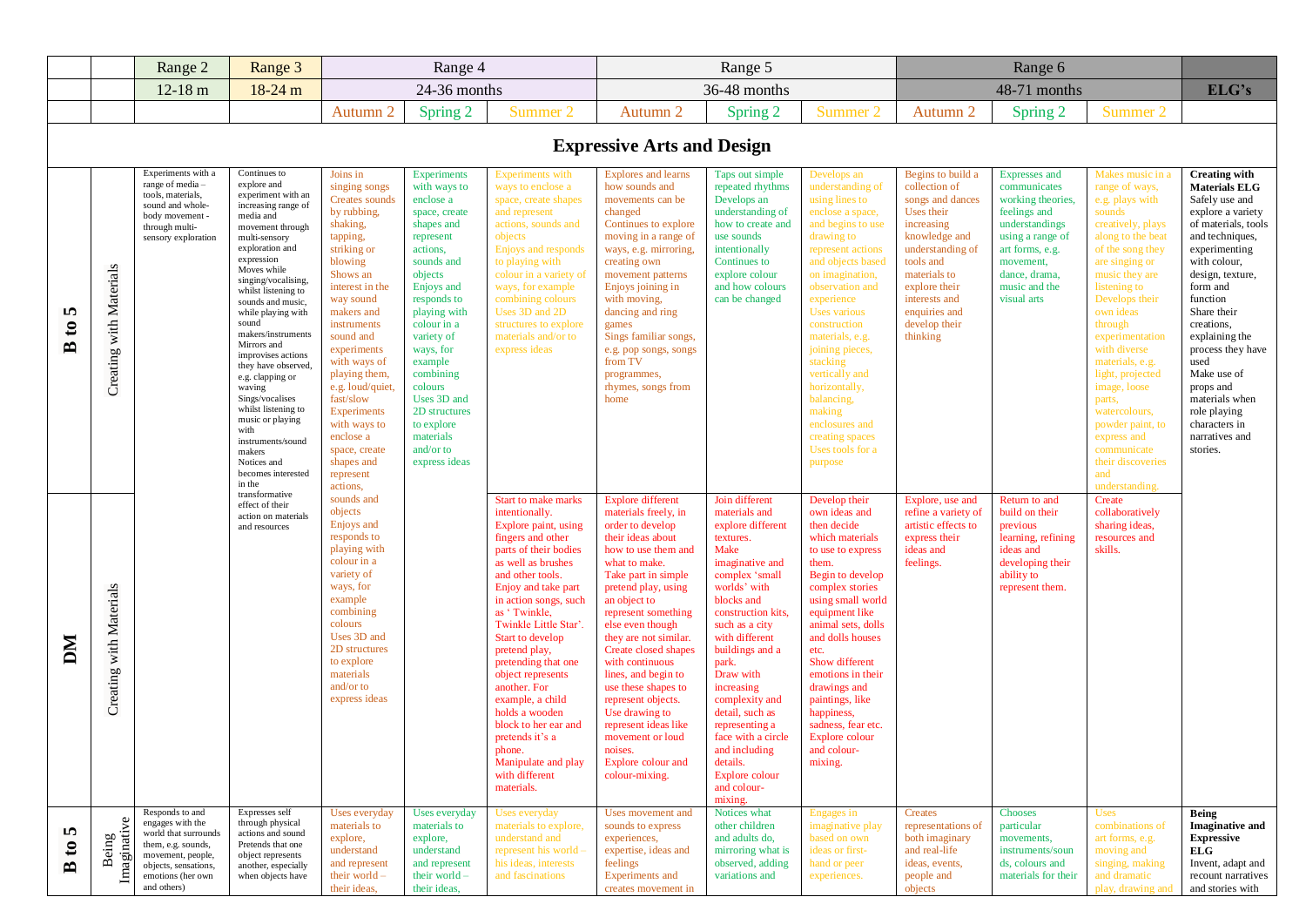|                                                  |                                   | Range 2                                                                                                                                                            | Range 3                                                                                                                                                                                                                                                                                                                                                                                                                                                                                                                                         | Range 4                                                                                                                                                                                                                                                                                                                                                                                |                                                                                                                                                                                                                                                                                                                                                     | Range 5                                                                                                                                                                                                                                                                                                                                                                                                                                                                                                  |                                                                                                                                                                                                                                                                                                                                                                                                                                                                                                     |                                                                                                                                                                                                                                                                                                                                                                                                                     |                                                                                                                                                                                                                                                                                                                                                                                                                                |                                                                                                                                                                                                                                      |                                                                                                                                                                                                  |                                                                                                                                                                                                                                                                                                                                                                                                                                                |                                                                                                                                                                                                                                                                                                                                                                                                     |
|--------------------------------------------------|-----------------------------------|--------------------------------------------------------------------------------------------------------------------------------------------------------------------|-------------------------------------------------------------------------------------------------------------------------------------------------------------------------------------------------------------------------------------------------------------------------------------------------------------------------------------------------------------------------------------------------------------------------------------------------------------------------------------------------------------------------------------------------|----------------------------------------------------------------------------------------------------------------------------------------------------------------------------------------------------------------------------------------------------------------------------------------------------------------------------------------------------------------------------------------|-----------------------------------------------------------------------------------------------------------------------------------------------------------------------------------------------------------------------------------------------------------------------------------------------------------------------------------------------------|----------------------------------------------------------------------------------------------------------------------------------------------------------------------------------------------------------------------------------------------------------------------------------------------------------------------------------------------------------------------------------------------------------------------------------------------------------------------------------------------------------|-----------------------------------------------------------------------------------------------------------------------------------------------------------------------------------------------------------------------------------------------------------------------------------------------------------------------------------------------------------------------------------------------------------------------------------------------------------------------------------------------------|---------------------------------------------------------------------------------------------------------------------------------------------------------------------------------------------------------------------------------------------------------------------------------------------------------------------------------------------------------------------------------------------------------------------|--------------------------------------------------------------------------------------------------------------------------------------------------------------------------------------------------------------------------------------------------------------------------------------------------------------------------------------------------------------------------------------------------------------------------------|--------------------------------------------------------------------------------------------------------------------------------------------------------------------------------------------------------------------------------------|--------------------------------------------------------------------------------------------------------------------------------------------------------------------------------------------------|------------------------------------------------------------------------------------------------------------------------------------------------------------------------------------------------------------------------------------------------------------------------------------------------------------------------------------------------------------------------------------------------------------------------------------------------|-----------------------------------------------------------------------------------------------------------------------------------------------------------------------------------------------------------------------------------------------------------------------------------------------------------------------------------------------------------------------------------------------------|
|                                                  |                                   | $12-18$ m                                                                                                                                                          | 18-24 m                                                                                                                                                                                                                                                                                                                                                                                                                                                                                                                                         | 24-36 months                                                                                                                                                                                                                                                                                                                                                                           |                                                                                                                                                                                                                                                                                                                                                     | 36-48 months                                                                                                                                                                                                                                                                                                                                                                                                                                                                                             |                                                                                                                                                                                                                                                                                                                                                                                                                                                                                                     |                                                                                                                                                                                                                                                                                                                                                                                                                     | 48-71 months                                                                                                                                                                                                                                                                                                                                                                                                                   |                                                                                                                                                                                                                                      |                                                                                                                                                                                                  | ELG's                                                                                                                                                                                                                                                                                                                                                                                                                                          |                                                                                                                                                                                                                                                                                                                                                                                                     |
|                                                  |                                   |                                                                                                                                                                    |                                                                                                                                                                                                                                                                                                                                                                                                                                                                                                                                                 | Autumn 2                                                                                                                                                                                                                                                                                                                                                                               | Spring 2                                                                                                                                                                                                                                                                                                                                            | Summer 2                                                                                                                                                                                                                                                                                                                                                                                                                                                                                                 | Autumn 2                                                                                                                                                                                                                                                                                                                                                                                                                                                                                            | Spring 2                                                                                                                                                                                                                                                                                                                                                                                                            | Summer 2                                                                                                                                                                                                                                                                                                                                                                                                                       | Autumn 2                                                                                                                                                                                                                             | Spring 2                                                                                                                                                                                         | Summer 2                                                                                                                                                                                                                                                                                                                                                                                                                                       |                                                                                                                                                                                                                                                                                                                                                                                                     |
|                                                  | <b>Expressive Arts and Design</b> |                                                                                                                                                                    |                                                                                                                                                                                                                                                                                                                                                                                                                                                                                                                                                 |                                                                                                                                                                                                                                                                                                                                                                                        |                                                                                                                                                                                                                                                                                                                                                     |                                                                                                                                                                                                                                                                                                                                                                                                                                                                                                          |                                                                                                                                                                                                                                                                                                                                                                                                                                                                                                     |                                                                                                                                                                                                                                                                                                                                                                                                                     |                                                                                                                                                                                                                                                                                                                                                                                                                                |                                                                                                                                                                                                                                      |                                                                                                                                                                                                  |                                                                                                                                                                                                                                                                                                                                                                                                                                                |                                                                                                                                                                                                                                                                                                                                                                                                     |
| S<br>$\mathfrak{g}$<br>$\mathbf{r}$              | Creating with Materials           | Experiments with a<br>range of media -<br>tools, materials,<br>sound and whole-<br>body movement -<br>through multi-<br>sensory exploration                        | Continues to<br>explore and<br>experiment with an<br>increasing range of<br>media and<br>movement through<br>multi-sensory<br>exploration and<br>expression<br>Moves while<br>singing/vocalising.<br>whilst listening to<br>sounds and music,<br>while playing with<br>sound<br>makers/instruments<br>Mirrors and<br>improvises actions<br>they have observed<br>e.g. clapping or<br>waving<br>Sings/vocalises<br>whilst listening to<br>music or playing<br>with<br>instruments/sound<br>makers<br>Notices and<br>becomes interested<br>in the | Joins in<br>singing songs<br>Creates sounds<br>by rubbing,<br>shaking,<br>tapping,<br>striking or<br>blowing<br>Shows an<br>interest in the<br>way sound<br>makers and<br>instruments<br>sound and<br>experiments<br>with ways of<br>playing them,<br>e.g. loud/quiet<br>fast/slow<br>Experiments<br>with ways to<br>enclose a<br>space, create<br>shapes and<br>represent<br>actions, | <b>Experiments</b><br>with ways to<br>enclose a<br>space, create<br>shapes and<br>represent<br>actions,<br>sounds and<br>objects<br>Enjoys and<br>responds to<br>playing with<br>colour in a<br>variety of<br>ways, for<br>example<br>combining<br>colours<br>Uses 3D and<br>2D structures<br>to explore<br>materials<br>and/or to<br>express ideas | Experiments with<br>ways to enclose a<br>space, create shapes<br>and represent<br>actions, sounds and<br>objects<br>Enjoys and responds<br>to playing with<br>colour in a variety of<br>ways, for example<br>combining colours<br>Uses 3D and 2D<br>structures to explore<br>materials and/or to<br>express ideas                                                                                                                                                                                        | Explores and learns<br>how sounds and<br>movements can be<br>changed<br>Continues to explore<br>moving in a range of<br>ways, e.g. mirroring,<br>creating own<br>movement patterns<br>Enjoys joining in<br>with moving,<br>dancing and ring<br>games<br>Sings familiar songs,<br>e.g. pop songs, songs<br>from TV<br>programmes,<br>rhymes, songs from<br>home                                                                                                                                      | Taps out simple<br>repeated rhythms<br>Develops an<br>understanding of<br>how to create and<br>use sounds<br>intentionally<br>Continues to<br>explore colour<br>and how colours<br>can be changed                                                                                                                                                                                                                   | Develops an<br>understanding of<br>using lines to<br>enclose a space,<br>and begins to use<br>drawing to<br>represent actions<br>and objects based<br>on imagination,<br>observation and<br>experience<br><b>Uses</b> various<br>construction<br>materials, e.g.<br>joining pieces,<br>stacking<br>vertically and<br>horizontally,<br>balancing,<br>making<br>enclosures and<br>creating spaces<br>Uses tools for a<br>purpose | Begins to build a<br>collection of<br>songs and dances<br>Uses their<br>increasing<br>knowledge and<br>understanding of<br>tools and<br>materials to<br>explore their<br>interests and<br>enquiries and<br>develop their<br>thinking | <b>Expresses</b> and<br>communicates<br>working theories,<br>feelings and<br>understandings<br>using a range of<br>art forms, e.g.<br>movement,<br>dance, drama.<br>music and the<br>visual arts | Makes music in<br>range of ways,<br>e.g. plays with<br>sounds<br>creatively, plays<br>along to the beat<br>of the song they<br>are singing or<br>music they are<br>listening to<br>Develops their<br>own ideas<br>through<br>experimentation<br>with diverse<br>materials, e.g.<br>light, projected<br>image, loose<br>parts,<br>watercolours,<br>powder paint, to<br>express and<br>communicate<br>their discoveries<br>and<br>understanding. | <b>Creating with</b><br><b>Materials ELG</b><br>Safely use and<br>explore a variety<br>of materials, tools<br>and techniques,<br>experimenting<br>with colour,<br>design, texture,<br>form and<br>function<br>Share their<br>creations.<br>explaining the<br>process they have<br>used<br>Make use of<br>props and<br>materials when<br>role playing<br>characters in<br>narratives and<br>stories. |
| DМ                                               | Creating with Materials           |                                                                                                                                                                    | transformative<br>effect of their<br>action on materials<br>and resources                                                                                                                                                                                                                                                                                                                                                                                                                                                                       | sounds and<br>objects<br>Enjoys and<br>responds to<br>playing with<br>colour in a<br>variety of<br>ways, for<br>example<br>combining<br>colours<br>Uses 3D and<br>2D structures<br>to explore<br>materials<br>and/or to<br>express ideas                                                                                                                                               |                                                                                                                                                                                                                                                                                                                                                     | <b>Start to make marks</b><br>intentionally.<br>Explore paint, using<br>fingers and other<br>parts of their bodies<br>as well as brushes<br>and other tools.<br>Enjoy and take part<br>in action songs, such<br>as 'Twinkle,<br>Twinkle Little Star'.<br>Start to develop<br>pretend play,<br>pretending that one<br>object represents<br>another. For<br>example, a child<br>holds a wooden<br>block to her ear and<br>pretends it's a<br>phone.<br>Manipulate and play<br>with different<br>materials. | <b>Explore different</b><br>materials freely, in<br>order to develop<br>their ideas about<br>how to use them and<br>what to make.<br>Take part in simple<br>pretend play, using<br>an object to<br>represent something<br>else even though<br>they are not similar.<br>Create closed shapes<br>with continuous<br>lines, and begin to<br>use these shapes to<br>represent objects.<br>Use drawing to<br>represent ideas like<br>movement or loud<br>noises.<br>Explore colour and<br>colour-mixing. | Join different<br>materials and<br>explore different<br>textures.<br>Make<br>imaginative and<br>complex 'small<br>worlds' with<br>blocks and<br>construction kits,<br>such as a city<br>with different<br>buildings and a<br>park.<br>Draw with<br>increasing<br>complexity and<br>detail, such as<br>representing a<br>face with a circle<br>and including<br>details.<br>Explore colour<br>and colour-<br>mixing. | Develop their<br>own ideas and<br>then decide<br>which materials<br>to use to express<br>them.<br>Begin to develop<br>complex stories<br>using small world<br>equipment like<br>animal sets, dolls<br>and dolls houses<br>etc.<br>Show different<br>emotions in their<br>drawings and<br>paintings, like<br>happiness,<br>sadness, fear etc.<br>Explore colour<br>and colour<br>mixing.                                        | Explore, use and<br>refine a variety of<br>artistic effects to<br>express their<br>ideas and<br>feelings.                                                                                                                            | Return to and<br>build on their<br>previous<br>learning, refining<br>ideas and<br>developing their<br>ability to<br>represent them.                                                              | Create<br>collaboratively<br>sharing ideas,<br>resources and<br>skills.                                                                                                                                                                                                                                                                                                                                                                        |                                                                                                                                                                                                                                                                                                                                                                                                     |
| S<br>$\boldsymbol{\mathfrak{e}}$<br>$\mathbf{r}$ | Imaginative<br>Being              | Responds to and<br>engages with the<br>world that surrounds<br>them, e.g. sounds,<br>movement, people,<br>objects, sensations,<br>emotions (her own<br>and others) | Expresses self<br>through physical<br>actions and sound<br>Pretends that one<br>object represents<br>another, especially<br>when objects have                                                                                                                                                                                                                                                                                                                                                                                                   | Uses everyday<br>materials to<br>explore,<br>understand<br>and represent<br>their world $-$<br>their ideas,                                                                                                                                                                                                                                                                            | Uses everyday<br>materials to<br>explore,<br>understand<br>and represent<br>their world $-$<br>their ideas,                                                                                                                                                                                                                                         | Uses everyday<br>materials to explore,<br>understand and<br>represent his world -<br>his ideas, interests<br>and fascinations                                                                                                                                                                                                                                                                                                                                                                            | Uses movement and<br>sounds to express<br>experiences,<br>expertise, ideas and<br>feelings<br>Experiments and<br>creates movement in                                                                                                                                                                                                                                                                                                                                                                | Notices what<br>other children<br>and adults do,<br>mirroring what is<br>observed, adding<br>variations and                                                                                                                                                                                                                                                                                                         | Engages in<br>imaginative play<br>based on own<br>ideas or first-<br>hand or peer<br>experiences.                                                                                                                                                                                                                                                                                                                              | Creates<br>representations of<br>both imaginary<br>and real-life<br>ideas, events,<br>people and<br>objects                                                                                                                          | Chooses<br>particular<br>movements,<br>instruments/soun<br>ds, colours and<br>materials for their                                                                                                | Uses<br>combinations of<br>art forms, e.g.<br>moving and<br>singing, making<br>and dramatic<br>play, drawing and                                                                                                                                                                                                                                                                                                                               | <b>Being</b><br><b>Imaginative and</b><br><b>Expressive</b><br><b>ELG</b><br>Invent, adapt and<br>recount narratives<br>and stories with                                                                                                                                                                                                                                                            |